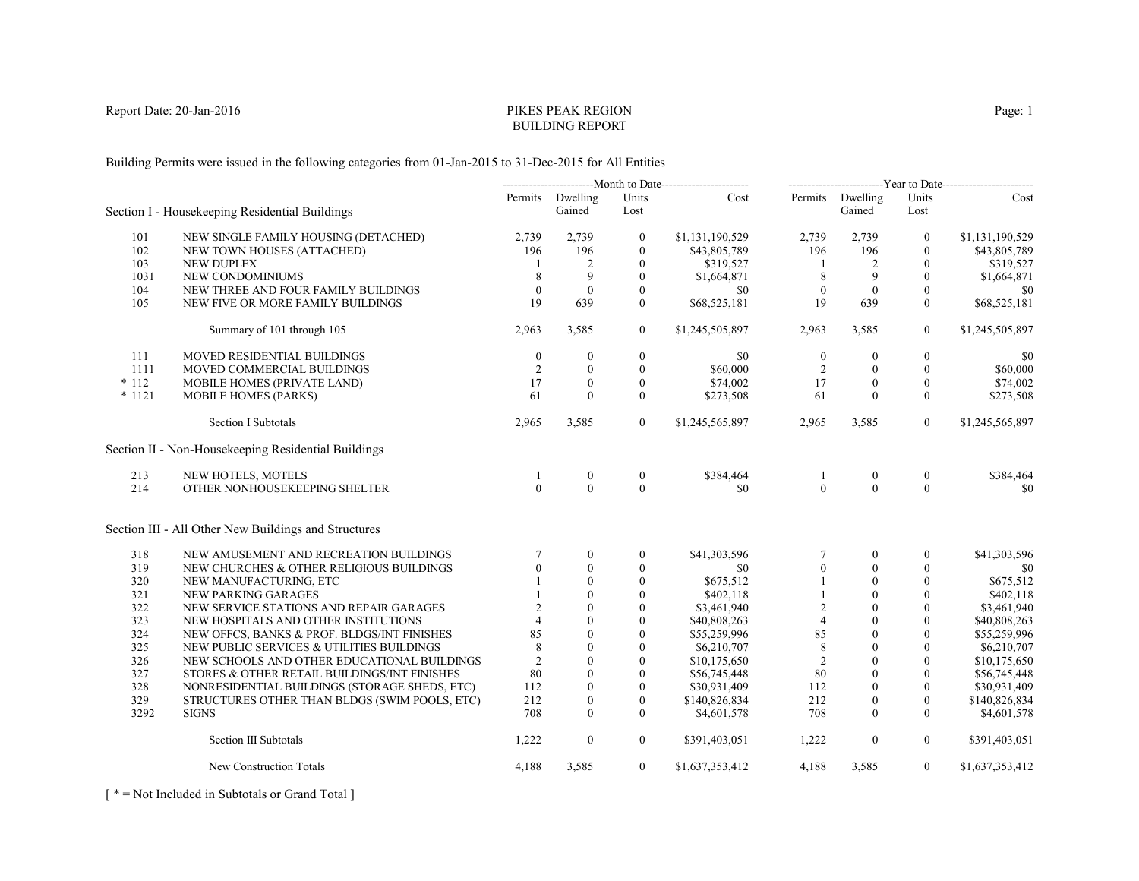# PIKES PEAK REGIONBUILDING REPORT

Building Permits were issued in the following categories from 01-Jan-2015 to 31-Dec-2015 for All Entities

|          |                                                      | -----------------------------Month to Date----------------------- |                            |                  | -------------------------Year to Date------------------------ |                  |                    |                  |                 |
|----------|------------------------------------------------------|-------------------------------------------------------------------|----------------------------|------------------|---------------------------------------------------------------|------------------|--------------------|------------------|-----------------|
|          | Section I - Housekeeping Residential Buildings       |                                                                   | Permits Dwelling<br>Gained | Units<br>Lost    | Cost                                                          | Permits          | Dwelling<br>Gained | Units<br>Lost    | Cost            |
| 101      | NEW SINGLE FAMILY HOUSING (DETACHED)                 | 2,739                                                             | 2,739                      | $\boldsymbol{0}$ | \$1,131,190,529                                               | 2,739            | 2,739              | $\bf{0}$         | \$1,131,190,529 |
| 102      | NEW TOWN HOUSES (ATTACHED)                           | 196                                                               | 196                        | $\mathbf{0}$     | \$43,805,789                                                  | 196              | 196                | $\mathbf{0}$     | \$43,805,789    |
| 103      | <b>NEW DUPLEX</b>                                    |                                                                   | 2                          | $\theta$         | \$319,527                                                     | -1               | 2                  | $\theta$         | \$319,527       |
| 1031     | NEW CONDOMINIUMS                                     | 8                                                                 | 9                          | $\boldsymbol{0}$ | \$1,664,871                                                   | $\,8\,$          | 9                  | $\mathbf{0}$     | \$1,664,871     |
| 104      | NEW THREE AND FOUR FAMILY BUILDINGS                  | $\theta$                                                          | $\mathbf{0}$               | $\mathbf{0}$     | \$0                                                           | $\mathbf{0}$     | $\mathbf{0}$       | $\mathbf{0}$     | \$0             |
| 105      | NEW FIVE OR MORE FAMILY BUILDINGS                    | 19                                                                | 639                        | $\theta$         | \$68,525,181                                                  | 19               | 639                | $\theta$         | \$68,525,181    |
|          | Summary of 101 through 105                           | 2,963                                                             | 3,585                      | $\overline{0}$   | \$1,245,505,897                                               | 2,963            | 3,585              | $\boldsymbol{0}$ | \$1,245,505,897 |
| 111      | <b>MOVED RESIDENTIAL BUILDINGS</b>                   | $\mathbf{0}$                                                      | $\mathbf{0}$               | $\boldsymbol{0}$ | \$0                                                           | $\boldsymbol{0}$ | $\mathbf{0}$       | $\mathbf{0}$     | \$0             |
| 1111     | MOVED COMMERCIAL BUILDINGS                           | 2                                                                 | $\theta$                   | $\Omega$         | \$60,000                                                      | 2                | $\mathbf{0}$       | $\mathbf{0}$     | \$60,000        |
| $*112$   | <b>MOBILE HOMES (PRIVATE LAND)</b>                   | 17                                                                | $\theta$                   | $\theta$         | \$74,002                                                      | 17               | $\theta$           | $\theta$         | \$74,002        |
| $* 1121$ | <b>MOBILE HOMES (PARKS)</b>                          | 61                                                                | $\mathbf{0}$               | $\mathbf{0}$     | \$273,508                                                     | 61               | $\mathbf{0}$       | $\overline{0}$   | \$273,508       |
|          | <b>Section I Subtotals</b>                           | 2,965                                                             | 3,585                      | $\overline{0}$   | \$1,245,565,897                                               | 2,965            | 3,585              | $\overline{0}$   | \$1,245,565,897 |
|          | Section II - Non-Housekeeping Residential Buildings  |                                                                   |                            |                  |                                                               |                  |                    |                  |                 |
| 213      | NEW HOTELS, MOTELS                                   | $\overline{1}$                                                    | $\boldsymbol{0}$           | $\boldsymbol{0}$ | \$384,464                                                     | $\mathbf{1}$     | $\boldsymbol{0}$   | $\boldsymbol{0}$ | \$384,464       |
| 214      | OTHER NONHOUSEKEEPING SHELTER                        | $\Omega$                                                          | $\Omega$                   | $\theta$         | \$0                                                           | $\theta$         | $\theta$           | $\Omega$         | \$0             |
|          | Section III - All Other New Buildings and Structures |                                                                   |                            |                  |                                                               |                  |                    |                  |                 |
| 318      | NEW AMUSEMENT AND RECREATION BUILDINGS               | $\tau$                                                            | $\mathbf{0}$               | $\mathbf{0}$     | \$41,303,596                                                  | $\tau$           | $\mathbf{0}$       | $\mathbf{0}$     | \$41,303,596    |
| 319      | NEW CHURCHES & OTHER RELIGIOUS BUILDINGS             | $\Omega$                                                          | $\theta$                   | $\theta$         | \$0                                                           | $\boldsymbol{0}$ | $\mathbf{0}$       | $\theta$         | \$0             |
| 320      | NEW MANUFACTURING, ETC                               |                                                                   | $\theta$                   | $\boldsymbol{0}$ | \$675,512                                                     |                  | $\boldsymbol{0}$   | $\mathbf{0}$     | \$675,512       |
| 321      | NEW PARKING GARAGES                                  |                                                                   | $\theta$                   | $\mathbf{0}$     | \$402,118                                                     |                  | $\mathbf{0}$       | $\mathbf{0}$     | \$402,118       |
| 322      | NEW SERVICE STATIONS AND REPAIR GARAGES              | 2                                                                 | $\Omega$                   | $\theta$         | \$3,461,940                                                   | $\overline{2}$   | $\theta$           | $\theta$         | \$3,461,940     |
| 323      | NEW HOSPITALS AND OTHER INSTITUTIONS                 | $\overline{4}$                                                    | $\theta$                   | $\boldsymbol{0}$ | \$40,808,263                                                  | $\overline{4}$   | $\mathbf{0}$       | $\mathbf{0}$     | \$40,808,263    |
| 324      | NEW OFFCS, BANKS & PROF. BLDGS/INT FINISHES          | 85                                                                | $\mathbf{0}$               | $\theta$         | \$55,259,996                                                  | 85               | $\mathbf{0}$       | $\mathbf{0}$     | \$55,259,996    |
| 325      | NEW PUBLIC SERVICES & UTILITIES BUILDINGS            | 8                                                                 | $\Omega$                   | $\theta$         | \$6,210,707                                                   | 8                | $\theta$           | $\Omega$         | \$6,210,707     |
| 326      | NEW SCHOOLS AND OTHER EDUCATIONAL BUILDINGS          | 2                                                                 | $\theta$                   | $\boldsymbol{0}$ | \$10,175,650                                                  | $\overline{2}$   | $\theta$           | $\theta$         | \$10,175,650    |
| 327      | STORES & OTHER RETAIL BUILDINGS/INT FINISHES         | 80                                                                | $\mathbf{0}$               | $\theta$         | \$56,745,448                                                  | 80               | $\theta$           | $\mathbf{0}$     | \$56,745,448    |
| 328      | NONRESIDENTIAL BUILDINGS (STORAGE SHEDS, ETC)        | 112                                                               | $\theta$                   | $\theta$         | \$30,931,409                                                  | 112              | $\Omega$           | $\theta$         | \$30,931,409    |
| 329      | STRUCTURES OTHER THAN BLDGS (SWIM POOLS, ETC)        | 212                                                               | $\mathbf{0}$               | $\mathbf{0}$     | \$140,826,834                                                 | 212              | $\mathbf{0}$       | $\mathbf{0}$     | \$140,826,834   |
| 3292     | <b>SIGNS</b>                                         | 708                                                               | $\theta$                   | $\Omega$         | \$4,601,578                                                   | 708              | $\Omega$           | $\mathbf{0}$     | \$4,601,578     |
|          | Section III Subtotals                                | 1,222                                                             | $\mathbf{0}$               | $\overline{0}$   | \$391,403,051                                                 | 1,222            | $\boldsymbol{0}$   | $\overline{0}$   | \$391,403,051   |
|          | New Construction Totals                              | 4,188                                                             | 3,585                      | $\overline{0}$   | \$1,637,353,412                                               | 4,188            | 3,585              | $\overline{0}$   | \$1,637,353,412 |

[ \* = Not Included in Subtotals or Grand Total ]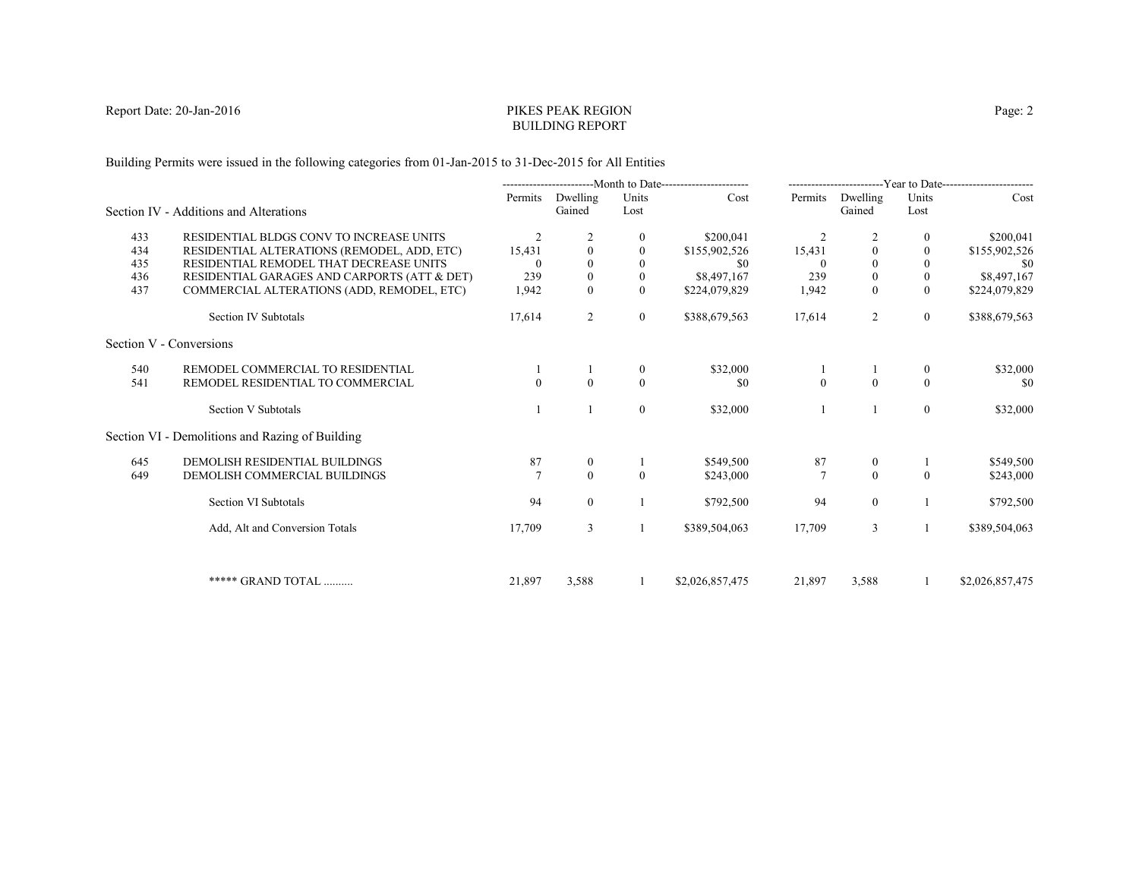# PIKES PEAK REGIONBUILDING REPORT

Building Permits were issued in the following categories from 01-Jan-2015 to 31-Dec-2015 for All Entities

|     |                                                 |                |                    |               | ----------------------Month to Date----------------------- |                 |                    |                  | -------------------------Year to Date------------------------ |
|-----|-------------------------------------------------|----------------|--------------------|---------------|------------------------------------------------------------|-----------------|--------------------|------------------|---------------------------------------------------------------|
|     | Section IV - Additions and Alterations          | Permits        | Dwelling<br>Gained | Units<br>Lost | Cost                                                       | Permits         | Dwelling<br>Gained | Units<br>Lost    | Cost                                                          |
| 433 | RESIDENTIAL BLDGS CONV TO INCREASE UNITS        | 2              |                    |               | \$200,041                                                  | 2               |                    | $\mathbf{0}$     | \$200,041                                                     |
| 434 | RESIDENTIAL ALTERATIONS (REMODEL, ADD, ETC)     | 15,431         | $\mathbf{0}$       | $\theta$      | \$155,902,526                                              | 15,431          | $\theta$           | $\mathbf{0}$     | \$155,902,526                                                 |
| 435 | RESIDENTIAL REMODEL THAT DECREASE UNITS         |                |                    |               | \$0                                                        |                 | $\Omega$           | $\mathbf{0}$     | -\$0                                                          |
| 436 | RESIDENTIAL GARAGES AND CARPORTS (ATT & DET)    | 239            | $\boldsymbol{0}$   | $\mathbf{0}$  | \$8,497,167                                                | 239             | $\boldsymbol{0}$   | $\boldsymbol{0}$ | \$8,497,167                                                   |
| 437 | COMMERCIAL ALTERATIONS (ADD, REMODEL, ETC)      | 1,942          | $\theta$           | $\Omega$      | \$224,079,829                                              | 1,942           | $\theta$           | $\theta$         | \$224,079,829                                                 |
|     | Section IV Subtotals                            | 17,614         | 2                  | $\mathbf{0}$  | \$388,679,563                                              | 17,614          | $\overline{2}$     | $\overline{0}$   | \$388,679,563                                                 |
|     | Section V - Conversions                         |                |                    |               |                                                            |                 |                    |                  |                                                               |
| 540 | REMODEL COMMERCIAL TO RESIDENTIAL               |                |                    | $\bf{0}$      | \$32,000                                                   |                 |                    | $\bf{0}$         | \$32,000                                                      |
| 541 | REMODEL RESIDENTIAL TO COMMERCIAL               | $\Omega$       | $\Omega$           | $\theta$      | \$0                                                        | $\mathbf{0}$    | $\theta$           | $\Omega$         | -\$0                                                          |
|     | Section V Subtotals                             |                |                    | $\mathbf{0}$  | \$32,000                                                   |                 |                    | $\overline{0}$   | \$32,000                                                      |
|     | Section VI - Demolitions and Razing of Building |                |                    |               |                                                            |                 |                    |                  |                                                               |
| 645 | DEMOLISH RESIDENTIAL BUILDINGS                  | 87             | $\mathbf{0}$       |               | \$549,500                                                  | 87              | $\bf{0}$           |                  | \$549,500                                                     |
| 649 | DEMOLISH COMMERCIAL BUILDINGS                   | $\overline{7}$ | $\theta$           | $\theta$      | \$243,000                                                  | $7\phantom{.0}$ | $\theta$           | $\theta$         | \$243,000                                                     |
|     | Section VI Subtotals                            | 94             | $\overline{0}$     |               | \$792,500                                                  | 94              | $\overline{0}$     |                  | \$792,500                                                     |
|     | Add, Alt and Conversion Totals                  | 17,709         | 3                  |               | \$389,504,063                                              | 17,709          | 3                  |                  | \$389,504,063                                                 |
|     |                                                 |                |                    |               |                                                            |                 |                    |                  |                                                               |
|     | ***** GRAND TOTAL                               | 21,897         | 3,588              |               | \$2,026,857,475                                            | 21,897          | 3,588              |                  | \$2,026,857,475                                               |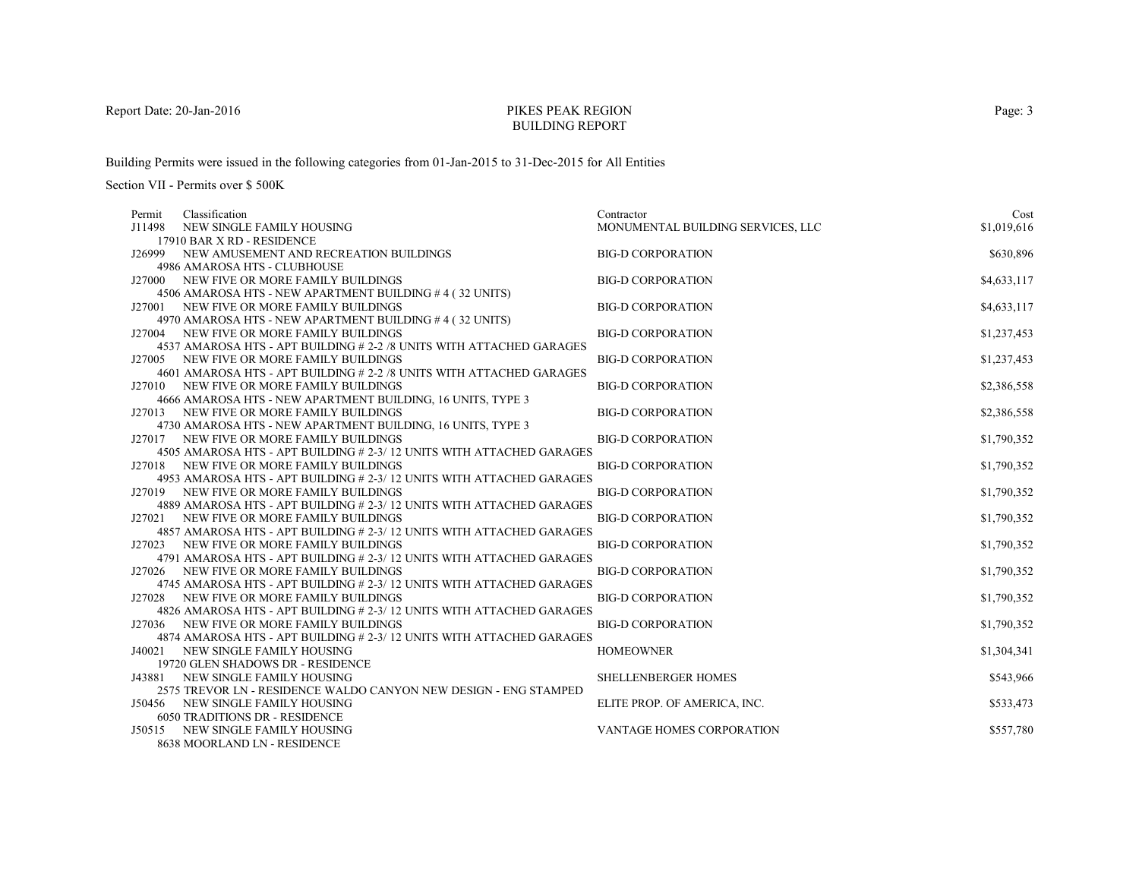# PIKES PEAK REGIONBUILDING REPORT

Building Permits were issued in the following categories from 01-Jan-2015 to 31-Dec-2015 for All Entities

| Classification<br>Permit                                                                                         | Contractor                        | Cost        |
|------------------------------------------------------------------------------------------------------------------|-----------------------------------|-------------|
| J11498<br>NEW SINGLE FAMILY HOUSING                                                                              | MONUMENTAL BUILDING SERVICES, LLC | \$1,019,616 |
| 17910 BAR X RD - RESIDENCE                                                                                       |                                   |             |
| J26999 NEW AMUSEMENT AND RECREATION BUILDINGS                                                                    | <b>BIG-D CORPORATION</b>          | \$630,896   |
| 4986 AMAROSA HTS - CLUBHOUSE                                                                                     |                                   |             |
| NEW FIVE OR MORE FAMILY BUILDINGS<br>J27000                                                                      | <b>BIG-D CORPORATION</b>          | \$4,633,117 |
| 4506 AMAROSA HTS - NEW APARTMENT BUILDING #4 (32 UNITS)                                                          |                                   |             |
| J27001 NEW FIVE OR MORE FAMILY BUILDINGS                                                                         | <b>BIG-D CORPORATION</b>          | \$4,633,117 |
| 4970 AMAROSA HTS - NEW APARTMENT BUILDING #4 (32 UNITS)                                                          |                                   |             |
| NEW FIVE OR MORE FAMILY BUILDINGS<br>J27004                                                                      | <b>BIG-D CORPORATION</b>          | \$1,237,453 |
| 4537 AMAROSA HTS - APT BUILDING # 2-2 /8 UNITS WITH ATTACHED GARAGES                                             |                                   |             |
| J27005 NEW FIVE OR MORE FAMILY BUILDINGS                                                                         | <b>BIG-D CORPORATION</b>          | \$1,237,453 |
| 4601 AMAROSA HTS - APT BUILDING # 2-2 /8 UNITS WITH ATTACHED GARAGES                                             |                                   |             |
| J27010 NEW FIVE OR MORE FAMILY BUILDINGS                                                                         | <b>BIG-D CORPORATION</b>          | \$2,386,558 |
| 4666 AMAROSA HTS - NEW APARTMENT BUILDING, 16 UNITS, TYPE 3                                                      |                                   |             |
| J27013 NEW FIVE OR MORE FAMILY BUILDINGS                                                                         | <b>BIG-D CORPORATION</b>          | \$2,386,558 |
| 4730 AMAROSA HTS - NEW APARTMENT BUILDING, 16 UNITS, TYPE 3                                                      |                                   |             |
| J27017 NEW FIVE OR MORE FAMILY BUILDINGS                                                                         | <b>BIG-D CORPORATION</b>          | \$1,790,352 |
| 4505 AMAROSA HTS - APT BUILDING # 2-3/ 12 UNITS WITH ATTACHED GARAGES                                            |                                   |             |
| J27018 NEW FIVE OR MORE FAMILY BUILDINGS                                                                         | <b>BIG-D CORPORATION</b>          | \$1,790,352 |
| 4953 AMAROSA HTS - APT BUILDING # 2-3/12 UNITS WITH ATTACHED GARAGES                                             | <b>BIG-D CORPORATION</b>          |             |
| J27019 NEW FIVE OR MORE FAMILY BUILDINGS<br>4889 AMAROSA HTS - APT BUILDING # 2-3/12 UNITS WITH ATTACHED GARAGES |                                   | \$1,790,352 |
| J27021 NEW FIVE OR MORE FAMILY BUILDINGS                                                                         | <b>BIG-D CORPORATION</b>          | \$1,790,352 |
| 4857 AMAROSA HTS - APT BUILDING # 2-3/12 UNITS WITH ATTACHED GARAGES                                             |                                   |             |
| J27023 NEW FIVE OR MORE FAMILY BUILDINGS                                                                         | <b>BIG-D CORPORATION</b>          | \$1,790,352 |
| 4791 AMAROSA HTS - APT BUILDING # 2-3/12 UNITS WITH ATTACHED GARAGES                                             |                                   |             |
| NEW FIVE OR MORE FAMILY BUILDINGS<br>J27026                                                                      | <b>BIG-D CORPORATION</b>          | \$1,790,352 |
| 4745 AMAROSA HTS - APT BUILDING # 2-3/12 UNITS WITH ATTACHED GARAGES                                             |                                   |             |
| J27028 NEW FIVE OR MORE FAMILY BUILDINGS                                                                         | <b>BIG-D CORPORATION</b>          | \$1,790,352 |
| 4826 AMAROSA HTS - APT BUILDING # 2-3/ 12 UNITS WITH ATTACHED GARAGES                                            |                                   |             |
| J27036 NEW FIVE OR MORE FAMILY BUILDINGS                                                                         | <b>BIG-D CORPORATION</b>          | \$1,790,352 |
| 4874 AMAROSA HTS - APT BUILDING # 2-3/ 12 UNITS WITH ATTACHED GARAGES                                            |                                   |             |
| NEW SINGLE FAMILY HOUSING<br>J40021                                                                              | <b>HOMEOWNER</b>                  | \$1,304,341 |
| 19720 GLEN SHADOWS DR - RESIDENCE                                                                                |                                   |             |
| NEW SINGLE FAMILY HOUSING<br>J43881                                                                              | <b>SHELLENBERGER HOMES</b>        | \$543,966   |
| 2575 TREVOR LN - RESIDENCE WALDO CANYON NEW DESIGN - ENG STAMPED                                                 |                                   |             |
| J50456 NEW SINGLE FAMILY HOUSING                                                                                 | ELITE PROP. OF AMERICA, INC.      | \$533,473   |
| <b>6050 TRADITIONS DR - RESIDENCE</b>                                                                            |                                   |             |
| J50515<br>NEW SINGLE FAMILY HOUSING                                                                              | VANTAGE HOMES CORPORATION         | \$557,780   |
| 8638 MOORLAND LN - RESIDENCE                                                                                     |                                   |             |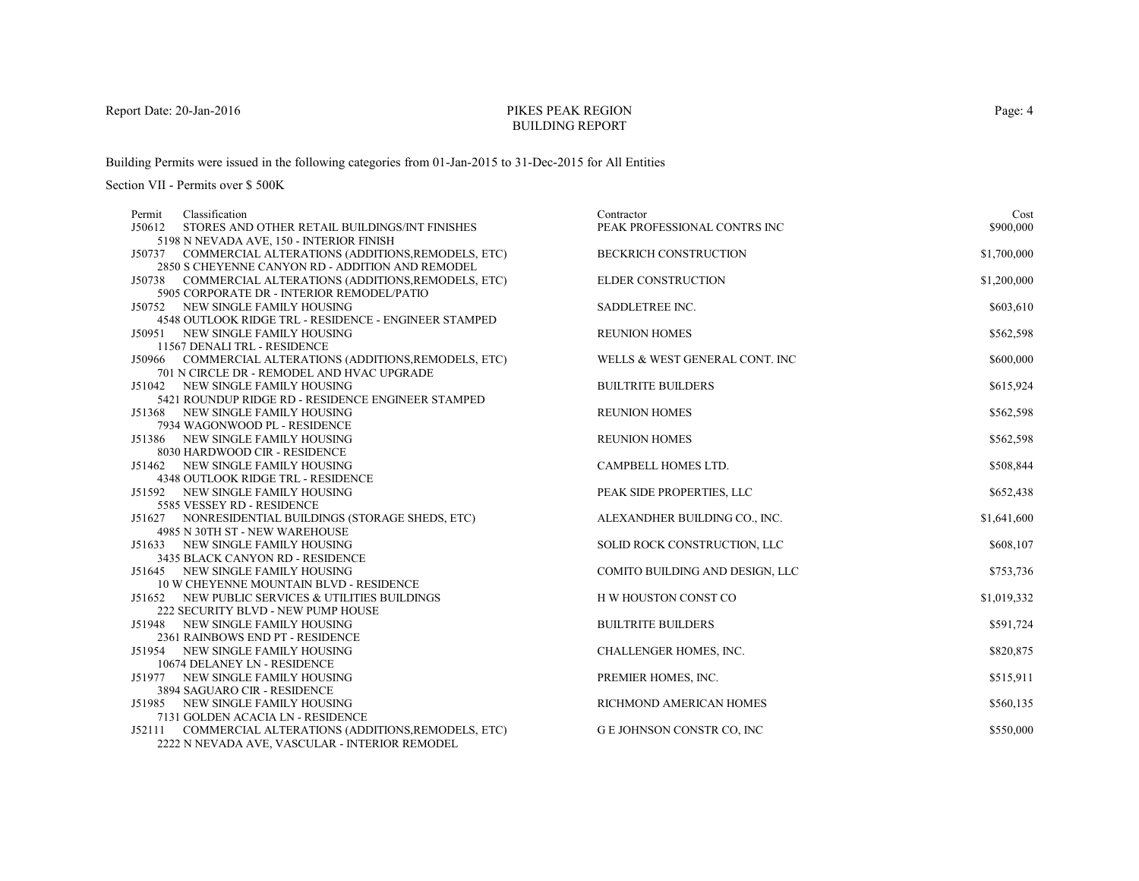# PIKES PEAK REGIONBUILDING REPORT

Building Permits were issued in the following categories from 01-Jan-2015 to 31-Dec-2015 for All Entities

| Classification<br>Permit                                                      | Contractor                      | Cost        |
|-------------------------------------------------------------------------------|---------------------------------|-------------|
| J50612<br>STORES AND OTHER RETAIL BUILDINGS/INT FINISHES                      | PEAK PROFESSIONAL CONTRS INC    | \$900,000   |
| 5198 N NEVADA AVE, 150 - INTERIOR FINISH                                      |                                 |             |
| J50737 COMMERCIAL ALTERATIONS (ADDITIONS, REMODELS, ETC)                      | <b>BECKRICH CONSTRUCTION</b>    | \$1,700,000 |
| 2850 S CHEYENNE CANYON RD - ADDITION AND REMODEL                              |                                 |             |
| J50738 COMMERCIAL ALTERATIONS (ADDITIONS, REMODELS, ETC)                      | ELDER CONSTRUCTION              | \$1,200,000 |
| 5905 CORPORATE DR - INTERIOR REMODEL/PATIO                                    |                                 |             |
| J50752 NEW SINGLE FAMILY HOUSING                                              | SADDLETREE INC.                 | \$603,610   |
| 4548 OUTLOOK RIDGE TRL - RESIDENCE - ENGINEER STAMPED                         |                                 |             |
| NEW SINGLE FAMILY HOUSING<br>J50951                                           | <b>REUNION HOMES</b>            | \$562,598   |
| 11567 DENALI TRL - RESIDENCE                                                  |                                 |             |
| J50966 COMMERCIAL ALTERATIONS (ADDITIONS, REMODELS, ETC)                      | WELLS & WEST GENERAL CONT. INC  | \$600,000   |
| 701 N CIRCLE DR - REMODEL AND HVAC UPGRADE                                    |                                 |             |
| J51042 NEW SINGLE FAMILY HOUSING                                              | <b>BUILTRITE BUILDERS</b>       | \$615,924   |
| 5421 ROUNDUP RIDGE RD - RESIDENCE ENGINEER STAMPED                            |                                 |             |
| J51368 NEW SINGLE FAMILY HOUSING                                              | <b>REUNION HOMES</b>            | \$562,598   |
| 7934 WAGONWOOD PL - RESIDENCE                                                 |                                 |             |
| J51386 NEW SINGLE FAMILY HOUSING                                              | <b>REUNION HOMES</b>            | \$562,598   |
| 8030 HARDWOOD CIR - RESIDENCE                                                 | <b>CAMPBELL HOMES LTD.</b>      |             |
| J51462 NEW SINGLE FAMILY HOUSING<br><b>4348 OUTLOOK RIDGE TRL - RESIDENCE</b> |                                 | \$508,844   |
| J51592 NEW SINGLE FAMILY HOUSING                                              |                                 |             |
| 5585 VESSEY RD - RESIDENCE                                                    | PEAK SIDE PROPERTIES, LLC       | \$652,438   |
| J51627 NONRESIDENTIAL BUILDINGS (STORAGE SHEDS, ETC)                          | ALEXANDHER BUILDING CO., INC.   | \$1,641,600 |
| 4985 N 30TH ST - NEW WAREHOUSE                                                |                                 |             |
| J51633 NEW SINGLE FAMILY HOUSING                                              | SOLID ROCK CONSTRUCTION, LLC    | \$608,107   |
| 3435 BLACK CANYON RD - RESIDENCE                                              |                                 |             |
| J51645 NEW SINGLE FAMILY HOUSING                                              | COMITO BUILDING AND DESIGN, LLC | \$753,736   |
| <b>10 W CHEYENNE MOUNTAIN BLVD - RESIDENCE</b>                                |                                 |             |
| J51652 NEW PUBLIC SERVICES & UTILITIES BUILDINGS                              | H W HOUSTON CONST CO            | \$1,019,332 |
| 222 SECURITY BLVD - NEW PUMP HOUSE                                            |                                 |             |
| J51948 NEW SINGLE FAMILY HOUSING                                              | <b>BUILTRITE BUILDERS</b>       | \$591,724   |
| 2361 RAINBOWS END PT - RESIDENCE                                              |                                 |             |
| NEW SINGLE FAMILY HOUSING<br>J51954                                           | CHALLENGER HOMES, INC.          | \$820,875   |
| 10674 DELANEY LN - RESIDENCE                                                  |                                 |             |
| J51977 NEW SINGLE FAMILY HOUSING                                              | PREMIER HOMES, INC.             | \$515,911   |
| 3894 SAGUARO CIR - RESIDENCE                                                  |                                 |             |
| J51985 NEW SINGLE FAMILY HOUSING                                              | RICHMOND AMERICAN HOMES         | \$560,135   |
| 7131 GOLDEN ACACIA LN - RESIDENCE                                             |                                 |             |
| J52111 COMMERCIAL ALTERATIONS (ADDITIONS, REMODELS, ETC)                      | G E JOHNSON CONSTR CO, INC      | \$550,000   |
| 2222 N NEVADA AVE, VASCULAR - INTERIOR REMODEL                                |                                 |             |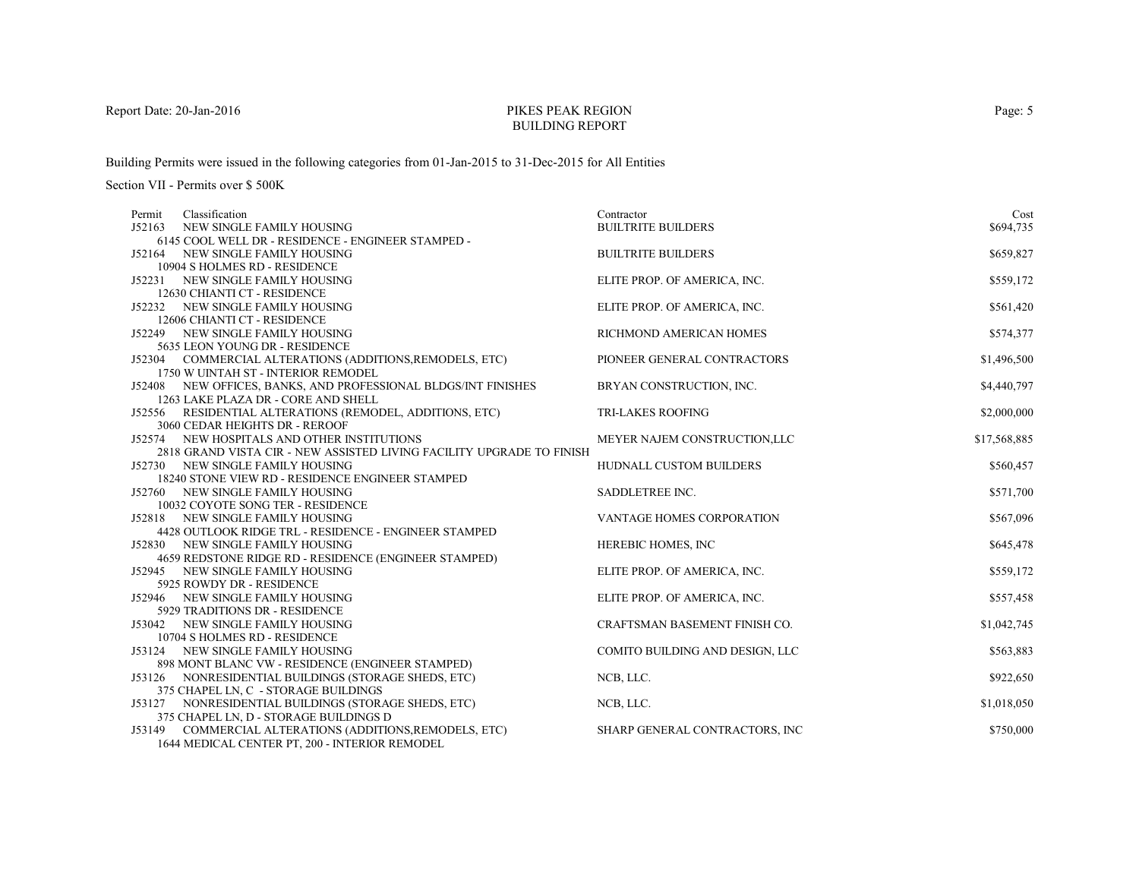# PIKES PEAK REGIONBUILDING REPORT

Building Permits were issued in the following categories from 01-Jan-2015 to 31-Dec-2015 for All Entities

Section VII - Permits over \$ 500K

| Permit | Classification                                                                            | Contractor                      | Cost         |
|--------|-------------------------------------------------------------------------------------------|---------------------------------|--------------|
| J52163 | NEW SINGLE FAMILY HOUSING                                                                 | <b>BUILTRITE BUILDERS</b>       | \$694,735    |
|        | 6145 COOL WELL DR - RESIDENCE - ENGINEER STAMPED -                                        |                                 |              |
| J52164 | NEW SINGLE FAMILY HOUSING                                                                 | <b>BUILTRITE BUILDERS</b>       | \$659,827    |
|        | 10904 S HOLMES RD - RESIDENCE                                                             |                                 |              |
|        | J52231 NEW SINGLE FAMILY HOUSING                                                          | ELITE PROP. OF AMERICA, INC.    | \$559,172    |
|        | 12630 CHIANTI CT - RESIDENCE                                                              |                                 |              |
|        | J52232 NEW SINGLE FAMILY HOUSING                                                          | ELITE PROP. OF AMERICA, INC.    | \$561,420    |
|        | 12606 CHIANTI CT - RESIDENCE                                                              |                                 |              |
|        | J52249 NEW SINGLE FAMILY HOUSING                                                          | RICHMOND AMERICAN HOMES         | \$574,377    |
|        | 5635 LEON YOUNG DR - RESIDENCE                                                            |                                 |              |
|        | J52304 COMMERCIAL ALTERATIONS (ADDITIONS, REMODELS, ETC)                                  | PIONEER GENERAL CONTRACTORS     | \$1,496,500  |
|        | 1750 W UINTAH ST - INTERIOR REMODEL                                                       |                                 |              |
|        | J52408 NEW OFFICES, BANKS, AND PROFESSIONAL BLDGS/INT FINISHES                            | BRYAN CONSTRUCTION, INC.        | \$4,440,797  |
|        | 1263 LAKE PLAZA DR - CORE AND SHELL                                                       |                                 |              |
|        | J52556 RESIDENTIAL ALTERATIONS (REMODEL, ADDITIONS, ETC)                                  | <b>TRI-LAKES ROOFING</b>        | \$2,000,000  |
|        | 3060 CEDAR HEIGHTS DR - REROOF                                                            |                                 |              |
|        | J52574 NEW HOSPITALS AND OTHER INSTITUTIONS                                               | MEYER NAJEM CONSTRUCTION,LLC    | \$17,568,885 |
|        | 2818 GRAND VISTA CIR - NEW ASSISTED LIVING FACILITY UPGRADE TO FINISH                     |                                 |              |
|        | J52730 NEW SINGLE FAMILY HOUSING                                                          | HUDNALL CUSTOM BUILDERS         | \$560,457    |
|        | 18240 STONE VIEW RD - RESIDENCE ENGINEER STAMPED                                          |                                 |              |
|        | J52760 NEW SINGLE FAMILY HOUSING                                                          | SADDLETREE INC.                 | \$571,700    |
|        | 10032 COYOTE SONG TER - RESIDENCE                                                         |                                 |              |
|        | J52818 NEW SINGLE FAMILY HOUSING<br>4428 OUTLOOK RIDGE TRL - RESIDENCE - ENGINEER STAMPED | VANTAGE HOMES CORPORATION       | \$567,096    |
|        | J52830 NEW SINGLE FAMILY HOUSING                                                          |                                 |              |
|        | 4659 REDSTONE RIDGE RD - RESIDENCE (ENGINEER STAMPED)                                     | HEREBIC HOMES, INC              | \$645,478    |
|        | J52945 NEW SINGLE FAMILY HOUSING                                                          | ELITE PROP. OF AMERICA, INC.    | \$559,172    |
|        | 5925 ROWDY DR - RESIDENCE                                                                 |                                 |              |
|        | J52946 NEW SINGLE FAMILY HOUSING                                                          | ELITE PROP. OF AMERICA, INC.    | \$557,458    |
|        | 5929 TRADITIONS DR - RESIDENCE                                                            |                                 |              |
|        | J53042 NEW SINGLE FAMILY HOUSING                                                          | CRAFTSMAN BASEMENT FINISH CO.   | \$1,042,745  |
|        | 10704 S HOLMES RD - RESIDENCE                                                             |                                 |              |
| J53124 | NEW SINGLE FAMILY HOUSING                                                                 | COMITO BUILDING AND DESIGN, LLC | \$563,883    |
|        | 898 MONT BLANC VW - RESIDENCE (ENGINEER STAMPED)                                          |                                 |              |
|        | J53126 NONRESIDENTIAL BUILDINGS (STORAGE SHEDS, ETC)                                      | NCB, LLC.                       | \$922,650    |
|        | 375 CHAPEL LN, C - STORAGE BUILDINGS                                                      |                                 |              |
|        | J53127 NONRESIDENTIAL BUILDINGS (STORAGE SHEDS, ETC)                                      | NCB, LLC.                       | \$1,018,050  |
|        | 375 CHAPEL LN, D - STORAGE BUILDINGS D                                                    |                                 |              |
|        | J53149 COMMERCIAL ALTERATIONS (ADDITIONS, REMODELS, ETC)                                  | SHARP GENERAL CONTRACTORS, INC  | \$750,000    |
|        | 1644 MEDICAL CENTER PT, 200 - INTERIOR REMODEL                                            |                                 |              |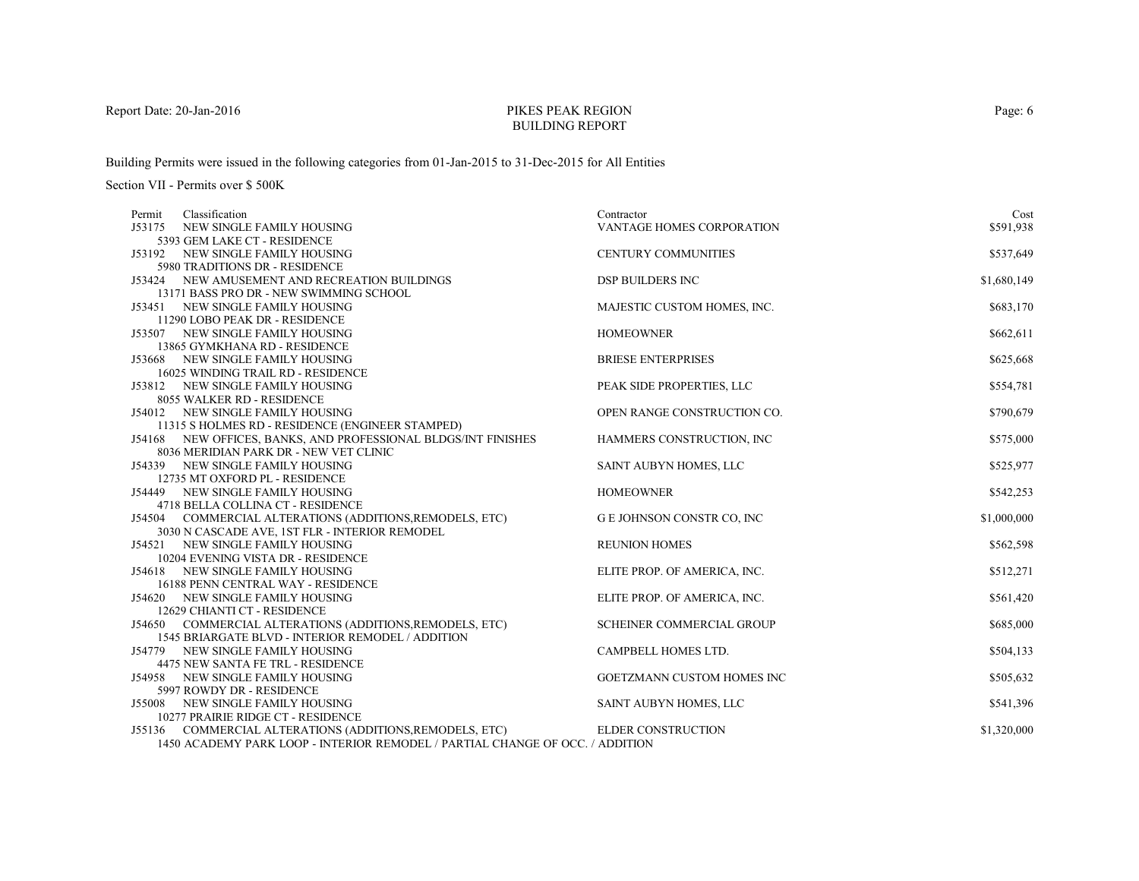# PIKES PEAK REGIONBUILDING REPORT

Building Permits were issued in the following categories from 01-Jan-2015 to 31-Dec-2015 for All Entities

| Classification<br>Permit                                                      | Contractor                       | Cost        |
|-------------------------------------------------------------------------------|----------------------------------|-------------|
| J53175<br>NEW SINGLE FAMILY HOUSING                                           | <b>VANTAGE HOMES CORPORATION</b> | \$591,938   |
| 5393 GEM LAKE CT - RESIDENCE                                                  |                                  |             |
| J53192 NEW SINGLE FAMILY HOUSING                                              | <b>CENTURY COMMUNITIES</b>       | \$537,649   |
| 5980 TRADITIONS DR - RESIDENCE                                                |                                  |             |
| J53424 NEW AMUSEMENT AND RECREATION BUILDINGS                                 | <b>DSP BUILDERS INC</b>          | \$1,680,149 |
| 13171 BASS PRO DR - NEW SWIMMING SCHOOL                                       |                                  |             |
| J53451 NEW SINGLE FAMILY HOUSING                                              | MAJESTIC CUSTOM HOMES, INC.      | \$683,170   |
| 11290 LOBO PEAK DR - RESIDENCE                                                |                                  |             |
| J53507 NEW SINGLE FAMILY HOUSING                                              | <b>HOMEOWNER</b>                 | \$662,611   |
| 13865 GYMKHANA RD - RESIDENCE                                                 |                                  |             |
| J53668 NEW SINGLE FAMILY HOUSING                                              | <b>BRIESE ENTERPRISES</b>        | \$625,668   |
| 16025 WINDING TRAIL RD - RESIDENCE                                            |                                  |             |
| J53812 NEW SINGLE FAMILY HOUSING                                              | PEAK SIDE PROPERTIES, LLC        | \$554,781   |
| 8055 WALKER RD - RESIDENCE                                                    |                                  |             |
| J54012 NEW SINGLE FAMILY HOUSING                                              | OPEN RANGE CONSTRUCTION CO.      | \$790,679   |
| 11315 S HOLMES RD - RESIDENCE (ENGINEER STAMPED)                              |                                  |             |
| J54168 NEW OFFICES, BANKS, AND PROFESSIONAL BLDGS/INT FINISHES                | HAMMERS CONSTRUCTION, INC        | \$575,000   |
| 8036 MERIDIAN PARK DR - NEW VET CLINIC                                        |                                  |             |
| J54339 NEW SINGLE FAMILY HOUSING                                              | SAINT AUBYN HOMES, LLC           | \$525,977   |
| 12735 MT OXFORD PL - RESIDENCE                                                |                                  |             |
| J54449 NEW SINGLE FAMILY HOUSING                                              | <b>HOMEOWNER</b>                 | \$542,253   |
| 4718 BELLA COLLINA CT - RESIDENCE                                             |                                  |             |
| J54504 COMMERCIAL ALTERATIONS (ADDITIONS, REMODELS, ETC)                      | G E JOHNSON CONSTR CO, INC       | \$1,000,000 |
| 3030 N CASCADE AVE, 1ST FLR - INTERIOR REMODEL                                |                                  |             |
| J54521 NEW SINGLE FAMILY HOUSING<br>10204 EVENING VISTA DR - RESIDENCE        | <b>REUNION HOMES</b>             | \$562,598   |
| J54618 NEW SINGLE FAMILY HOUSING                                              |                                  | \$512,271   |
| 16188 PENN CENTRAL WAY - RESIDENCE                                            | ELITE PROP. OF AMERICA, INC.     |             |
| J54620 NEW SINGLE FAMILY HOUSING                                              | ELITE PROP. OF AMERICA, INC.     | \$561,420   |
| 12629 CHIANTI CT - RESIDENCE                                                  |                                  |             |
| J54650 COMMERCIAL ALTERATIONS (ADDITIONS, REMODELS, ETC)                      | SCHEINER COMMERCIAL GROUP        | \$685,000   |
| 1545 BRIARGATE BLVD - INTERIOR REMODEL / ADDITION                             |                                  |             |
| J54779 NEW SINGLE FAMILY HOUSING                                              | CAMPBELL HOMES LTD.              | \$504,133   |
| 4475 NEW SANTA FE TRL - RESIDENCE                                             |                                  |             |
| J54958 NEW SINGLE FAMILY HOUSING                                              | GOETZMANN CUSTOM HOMES INC       | \$505,632   |
| 5997 ROWDY DR - RESIDENCE                                                     |                                  |             |
| J55008 NEW SINGLE FAMILY HOUSING                                              | SAINT AUBYN HOMES, LLC           | \$541,396   |
| 10277 PRAIRIE RIDGE CT - RESIDENCE                                            |                                  |             |
| J55136 COMMERCIAL ALTERATIONS (ADDITIONS, REMODELS, ETC)                      | <b>ELDER CONSTRUCTION</b>        | \$1,320,000 |
| 1450 ACADEMY PARK LOOP - INTERIOR REMODEL / PARTIAL CHANGE OF OCC. / ADDITION |                                  |             |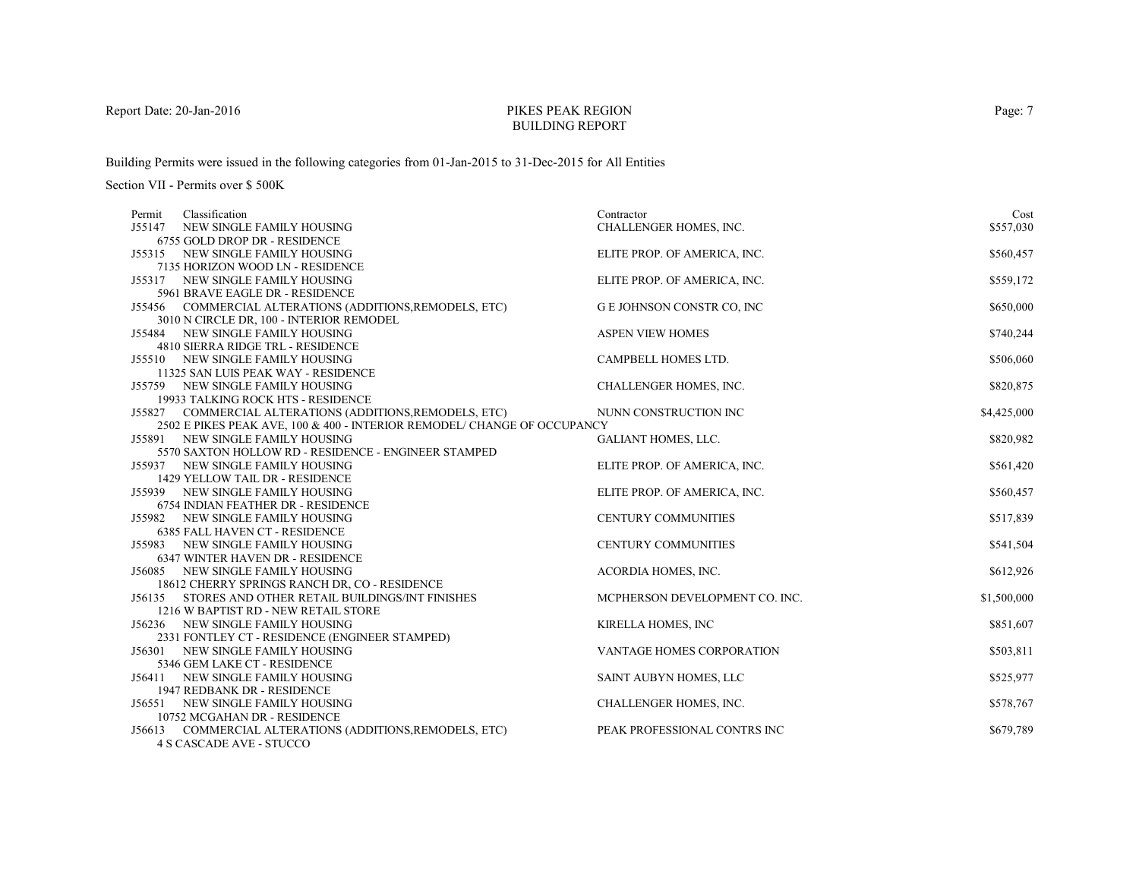# PIKES PEAK REGIONBUILDING REPORT

Building Permits were issued in the following categories from 01-Jan-2015 to 31-Dec-2015 for All Entities

| Classification<br>Permit                                                 | Contractor                        | Cost        |
|--------------------------------------------------------------------------|-----------------------------------|-------------|
| J55147<br>NEW SINGLE FAMILY HOUSING                                      | CHALLENGER HOMES, INC.            | \$557,030   |
| 6755 GOLD DROP DR - RESIDENCE                                            |                                   |             |
| J55315 NEW SINGLE FAMILY HOUSING                                         | ELITE PROP. OF AMERICA, INC.      | \$560,457   |
| 7135 HORIZON WOOD LN - RESIDENCE                                         |                                   |             |
| NEW SINGLE FAMILY HOUSING<br>J55317                                      | ELITE PROP. OF AMERICA, INC.      | \$559,172   |
| 5961 BRAVE EAGLE DR - RESIDENCE                                          |                                   |             |
| J55456 COMMERCIAL ALTERATIONS (ADDITIONS, REMODELS, ETC)                 | <b>G E JOHNSON CONSTR CO, INC</b> | \$650,000   |
| 3010 N CIRCLE DR, 100 - INTERIOR REMODEL                                 |                                   |             |
| J55484 NEW SINGLE FAMILY HOUSING                                         | <b>ASPEN VIEW HOMES</b>           | \$740,244   |
| 4810 SIERRA RIDGE TRL - RESIDENCE                                        |                                   |             |
| J55510 NEW SINGLE FAMILY HOUSING                                         | CAMPBELL HOMES LTD.               | \$506,060   |
| 11325 SAN LUIS PEAK WAY - RESIDENCE                                      |                                   |             |
| J55759 NEW SINGLE FAMILY HOUSING                                         | CHALLENGER HOMES, INC.            | \$820,875   |
| 19933 TALKING ROCK HTS - RESIDENCE                                       |                                   |             |
| J55827 COMMERCIAL ALTERATIONS (ADDITIONS, REMODELS, ETC)                 | NUNN CONSTRUCTION INC             | \$4,425,000 |
| 2502 E PIKES PEAK AVE, 100 & 400 - INTERIOR REMODEL/ CHANGE OF OCCUPANCY |                                   |             |
| J55891 NEW SINGLE FAMILY HOUSING                                         | <b>GALIANT HOMES, LLC.</b>        | \$820,982   |
| 5570 SAXTON HOLLOW RD - RESIDENCE - ENGINEER STAMPED                     |                                   |             |
| J55937 NEW SINGLE FAMILY HOUSING                                         | ELITE PROP. OF AMERICA, INC.      | \$561,420   |
| 1429 YELLOW TAIL DR - RESIDENCE                                          |                                   |             |
| J55939 NEW SINGLE FAMILY HOUSING                                         | ELITE PROP. OF AMERICA, INC.      | \$560,457   |
| 6754 INDIAN FEATHER DR - RESIDENCE                                       |                                   |             |
| J55982 NEW SINGLE FAMILY HOUSING                                         | <b>CENTURY COMMUNITIES</b>        | \$517,839   |
| <b>6385 FALL HAVEN CT - RESIDENCE</b>                                    |                                   |             |
| J55983 NEW SINGLE FAMILY HOUSING<br>6347 WINTER HAVEN DR - RESIDENCE     | <b>CENTURY COMMUNITIES</b>        | \$541,504   |
| J56085 NEW SINGLE FAMILY HOUSING                                         | ACORDIA HOMES, INC.               |             |
| 18612 CHERRY SPRINGS RANCH DR, CO - RESIDENCE                            |                                   | \$612,926   |
| J56135 STORES AND OTHER RETAIL BUILDINGS/INT FINISHES                    | MCPHERSON DEVELOPMENT CO. INC.    | \$1,500,000 |
| 1216 W BAPTIST RD - NEW RETAIL STORE                                     |                                   |             |
| J56236 NEW SINGLE FAMILY HOUSING                                         | KIRELLA HOMES, INC                | \$851,607   |
| 2331 FONTLEY CT - RESIDENCE (ENGINEER STAMPED)                           |                                   |             |
| NEW SINGLE FAMILY HOUSING<br>J56301                                      | VANTAGE HOMES CORPORATION         | \$503,811   |
| 5346 GEM LAKE CT - RESIDENCE                                             |                                   |             |
| J56411 NEW SINGLE FAMILY HOUSING                                         | SAINT AUBYN HOMES, LLC            | \$525,977   |
| 1947 REDBANK DR - RESIDENCE                                              |                                   |             |
| J56551 NEW SINGLE FAMILY HOUSING                                         | CHALLENGER HOMES, INC.            | \$578,767   |
| 10752 MCGAHAN DR - RESIDENCE                                             |                                   |             |
| COMMERCIAL ALTERATIONS (ADDITIONS, REMODELS, ETC)<br>J56613              | PEAK PROFESSIONAL CONTRS INC      | \$679,789   |
| <b>4 S CASCADE AVE - STUCCO</b>                                          |                                   |             |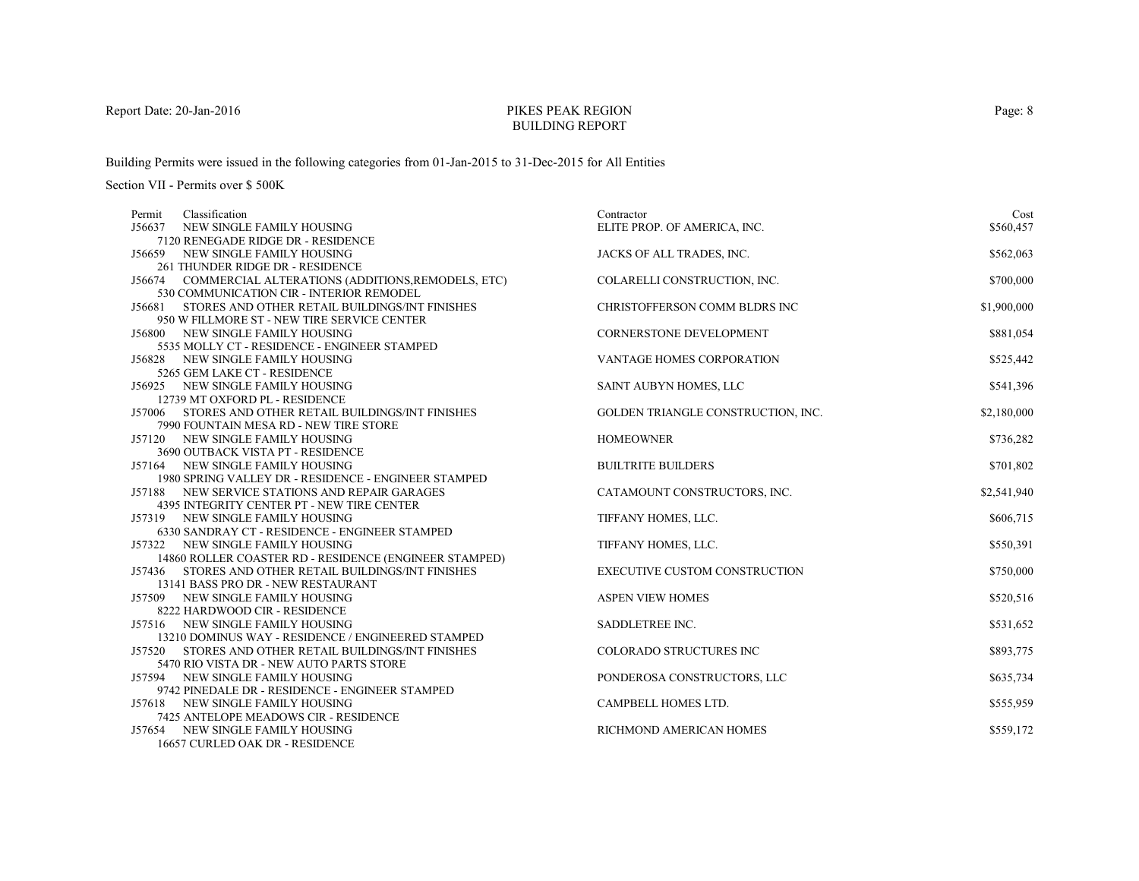# PIKES PEAK REGIONBUILDING REPORT

Building Permits were issued in the following categories from 01-Jan-2015 to 31-Dec-2015 for All Entities

| Classification<br>Permit                                                                                      | Contractor                           | Cost        |
|---------------------------------------------------------------------------------------------------------------|--------------------------------------|-------------|
| J56637<br>NEW SINGLE FAMILY HOUSING                                                                           | ELITE PROP. OF AMERICA, INC.         | \$560,457   |
| 7120 RENEGADE RIDGE DR - RESIDENCE                                                                            |                                      |             |
| J56659 NEW SINGLE FAMILY HOUSING                                                                              | JACKS OF ALL TRADES, INC.            | \$562,063   |
| 261 THUNDER RIDGE DR - RESIDENCE                                                                              |                                      |             |
| J56674 COMMERCIAL ALTERATIONS (ADDITIONS, REMODELS, ETC)                                                      | COLARELLI CONSTRUCTION, INC.         | \$700,000   |
| 530 COMMUNICATION CIR - INTERIOR REMODEL                                                                      |                                      |             |
| J56681 STORES AND OTHER RETAIL BUILDINGS/INT FINISHES                                                         | CHRISTOFFERSON COMM BLDRS INC        | \$1,900,000 |
| 950 W FILLMORE ST - NEW TIRE SERVICE CENTER                                                                   |                                      |             |
| J56800 NEW SINGLE FAMILY HOUSING                                                                              | <b>CORNERSTONE DEVELOPMENT</b>       | \$881,054   |
| 5535 MOLLY CT - RESIDENCE - ENGINEER STAMPED                                                                  |                                      |             |
| J56828 NEW SINGLE FAMILY HOUSING                                                                              | VANTAGE HOMES CORPORATION            | \$525,442   |
| 5265 GEM LAKE CT - RESIDENCE                                                                                  |                                      |             |
| J56925 NEW SINGLE FAMILY HOUSING                                                                              | SAINT AUBYN HOMES, LLC               | \$541,396   |
| 12739 MT OXFORD PL - RESIDENCE                                                                                |                                      |             |
| J57006 STORES AND OTHER RETAIL BUILDINGS/INT FINISHES                                                         | GOLDEN TRIANGLE CONSTRUCTION, INC.   | \$2,180,000 |
| 7990 FOUNTAIN MESA RD - NEW TIRE STORE                                                                        |                                      |             |
| J57120 NEW SINGLE FAMILY HOUSING                                                                              | <b>HOMEOWNER</b>                     | \$736,282   |
| 3690 OUTBACK VISTA PT - RESIDENCE                                                                             |                                      |             |
| J57164 NEW SINGLE FAMILY HOUSING                                                                              | <b>BUILTRITE BUILDERS</b>            | \$701,802   |
| 1980 SPRING VALLEY DR - RESIDENCE - ENGINEER STAMPED<br><b>J57188 NEW SERVICE STATIONS AND REPAIR GARAGES</b> |                                      |             |
| 4395 INTEGRITY CENTER PT - NEW TIRE CENTER                                                                    | CATAMOUNT CONSTRUCTORS, INC.         | \$2,541,940 |
| J57319 NEW SINGLE FAMILY HOUSING                                                                              | TIFFANY HOMES, LLC.                  | \$606,715   |
| 6330 SANDRAY CT - RESIDENCE - ENGINEER STAMPED                                                                |                                      |             |
| J57322 NEW SINGLE FAMILY HOUSING                                                                              | TIFFANY HOMES, LLC.                  | \$550,391   |
| 14860 ROLLER COASTER RD - RESIDENCE (ENGINEER STAMPED)                                                        |                                      |             |
| J57436 STORES AND OTHER RETAIL BUILDINGS/INT FINISHES                                                         | <b>EXECUTIVE CUSTOM CONSTRUCTION</b> | \$750,000   |
| 13141 BASS PRO DR - NEW RESTAURANT                                                                            |                                      |             |
| J57509 NEW SINGLE FAMILY HOUSING                                                                              | <b>ASPEN VIEW HOMES</b>              | \$520,516   |
| 8222 HARDWOOD CIR - RESIDENCE                                                                                 |                                      |             |
| J57516 NEW SINGLE FAMILY HOUSING                                                                              | SADDLETREE INC.                      | \$531,652   |
| 13210 DOMINUS WAY - RESIDENCE / ENGINEERED STAMPED                                                            |                                      |             |
| J57520 STORES AND OTHER RETAIL BUILDINGS/INT FINISHES                                                         | COLORADO STRUCTURES INC              | \$893,775   |
| 5470 RIO VISTA DR - NEW AUTO PARTS STORE                                                                      |                                      |             |
| J57594 NEW SINGLE FAMILY HOUSING                                                                              | PONDEROSA CONSTRUCTORS, LLC          | \$635,734   |
| 9742 PINEDALE DR - RESIDENCE - ENGINEER STAMPED                                                               |                                      |             |
| J57618 NEW SINGLE FAMILY HOUSING                                                                              | <b>CAMPBELL HOMES LTD.</b>           | \$555,959   |
| 7425 ANTELOPE MEADOWS CIR - RESIDENCE                                                                         |                                      |             |
| J57654 NEW SINGLE FAMILY HOUSING                                                                              | RICHMOND AMERICAN HOMES              | \$559,172   |
| 16657 CURLED OAK DR - RESIDENCE                                                                               |                                      |             |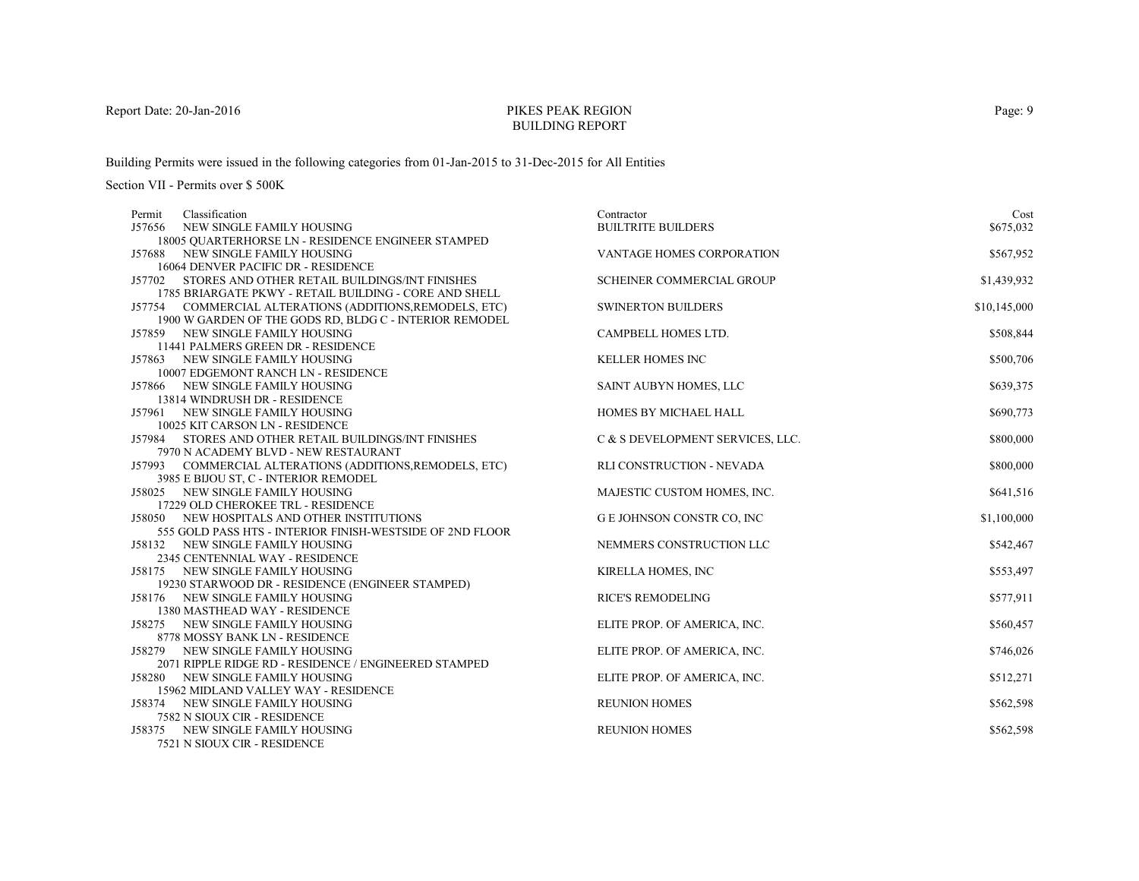# PIKES PEAK REGIONBUILDING REPORT

Building Permits were issued in the following categories from 01-Jan-2015 to 31-Dec-2015 for All Entities

Section VII - Permits over \$ 500K

| Classification<br>Permit                                                                         | Contractor                       | Cost         |
|--------------------------------------------------------------------------------------------------|----------------------------------|--------------|
| J57656<br>NEW SINGLE FAMILY HOUSING                                                              | <b>BUILTRITE BUILDERS</b>        | \$675,032    |
| 18005 OUARTERHORSE LN - RESIDENCE ENGINEER STAMPED                                               |                                  |              |
| J57688 NEW SINGLE FAMILY HOUSING                                                                 | VANTAGE HOMES CORPORATION        | \$567,952    |
| 16064 DENVER PACIFIC DR - RESIDENCE                                                              |                                  |              |
| J57702 STORES AND OTHER RETAIL BUILDINGS/INT FINISHES                                            | <b>SCHEINER COMMERCIAL GROUP</b> | \$1,439,932  |
| 1785 BRIARGATE PKWY - RETAIL BUILDING - CORE AND SHELL                                           |                                  |              |
| J57754 COMMERCIAL ALTERATIONS (ADDITIONS, REMODELS, ETC)                                         | <b>SWINERTON BUILDERS</b>        | \$10,145,000 |
| 1900 W GARDEN OF THE GODS RD, BLDG C - INTERIOR REMODEL                                          |                                  |              |
| J57859 NEW SINGLE FAMILY HOUSING                                                                 | CAMPBELL HOMES LTD.              | \$508,844    |
| 11441 PALMERS GREEN DR - RESIDENCE                                                               |                                  |              |
| J57863 NEW SINGLE FAMILY HOUSING                                                                 | <b>KELLER HOMES INC</b>          | \$500,706    |
| 10007 EDGEMONT RANCH LN - RESIDENCE                                                              |                                  |              |
| J57866 NEW SINGLE FAMILY HOUSING                                                                 | SAINT AUBYN HOMES, LLC           | \$639,375    |
| 13814 WINDRUSH DR - RESIDENCE                                                                    |                                  |              |
| J57961 NEW SINGLE FAMILY HOUSING                                                                 | HOMES BY MICHAEL HALL            | \$690,773    |
| 10025 KIT CARSON LN - RESIDENCE                                                                  |                                  |              |
| J57984 STORES AND OTHER RETAIL BUILDINGS/INT FINISHES                                            | C & S DEVELOPMENT SERVICES, LLC. | \$800,000    |
| 7970 N ACADEMY BLVD - NEW RESTAURANT<br>J57993 COMMERCIAL ALTERATIONS (ADDITIONS, REMODELS, ETC) | RLI CONSTRUCTION - NEVADA        | \$800,000    |
| 3985 E BIJOU ST, C - INTERIOR REMODEL                                                            |                                  |              |
| J58025 NEW SINGLE FAMILY HOUSING                                                                 | MAJESTIC CUSTOM HOMES, INC.      | \$641,516    |
| 17229 OLD CHEROKEE TRL - RESIDENCE                                                               |                                  |              |
| J58050 NEW HOSPITALS AND OTHER INSTITUTIONS                                                      | <b>GE JOHNSON CONSTR CO, INC</b> | \$1,100,000  |
| 555 GOLD PASS HTS - INTERIOR FINISH-WESTSIDE OF 2ND FLOOR                                        |                                  |              |
| J58132 NEW SINGLE FAMILY HOUSING                                                                 | NEMMERS CONSTRUCTION LLC         | \$542,467    |
| 2345 CENTENNIAL WAY - RESIDENCE                                                                  |                                  |              |
| J58175 NEW SINGLE FAMILY HOUSING                                                                 | KIRELLA HOMES, INC               | \$553,497    |
| 19230 STARWOOD DR - RESIDENCE (ENGINEER STAMPED)                                                 |                                  |              |
| J58176 NEW SINGLE FAMILY HOUSING                                                                 | <b>RICE'S REMODELING</b>         | \$577,911    |
| 1380 MASTHEAD WAY - RESIDENCE                                                                    |                                  |              |
| J58275 NEW SINGLE FAMILY HOUSING                                                                 | ELITE PROP. OF AMERICA, INC.     | \$560,457    |
| 8778 MOSSY BANK LN - RESIDENCE                                                                   |                                  |              |
| J58279<br>NEW SINGLE FAMILY HOUSING                                                              | ELITE PROP. OF AMERICA, INC.     | \$746,026    |
| 2071 RIPPLE RIDGE RD - RESIDENCE / ENGINEERED STAMPED                                            |                                  |              |
| J58280 NEW SINGLE FAMILY HOUSING                                                                 | ELITE PROP. OF AMERICA, INC.     | \$512,271    |
| 15962 MIDLAND VALLEY WAY - RESIDENCE                                                             |                                  |              |
| J58374 NEW SINGLE FAMILY HOUSING                                                                 | <b>REUNION HOMES</b>             | \$562,598    |
| 7582 N SIOUX CIR - RESIDENCE                                                                     |                                  |              |
| J58375 NEW SINGLE FAMILY HOUSING                                                                 | <b>REUNION HOMES</b>             | \$562,598    |
| 7521 N SIOUX CIR - RESIDENCE                                                                     |                                  |              |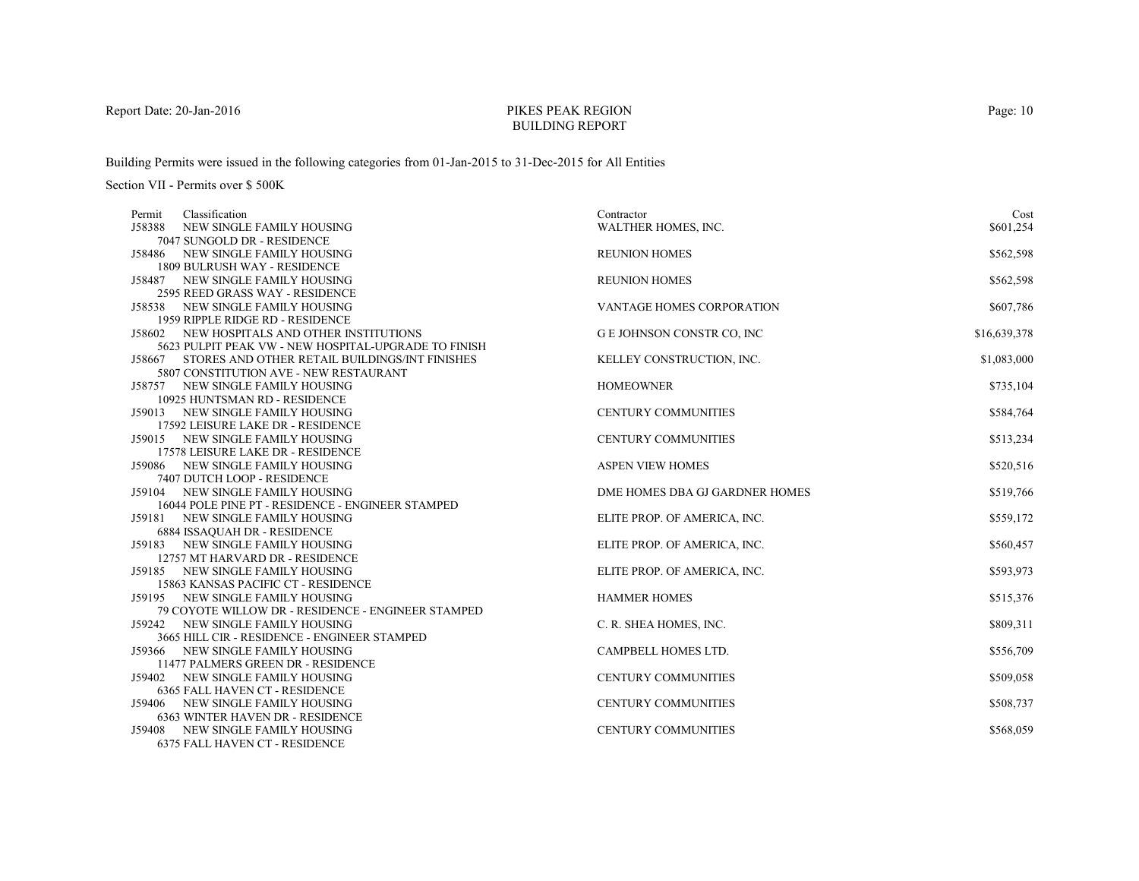# PIKES PEAK REGIONBUILDING REPORT

Building Permits were issued in the following categories from 01-Jan-2015 to 31-Dec-2015 for All Entities

Section VII - Permits over \$ 500K

| Classification<br>Permit                                                              | Contractor                     | Cost         |
|---------------------------------------------------------------------------------------|--------------------------------|--------------|
| J58388<br>NEW SINGLE FAMILY HOUSING                                                   | WALTHER HOMES, INC.            | \$601,254    |
| 7047 SUNGOLD DR - RESIDENCE                                                           |                                |              |
| J58486 NEW SINGLE FAMILY HOUSING                                                      | <b>REUNION HOMES</b>           | \$562,598    |
| 1809 BULRUSH WAY - RESIDENCE                                                          |                                |              |
| J58487 NEW SINGLE FAMILY HOUSING                                                      | <b>REUNION HOMES</b>           | \$562,598    |
| 2595 REED GRASS WAY - RESIDENCE                                                       |                                |              |
| J58538 NEW SINGLE FAMILY HOUSING                                                      | VANTAGE HOMES CORPORATION      | \$607,786    |
| 1959 RIPPLE RIDGE RD - RESIDENCE                                                      |                                |              |
| J58602 NEW HOSPITALS AND OTHER INSTITUTIONS                                           | G E JOHNSON CONSTR CO, INC     | \$16,639,378 |
| 5623 PULPIT PEAK VW - NEW HOSPITAL-UPGRADE TO FINISH                                  |                                |              |
| J58667 STORES AND OTHER RETAIL BUILDINGS/INT FINISHES                                 | KELLEY CONSTRUCTION, INC.      | \$1,083,000  |
| 5807 CONSTITUTION AVE - NEW RESTAURANT                                                |                                |              |
| J58757 NEW SINGLE FAMILY HOUSING                                                      | <b>HOMEOWNER</b>               | \$735,104    |
| 10925 HUNTSMAN RD - RESIDENCE                                                         |                                |              |
| J59013 NEW SINGLE FAMILY HOUSING                                                      | <b>CENTURY COMMUNITIES</b>     | \$584,764    |
| 17592 LEISURE LAKE DR - RESIDENCE                                                     |                                |              |
| J59015 NEW SINGLE FAMILY HOUSING                                                      | <b>CENTURY COMMUNITIES</b>     | \$513,234    |
| 17578 LEISURE LAKE DR - RESIDENCE                                                     |                                |              |
| J59086 NEW SINGLE FAMILY HOUSING                                                      | <b>ASPEN VIEW HOMES</b>        | \$520,516    |
| 7407 DUTCH LOOP - RESIDENCE                                                           |                                |              |
| J59104 NEW SINGLE FAMILY HOUSING<br>16044 POLE PINE PT - RESIDENCE - ENGINEER STAMPED | DME HOMES DBA GJ GARDNER HOMES | \$519,766    |
| J59181 NEW SINGLE FAMILY HOUSING                                                      | ELITE PROP. OF AMERICA, INC.   | \$559,172    |
| <b>6884 ISSAQUAH DR - RESIDENCE</b>                                                   |                                |              |
| J59183 NEW SINGLE FAMILY HOUSING                                                      | ELITE PROP. OF AMERICA, INC.   | \$560,457    |
| 12757 MT HARVARD DR - RESIDENCE                                                       |                                |              |
| J59185 NEW SINGLE FAMILY HOUSING                                                      | ELITE PROP. OF AMERICA, INC.   | \$593,973    |
| 15863 KANSAS PACIFIC CT - RESIDENCE                                                   |                                |              |
| J59195 NEW SINGLE FAMILY HOUSING                                                      | <b>HAMMER HOMES</b>            | \$515,376    |
| 79 COYOTE WILLOW DR - RESIDENCE - ENGINEER STAMPED                                    |                                |              |
| J59242 NEW SINGLE FAMILY HOUSING                                                      | C. R. SHEA HOMES, INC.         | \$809,311    |
| 3665 HILL CIR - RESIDENCE - ENGINEER STAMPED                                          |                                |              |
| J59366 NEW SINGLE FAMILY HOUSING                                                      | CAMPBELL HOMES LTD.            | \$556,709    |
| 11477 PALMERS GREEN DR - RESIDENCE                                                    |                                |              |
| J59402 NEW SINGLE FAMILY HOUSING                                                      | <b>CENTURY COMMUNITIES</b>     | \$509,058    |
| <b>6365 FALL HAVEN CT - RESIDENCE</b>                                                 |                                |              |
| J59406 NEW SINGLE FAMILY HOUSING                                                      | <b>CENTURY COMMUNITIES</b>     | \$508,737    |
| <b>6363 WINTER HAVEN DR - RESIDENCE</b>                                               |                                |              |
| NEW SINGLE FAMILY HOUSING<br>J59408                                                   | <b>CENTURY COMMUNITIES</b>     | \$568,059    |
| 6375 FALL HAVEN CT - RESIDENCE                                                        |                                |              |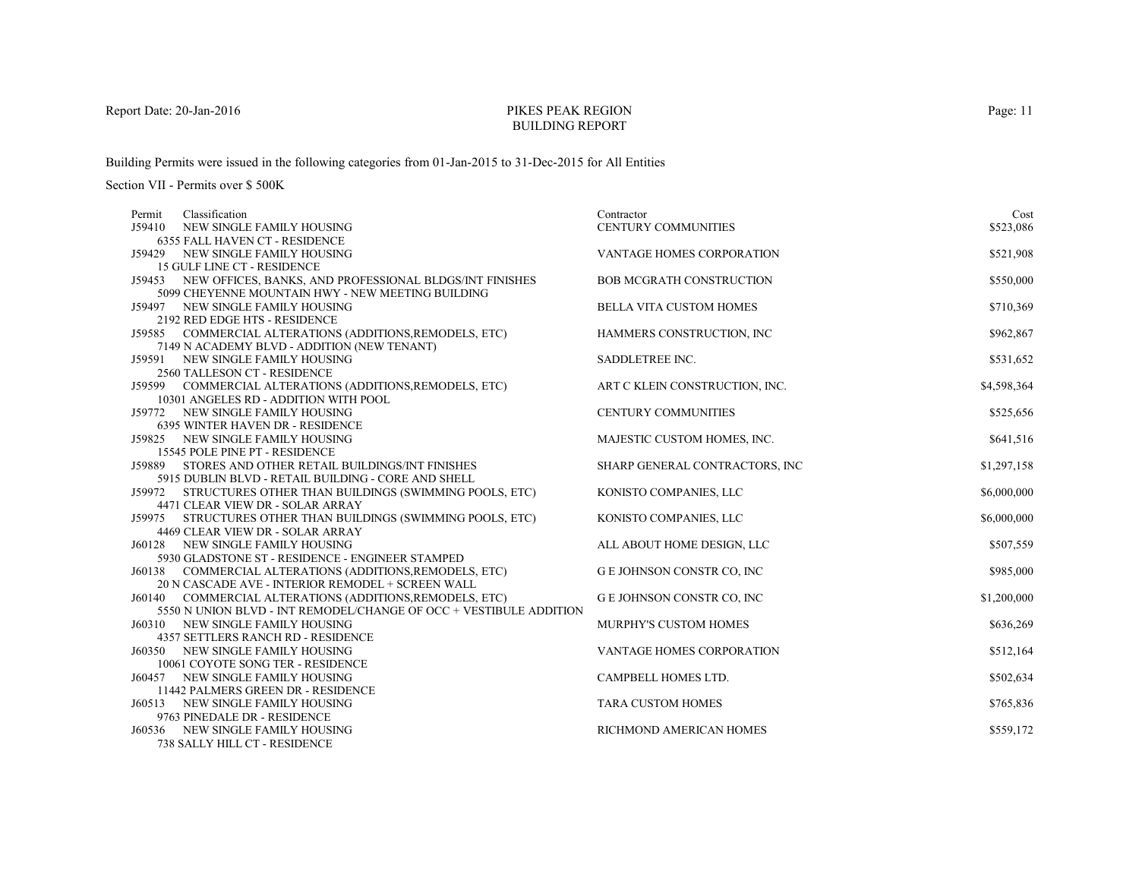# PIKES PEAK REGIONBUILDING REPORT

Building Permits were issued in the following categories from 01-Jan-2015 to 31-Dec-2015 for All Entities

| Permit | Classification                                                                       | Contractor                        | Cost        |
|--------|--------------------------------------------------------------------------------------|-----------------------------------|-------------|
| J59410 | NEW SINGLE FAMILY HOUSING                                                            | <b>CENTURY COMMUNITIES</b>        | \$523,086   |
|        | <b>6355 FALL HAVEN CT - RESIDENCE</b>                                                |                                   |             |
| J59429 | NEW SINGLE FAMILY HOUSING                                                            | VANTAGE HOMES CORPORATION         | \$521,908   |
|        | 15 GULF LINE CT - RESIDENCE                                                          |                                   |             |
|        | J59453 NEW OFFICES, BANKS, AND PROFESSIONAL BLDGS/INT FINISHES                       | <b>BOB MCGRATH CONSTRUCTION</b>   | \$550,000   |
|        | 5099 CHEYENNE MOUNTAIN HWY - NEW MEETING BUILDING                                    |                                   |             |
|        | J59497 NEW SINGLE FAMILY HOUSING<br>2192 RED EDGE HTS - RESIDENCE                    | <b>BELLA VITA CUSTOM HOMES</b>    | \$710,369   |
|        | J59585 COMMERCIAL ALTERATIONS (ADDITIONS, REMODELS, ETC)                             | HAMMERS CONSTRUCTION, INC         | \$962,867   |
|        | 7149 N ACADEMY BLVD - ADDITION (NEW TENANT)                                          |                                   |             |
|        | J59591 NEW SINGLE FAMILY HOUSING                                                     | SADDLETREE INC.                   | \$531,652   |
|        | 2560 TALLESON CT - RESIDENCE                                                         |                                   |             |
|        | J59599 COMMERCIAL ALTERATIONS (ADDITIONS, REMODELS, ETC)                             | ART C KLEIN CONSTRUCTION, INC.    | \$4,598,364 |
|        | 10301 ANGELES RD - ADDITION WITH POOL                                                |                                   |             |
|        | J59772 NEW SINGLE FAMILY HOUSING                                                     | <b>CENTURY COMMUNITIES</b>        | \$525,656   |
|        | 6395 WINTER HAVEN DR - RESIDENCE                                                     |                                   |             |
|        | J59825 NEW SINGLE FAMILY HOUSING                                                     | MAJESTIC CUSTOM HOMES, INC.       | \$641,516   |
|        | 15545 POLE PINE PT - RESIDENCE                                                       |                                   |             |
|        | J59889 STORES AND OTHER RETAIL BUILDINGS/INT FINISHES                                | SHARP GENERAL CONTRACTORS, INC    | \$1,297,158 |
|        | 5915 DUBLIN BLVD - RETAIL BUILDING - CORE AND SHELL                                  |                                   |             |
|        | J59972 STRUCTURES OTHER THAN BUILDINGS (SWIMMING POOLS, ETC)                         | KONISTO COMPANIES, LLC            | \$6,000,000 |
|        | 4471 CLEAR VIEW DR - SOLAR ARRAY                                                     |                                   |             |
|        | J59975 STRUCTURES OTHER THAN BUILDINGS (SWIMMING POOLS, ETC)                         | KONISTO COMPANIES, LLC            | \$6,000,000 |
|        | 4469 CLEAR VIEW DR - SOLAR ARRAY                                                     |                                   |             |
|        | J60128 NEW SINGLE FAMILY HOUSING<br>5930 GLADSTONE ST - RESIDENCE - ENGINEER STAMPED | ALL ABOUT HOME DESIGN, LLC        | \$507,559   |
|        | J60138 COMMERCIAL ALTERATIONS (ADDITIONS, REMODELS, ETC)                             | <b>G E JOHNSON CONSTR CO, INC</b> | \$985,000   |
|        | 20 N CASCADE AVE - INTERIOR REMODEL + SCREEN WALL                                    |                                   |             |
|        | J60140 COMMERCIAL ALTERATIONS (ADDITIONS, REMODELS, ETC)                             | G E JOHNSON CONSTR CO, INC        | \$1,200,000 |
|        | 5550 N UNION BLVD - INT REMODEL/CHANGE OF OCC + VESTIBULE ADDITION                   |                                   |             |
|        | J60310 NEW SINGLE FAMILY HOUSING                                                     | MURPHY'S CUSTOM HOMES             | \$636,269   |
|        | 4357 SETTLERS RANCH RD - RESIDENCE                                                   |                                   |             |
|        | <b>J60350 NEW SINGLE FAMILY HOUSING</b>                                              | <b>VANTAGE HOMES CORPORATION</b>  | \$512,164   |
|        | 10061 COYOTE SONG TER - RESIDENCE                                                    |                                   |             |
|        | <b>J60457 NEW SINGLE FAMILY HOUSING</b>                                              | CAMPBELL HOMES LTD.               | \$502,634   |
|        | 11442 PALMERS GREEN DR - RESIDENCE                                                   |                                   |             |
|        | J60513 NEW SINGLE FAMILY HOUSING                                                     | <b>TARA CUSTOM HOMES</b>          | \$765,836   |
|        | 9763 PINEDALE DR - RESIDENCE                                                         |                                   |             |
|        | <b>J60536 NEW SINGLE FAMILY HOUSING</b>                                              | RICHMOND AMERICAN HOMES           | \$559,172   |
|        | 738 SALLY HILL CT - RESIDENCE                                                        |                                   |             |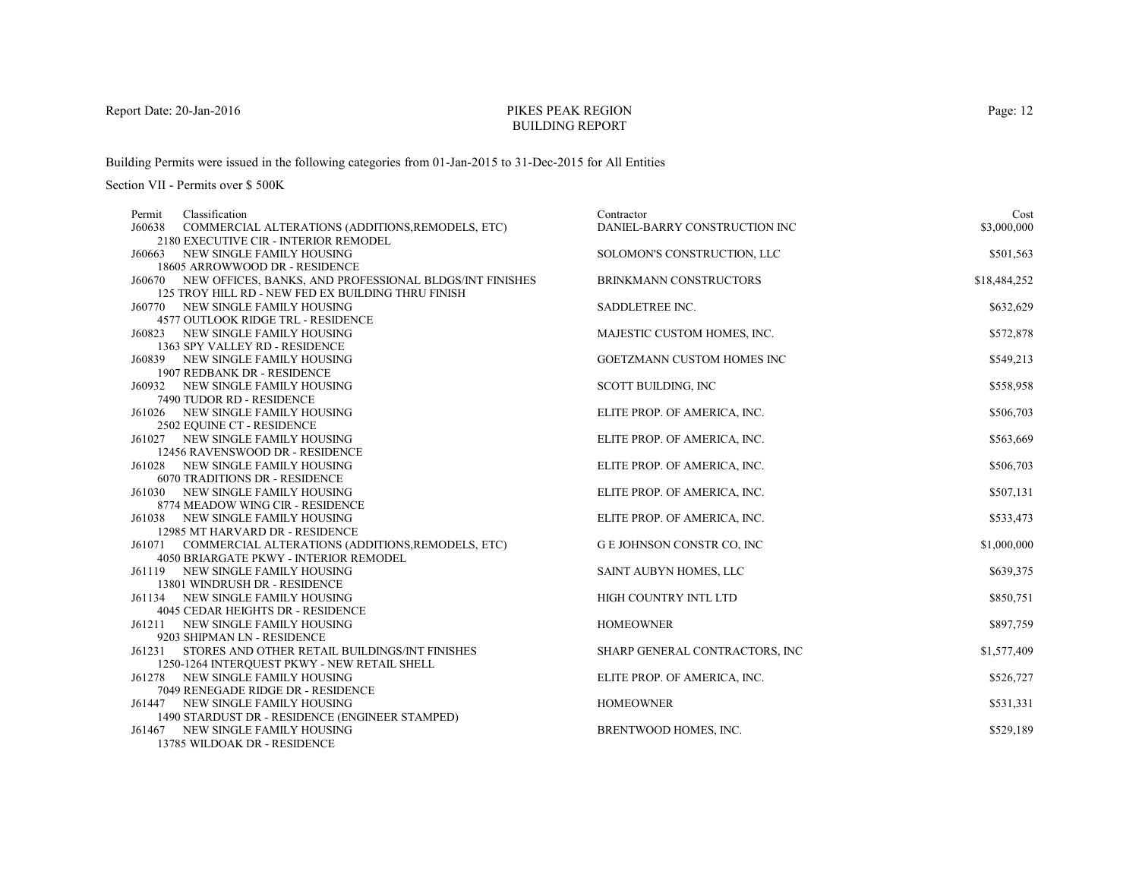# PIKES PEAK REGIONBUILDING REPORT

Building Permits were issued in the following categories from 01-Jan-2015 to 31-Dec-2015 for All Entities

Section VII - Permits over \$ 500K

| Classification<br>Permit                                                                  | Contractor                        | Cost         |
|-------------------------------------------------------------------------------------------|-----------------------------------|--------------|
| J60638<br>COMMERCIAL ALTERATIONS (ADDITIONS, REMODELS, ETC)                               | DANIEL-BARRY CONSTRUCTION INC     | \$3,000,000  |
| 2180 EXECUTIVE CIR - INTERIOR REMODEL                                                     |                                   |              |
| J60663 NEW SINGLE FAMILY HOUSING                                                          | SOLOMON'S CONSTRUCTION, LLC       | \$501,563    |
| 18605 ARROWWOOD DR - RESIDENCE                                                            |                                   |              |
| J60670 NEW OFFICES, BANKS, AND PROFESSIONAL BLDGS/INT FINISHES                            | <b>BRINKMANN CONSTRUCTORS</b>     | \$18,484,252 |
| 125 TROY HILL RD - NEW FED EX BUILDING THRU FINISH<br>J60770<br>NEW SINGLE FAMILY HOUSING | SADDLETREE INC.                   | \$632,629    |
| 4577 OUTLOOK RIDGE TRL - RESIDENCE                                                        |                                   |              |
| <b>J60823 NEW SINGLE FAMILY HOUSING</b>                                                   | MAJESTIC CUSTOM HOMES, INC.       | \$572,878    |
| 1363 SPY VALLEY RD - RESIDENCE                                                            |                                   |              |
| J60839 NEW SINGLE FAMILY HOUSING                                                          | GOETZMANN CUSTOM HOMES INC        | \$549,213    |
| 1907 REDBANK DR - RESIDENCE                                                               |                                   |              |
| J60932 NEW SINGLE FAMILY HOUSING                                                          | <b>SCOTT BUILDING, INC</b>        | \$558,958    |
| 7490 TUDOR RD - RESIDENCE                                                                 |                                   |              |
| J61026 NEW SINGLE FAMILY HOUSING                                                          | ELITE PROP. OF AMERICA, INC.      | \$506,703    |
| 2502 EQUINE CT - RESIDENCE                                                                |                                   |              |
| J61027 NEW SINGLE FAMILY HOUSING                                                          | ELITE PROP. OF AMERICA, INC.      | \$563,669    |
| 12456 RAVENSWOOD DR - RESIDENCE                                                           |                                   |              |
| J61028 NEW SINGLE FAMILY HOUSING                                                          | ELITE PROP. OF AMERICA, INC.      | \$506,703    |
| <b>6070 TRADITIONS DR - RESIDENCE</b>                                                     |                                   |              |
| NEW SINGLE FAMILY HOUSING<br>J61030                                                       | ELITE PROP. OF AMERICA, INC.      | \$507,131    |
| 8774 MEADOW WING CIR - RESIDENCE                                                          |                                   |              |
| J61038 NEW SINGLE FAMILY HOUSING<br>12985 MT HARVARD DR - RESIDENCE                       | ELITE PROP. OF AMERICA, INC.      | \$533,473    |
| J61071 COMMERCIAL ALTERATIONS (ADDITIONS, REMODELS, ETC)                                  | <b>G E JOHNSON CONSTR CO, INC</b> | \$1,000,000  |
| 4050 BRIARGATE PKWY - INTERIOR REMODEL                                                    |                                   |              |
| J61119 NEW SINGLE FAMILY HOUSING                                                          | SAINT AUBYN HOMES, LLC            | \$639,375    |
| 13801 WINDRUSH DR - RESIDENCE                                                             |                                   |              |
| J61134 NEW SINGLE FAMILY HOUSING                                                          | HIGH COUNTRY INTL LTD             | \$850,751    |
| 4045 CEDAR HEIGHTS DR - RESIDENCE                                                         |                                   |              |
| J61211<br>NEW SINGLE FAMILY HOUSING                                                       | <b>HOMEOWNER</b>                  | \$897,759    |
| 9203 SHIPMAN LN - RESIDENCE                                                               |                                   |              |
| STORES AND OTHER RETAIL BUILDINGS/INT FINISHES<br>J61231                                  | SHARP GENERAL CONTRACTORS, INC    | \$1,577,409  |
| 1250-1264 INTERQUEST PKWY - NEW RETAIL SHELL                                              |                                   |              |
| J61278 NEW SINGLE FAMILY HOUSING                                                          | ELITE PROP. OF AMERICA, INC.      | \$526,727    |
| 7049 RENEGADE RIDGE DR - RESIDENCE                                                        |                                   |              |
| J61447 NEW SINGLE FAMILY HOUSING                                                          | <b>HOMEOWNER</b>                  | \$531,331    |
| 1490 STARDUST DR - RESIDENCE (ENGINEER STAMPED)                                           |                                   |              |
| J61467 NEW SINGLE FAMILY HOUSING                                                          | BRENTWOOD HOMES, INC.             | \$529,189    |
| 13785 WILDOAK DR - RESIDENCE                                                              |                                   |              |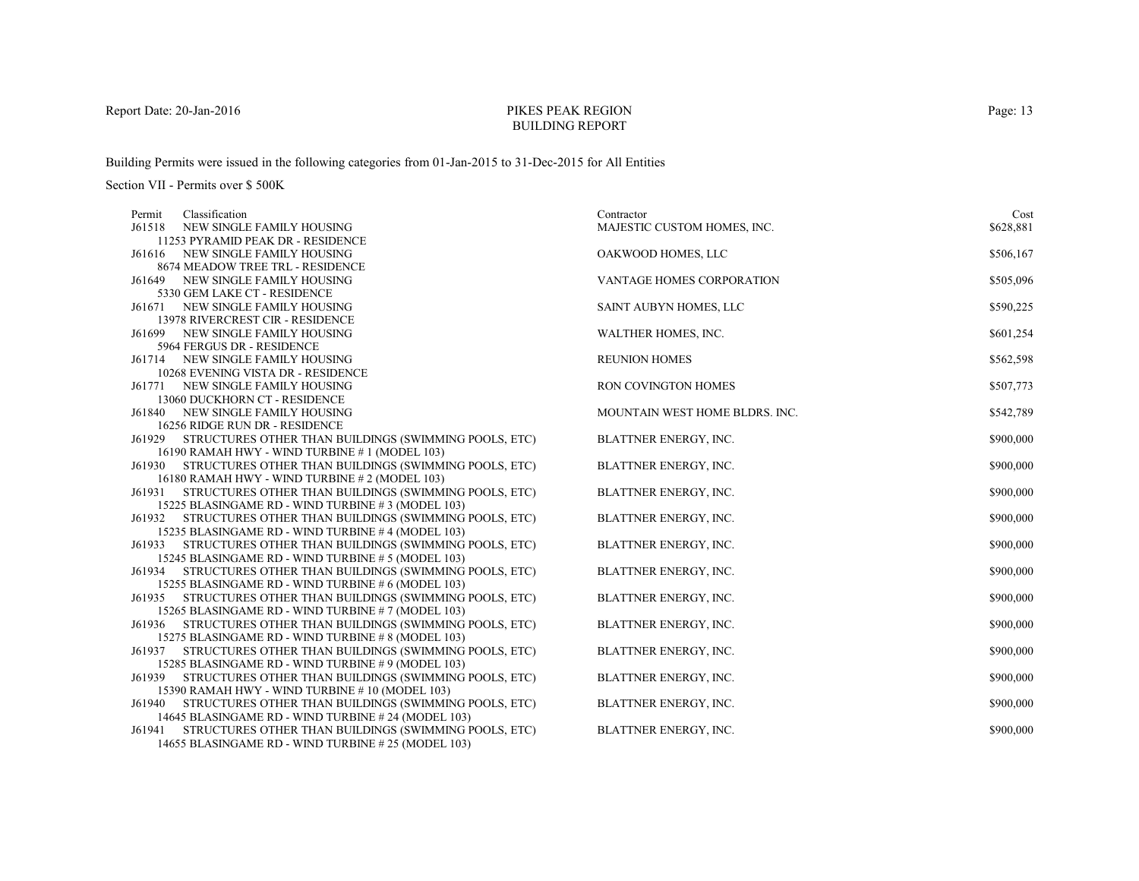# PIKES PEAK REGIONBUILDING REPORT

Building Permits were issued in the following categories from 01-Jan-2015 to 31-Dec-2015 for All Entities

| Classification<br>Permit                                                                                          | Contractor                     | Cost      |
|-------------------------------------------------------------------------------------------------------------------|--------------------------------|-----------|
| J61518<br>NEW SINGLE FAMILY HOUSING                                                                               | MAJESTIC CUSTOM HOMES, INC.    | \$628,881 |
| 11253 PYRAMID PEAK DR - RESIDENCE                                                                                 |                                |           |
| NEW SINGLE FAMILY HOUSING<br>J61616                                                                               | OAKWOOD HOMES, LLC             | \$506,167 |
| 8674 MEADOW TREE TRL - RESIDENCE                                                                                  |                                |           |
| NEW SINGLE FAMILY HOUSING<br>J61649                                                                               | VANTAGE HOMES CORPORATION      | \$505,096 |
| 5330 GEM LAKE CT - RESIDENCE                                                                                      |                                |           |
| J61671<br>NEW SINGLE FAMILY HOUSING                                                                               | SAINT AUBYN HOMES, LLC         | \$590,225 |
| 13978 RIVERCREST CIR - RESIDENCE                                                                                  |                                |           |
| NEW SINGLE FAMILY HOUSING<br>J61699                                                                               | WALTHER HOMES, INC.            | \$601,254 |
| 5964 FERGUS DR - RESIDENCE                                                                                        |                                |           |
| J61714 NEW SINGLE FAMILY HOUSING                                                                                  | <b>REUNION HOMES</b>           | \$562,598 |
| 10268 EVENING VISTA DR - RESIDENCE                                                                                |                                |           |
| NEW SINGLE FAMILY HOUSING<br>J61771                                                                               | RON COVINGTON HOMES            | \$507,773 |
| 13060 DUCKHORN CT - RESIDENCE                                                                                     |                                |           |
| NEW SINGLE FAMILY HOUSING<br>J61840                                                                               | MOUNTAIN WEST HOME BLDRS. INC. | \$542,789 |
| 16256 RIDGE RUN DR - RESIDENCE                                                                                    |                                |           |
| J61929 STRUCTURES OTHER THAN BUILDINGS (SWIMMING POOLS, ETC)                                                      | BLATTNER ENERGY, INC.          | \$900,000 |
| 16190 RAMAH HWY - WIND TURBINE #1 (MODEL 103)                                                                     |                                |           |
| STRUCTURES OTHER THAN BUILDINGS (SWIMMING POOLS, ETC)<br>J61930<br>16180 RAMAH HWY - WIND TURBINE # 2 (MODEL 103) | BLATTNER ENERGY, INC.          | \$900,000 |
| STRUCTURES OTHER THAN BUILDINGS (SWIMMING POOLS, ETC)                                                             |                                | \$900,000 |
| J61931<br>15225 BLASINGAME RD - WIND TURBINE #3 (MODEL 103)                                                       | BLATTNER ENERGY, INC.          |           |
| J61932 STRUCTURES OTHER THAN BUILDINGS (SWIMMING POOLS, ETC)                                                      | BLATTNER ENERGY, INC.          | \$900,000 |
| 15235 BLASINGAME RD - WIND TURBINE #4 (MODEL 103)                                                                 |                                |           |
| STRUCTURES OTHER THAN BUILDINGS (SWIMMING POOLS, ETC)<br>J61933                                                   | BLATTNER ENERGY, INC.          | \$900,000 |
| 15245 BLASINGAME RD - WIND TURBINE # 5 (MODEL 103)                                                                |                                |           |
| STRUCTURES OTHER THAN BUILDINGS (SWIMMING POOLS, ETC)<br>J61934                                                   | BLATTNER ENERGY, INC.          | \$900,000 |
| 15255 BLASINGAME RD - WIND TURBINE # 6 (MODEL 103)                                                                |                                |           |
| J61935 STRUCTURES OTHER THAN BUILDINGS (SWIMMING POOLS, ETC)                                                      | BLATTNER ENERGY, INC.          | \$900,000 |
| 15265 BLASINGAME RD - WIND TURBINE # 7 (MODEL 103)                                                                |                                |           |
| STRUCTURES OTHER THAN BUILDINGS (SWIMMING POOLS, ETC)<br>J61936                                                   | BLATTNER ENERGY, INC.          | \$900,000 |
| 15275 BLASINGAME RD - WIND TURBINE # 8 (MODEL 103)                                                                |                                |           |
| STRUCTURES OTHER THAN BUILDINGS (SWIMMING POOLS, ETC)<br>J61937                                                   | BLATTNER ENERGY, INC.          | \$900,000 |
| 15285 BLASINGAME RD - WIND TURBINE #9 (MODEL 103)                                                                 |                                |           |
| STRUCTURES OTHER THAN BUILDINGS (SWIMMING POOLS, ETC)<br>J61939                                                   | <b>BLATTNER ENERGY, INC.</b>   | \$900,000 |
| 15390 RAMAH HWY - WIND TURBINE #10 (MODEL 103)                                                                    |                                |           |
| STRUCTURES OTHER THAN BUILDINGS (SWIMMING POOLS, ETC)<br>J61940                                                   | <b>BLATTNER ENERGY, INC.</b>   | \$900,000 |
| 14645 BLASINGAME RD - WIND TURBINE #24 (MODEL 103)                                                                |                                |           |
| STRUCTURES OTHER THAN BUILDINGS (SWIMMING POOLS, ETC)<br>J61941                                                   | <b>BLATTNER ENERGY, INC.</b>   | \$900,000 |
| 14655 BLASINGAME RD - WIND TURBINE #25 (MODEL 103)                                                                |                                |           |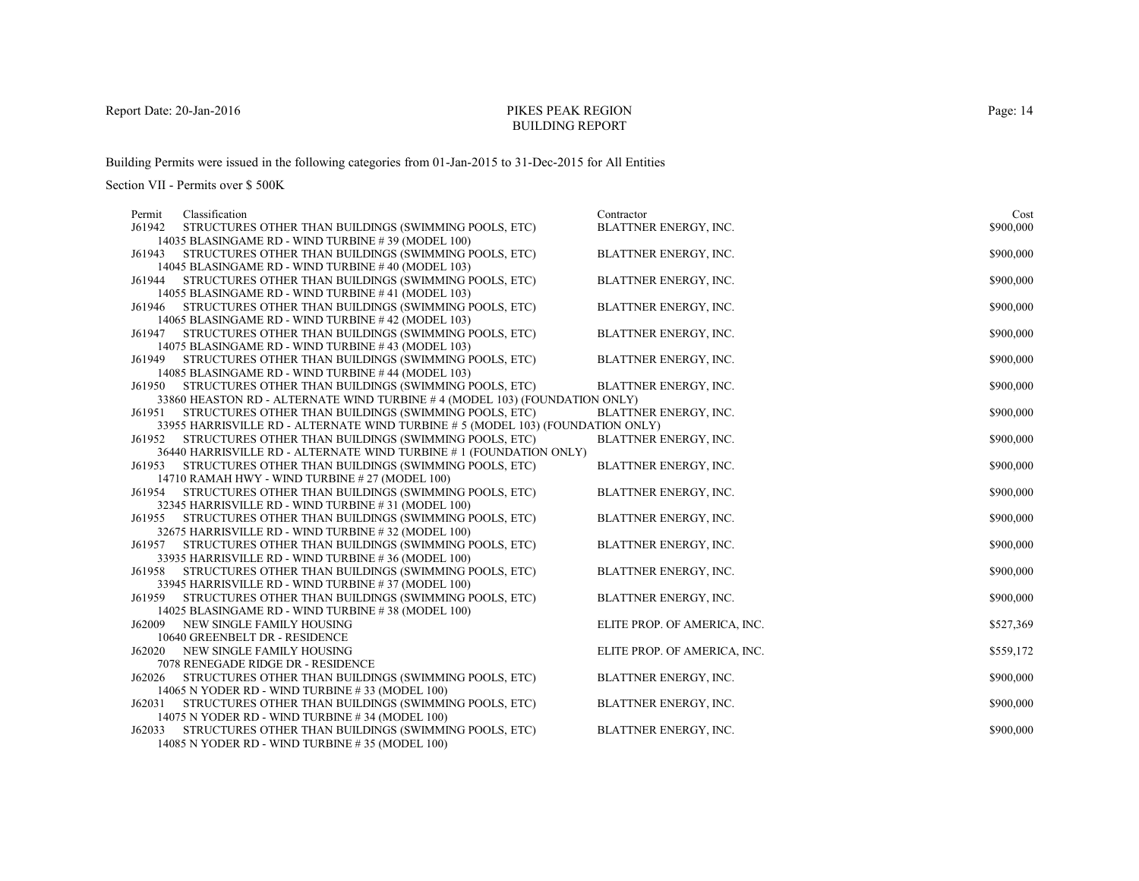# PIKES PEAK REGIONBUILDING REPORT

Building Permits were issued in the following categories from 01-Jan-2015 to 31-Dec-2015 for All Entities

| Permit | Classification                                                                                               | Contractor                   | Cost      |
|--------|--------------------------------------------------------------------------------------------------------------|------------------------------|-----------|
| J61942 | STRUCTURES OTHER THAN BUILDINGS (SWIMMING POOLS, ETC)                                                        | <b>BLATTNER ENERGY, INC.</b> | \$900,000 |
|        | 14035 BLASINGAME RD - WIND TURBINE #39 (MODEL 100)                                                           |                              |           |
| J61943 | STRUCTURES OTHER THAN BUILDINGS (SWIMMING POOLS, ETC)                                                        | <b>BLATTNER ENERGY, INC.</b> | \$900,000 |
|        | 14045 BLASINGAME RD - WIND TURBINE #40 (MODEL 103)                                                           |                              |           |
| J61944 | STRUCTURES OTHER THAN BUILDINGS (SWIMMING POOLS, ETC)                                                        | BLATTNER ENERGY, INC.        | \$900,000 |
|        | 14055 BLASINGAME RD - WIND TURBINE #41 (MODEL 103)                                                           |                              |           |
| J61946 | STRUCTURES OTHER THAN BUILDINGS (SWIMMING POOLS, ETC)                                                        | <b>BLATTNER ENERGY, INC.</b> | \$900,000 |
|        | 14065 BLASINGAME RD - WIND TURBINE #42 (MODEL 103)                                                           |                              |           |
| J61947 | STRUCTURES OTHER THAN BUILDINGS (SWIMMING POOLS, ETC)                                                        | BLATTNER ENERGY, INC.        | \$900,000 |
|        | 14075 BLASINGAME RD - WIND TURBINE #43 (MODEL 103)<br>STRUCTURES OTHER THAN BUILDINGS (SWIMMING POOLS, ETC)  | BLATTNER ENERGY, INC.        | \$900,000 |
| J61949 | 14085 BLASINGAME RD - WIND TURBINE #44 (MODEL 103)                                                           |                              |           |
| J61950 | STRUCTURES OTHER THAN BUILDINGS (SWIMMING POOLS, ETC)                                                        | <b>BLATTNER ENERGY, INC.</b> | \$900,000 |
|        | 33860 HEASTON RD - ALTERNATE WIND TURBINE #4 (MODEL 103) (FOUNDATION ONLY)                                   |                              |           |
| J61951 | STRUCTURES OTHER THAN BUILDINGS (SWIMMING POOLS, ETC)                                                        | <b>BLATTNER ENERGY, INC.</b> | \$900,000 |
|        | 33955 HARRISVILLE RD - ALTERNATE WIND TURBINE # 5 (MODEL 103) (FOUNDATION ONLY)                              |                              |           |
| J61952 | STRUCTURES OTHER THAN BUILDINGS (SWIMMING POOLS, ETC)                                                        | BLATTNER ENERGY, INC.        | \$900,000 |
|        | 36440 HARRISVILLE RD - ALTERNATE WIND TURBINE # 1 (FOUNDATION ONLY)                                          |                              |           |
| J61953 | STRUCTURES OTHER THAN BUILDINGS (SWIMMING POOLS, ETC)                                                        | <b>BLATTNER ENERGY, INC.</b> | \$900,000 |
|        | 14710 RAMAH HWY - WIND TURBINE # 27 (MODEL 100)                                                              |                              |           |
| J61954 | STRUCTURES OTHER THAN BUILDINGS (SWIMMING POOLS, ETC)                                                        | BLATTNER ENERGY, INC.        | \$900,000 |
|        | 32345 HARRISVILLE RD - WIND TURBINE #31 (MODEL 100)                                                          |                              |           |
| J61955 | STRUCTURES OTHER THAN BUILDINGS (SWIMMING POOLS, ETC)                                                        | <b>BLATTNER ENERGY, INC.</b> | \$900,000 |
|        | 32675 HARRISVILLE RD - WIND TURBINE #32 (MODEL 100)                                                          |                              |           |
| J61957 | STRUCTURES OTHER THAN BUILDINGS (SWIMMING POOLS, ETC)                                                        | <b>BLATTNER ENERGY, INC.</b> | \$900,000 |
|        | 33935 HARRISVILLE RD - WIND TURBINE #36 (MODEL 100)                                                          |                              |           |
| J61958 | STRUCTURES OTHER THAN BUILDINGS (SWIMMING POOLS, ETC)                                                        | BLATTNER ENERGY, INC.        | \$900,000 |
| J61959 | 33945 HARRISVILLE RD - WIND TURBINE #37 (MODEL 100)<br>STRUCTURES OTHER THAN BUILDINGS (SWIMMING POOLS, ETC) | <b>BLATTNER ENERGY, INC.</b> | \$900,000 |
|        | 14025 BLASINGAME RD - WIND TURBINE #38 (MODEL 100)                                                           |                              |           |
| J62009 | NEW SINGLE FAMILY HOUSING                                                                                    | ELITE PROP. OF AMERICA, INC. | \$527,369 |
|        | 10640 GREENBELT DR - RESIDENCE                                                                               |                              |           |
| J62020 | NEW SINGLE FAMILY HOUSING                                                                                    | ELITE PROP. OF AMERICA, INC. | \$559,172 |
|        | 7078 RENEGADE RIDGE DR - RESIDENCE                                                                           |                              |           |
| J62026 | STRUCTURES OTHER THAN BUILDINGS (SWIMMING POOLS, ETC)                                                        | <b>BLATTNER ENERGY, INC.</b> | \$900,000 |
|        | 14065 N YODER RD - WIND TURBINE #33 (MODEL 100)                                                              |                              |           |
| J62031 | STRUCTURES OTHER THAN BUILDINGS (SWIMMING POOLS, ETC)                                                        | BLATTNER ENERGY, INC.        | \$900,000 |
|        | 14075 N YODER RD - WIND TURBINE #34 (MODEL 100)                                                              |                              |           |
| J62033 | STRUCTURES OTHER THAN BUILDINGS (SWIMMING POOLS, ETC)                                                        | BLATTNER ENERGY, INC.        | \$900,000 |
|        | 14085 N YODER RD - WIND TURBINE #35 (MODEL 100)                                                              |                              |           |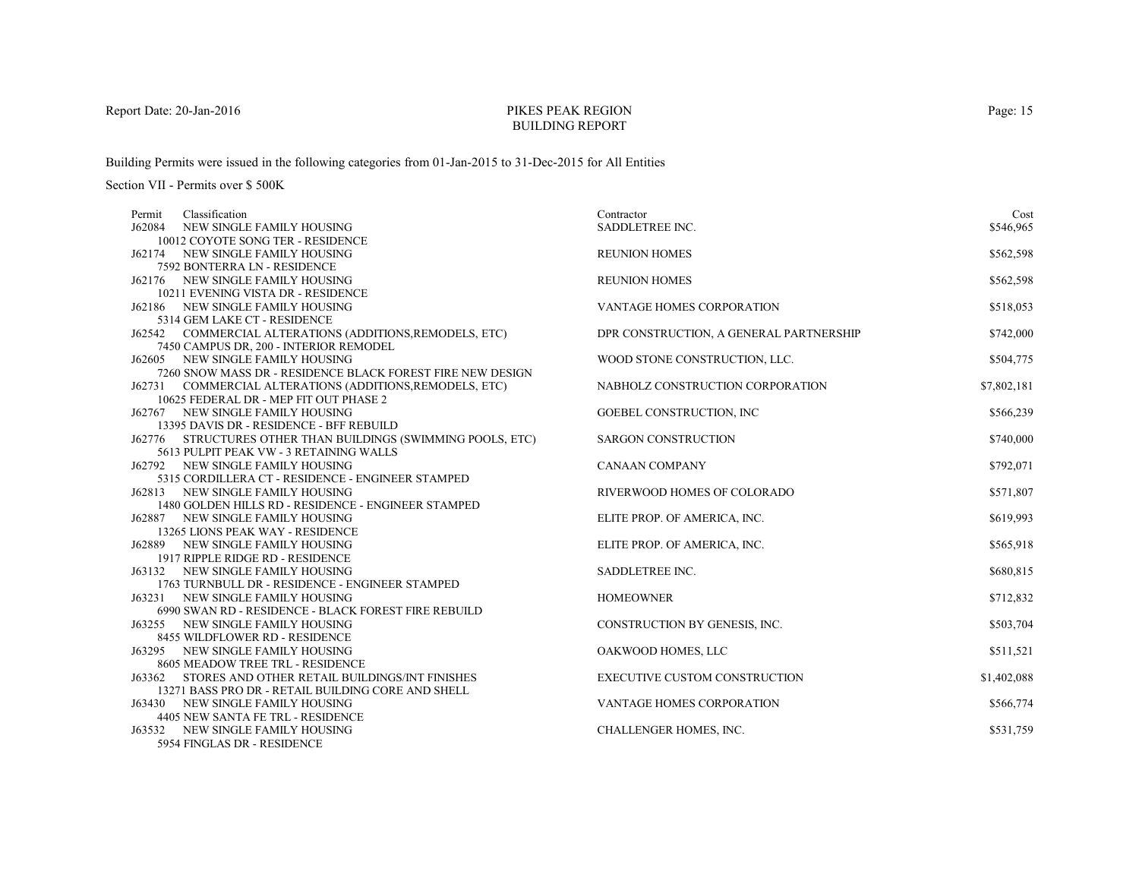# PIKES PEAK REGIONBUILDING REPORT

Building Permits were issued in the following categories from 01-Jan-2015 to 31-Dec-2015 for All Entities

Section VII - Permits over \$ 500K

| Classification<br>Permit                                                                | Contractor                              | Cost        |
|-----------------------------------------------------------------------------------------|-----------------------------------------|-------------|
| J62084<br>NEW SINGLE FAMILY HOUSING                                                     | SADDLETREE INC.                         | \$546,965   |
| 10012 COYOTE SONG TER - RESIDENCE                                                       |                                         |             |
| J62174 NEW SINGLE FAMILY HOUSING                                                        | <b>REUNION HOMES</b>                    | \$562,598   |
| 7592 BONTERRA LN - RESIDENCE                                                            |                                         |             |
| J62176 NEW SINGLE FAMILY HOUSING                                                        | <b>REUNION HOMES</b>                    | \$562,598   |
| 10211 EVENING VISTA DR - RESIDENCE                                                      |                                         |             |
| J62186 NEW SINGLE FAMILY HOUSING                                                        | VANTAGE HOMES CORPORATION               | \$518,053   |
| 5314 GEM LAKE CT - RESIDENCE                                                            |                                         |             |
| J62542 COMMERCIAL ALTERATIONS (ADDITIONS, REMODELS, ETC)                                | DPR CONSTRUCTION, A GENERAL PARTNERSHIP | \$742,000   |
| 7450 CAMPUS DR, 200 - INTERIOR REMODEL                                                  |                                         |             |
| J62605 NEW SINGLE FAMILY HOUSING                                                        | WOOD STONE CONSTRUCTION, LLC.           | \$504,775   |
| 7260 SNOW MASS DR - RESIDENCE BLACK FOREST FIRE NEW DESIGN                              |                                         |             |
| J62731 COMMERCIAL ALTERATIONS (ADDITIONS, REMODELS, ETC)                                | NABHOLZ CONSTRUCTION CORPORATION        | \$7,802,181 |
| 10625 FEDERAL DR - MEP FIT OUT PHASE 2                                                  |                                         |             |
| J62767 NEW SINGLE FAMILY HOUSING                                                        | <b>GOEBEL CONSTRUCTION, INC.</b>        | \$566,239   |
| 13395 DAVIS DR - RESIDENCE - BFF REBUILD                                                |                                         |             |
| J62776 STRUCTURES OTHER THAN BUILDINGS (SWIMMING POOLS, ETC)                            | <b>SARGON CONSTRUCTION</b>              | \$740,000   |
| 5613 PULPIT PEAK VW - 3 RETAINING WALLS                                                 |                                         |             |
| J62792 NEW SINGLE FAMILY HOUSING                                                        | <b>CANAAN COMPANY</b>                   | \$792,071   |
| 5315 CORDILLERA CT - RESIDENCE - ENGINEER STAMPED                                       |                                         | \$571,807   |
| J62813 NEW SINGLE FAMILY HOUSING<br>1480 GOLDEN HILLS RD - RESIDENCE - ENGINEER STAMPED | RIVERWOOD HOMES OF COLORADO             |             |
| J62887 NEW SINGLE FAMILY HOUSING                                                        | ELITE PROP. OF AMERICA, INC.            | \$619,993   |
| 13265 LIONS PEAK WAY - RESIDENCE                                                        |                                         |             |
| J62889 NEW SINGLE FAMILY HOUSING                                                        | ELITE PROP. OF AMERICA, INC.            | \$565,918   |
| 1917 RIPPLE RIDGE RD - RESIDENCE                                                        |                                         |             |
| J63132 NEW SINGLE FAMILY HOUSING                                                        | SADDLETREE INC.                         | \$680,815   |
| 1763 TURNBULL DR - RESIDENCE - ENGINEER STAMPED                                         |                                         |             |
| J63231 NEW SINGLE FAMILY HOUSING                                                        | <b>HOMEOWNER</b>                        | \$712,832   |
| 6990 SWAN RD - RESIDENCE - BLACK FOREST FIRE REBUILD                                    |                                         |             |
| J63255 NEW SINGLE FAMILY HOUSING                                                        | CONSTRUCTION BY GENESIS, INC.           | \$503,704   |
| 8455 WILDFLOWER RD - RESIDENCE                                                          |                                         |             |
| J63295 NEW SINGLE FAMILY HOUSING                                                        | OAKWOOD HOMES, LLC                      | \$511,521   |
| 8605 MEADOW TREE TRL - RESIDENCE                                                        |                                         |             |
| J63362 STORES AND OTHER RETAIL BUILDINGS/INT FINISHES                                   | <b>EXECUTIVE CUSTOM CONSTRUCTION</b>    | \$1,402,088 |
| 13271 BASS PRO DR - RETAIL BUILDING CORE AND SHELL                                      |                                         |             |
| J63430 NEW SINGLE FAMILY HOUSING                                                        | VANTAGE HOMES CORPORATION               | \$566,774   |
| 4405 NEW SANTA FE TRL - RESIDENCE                                                       |                                         |             |
| J63532 NEW SINGLE FAMILY HOUSING                                                        | CHALLENGER HOMES, INC.                  | \$531,759   |
| 5954 FINGLAS DR - RESIDENCE                                                             |                                         |             |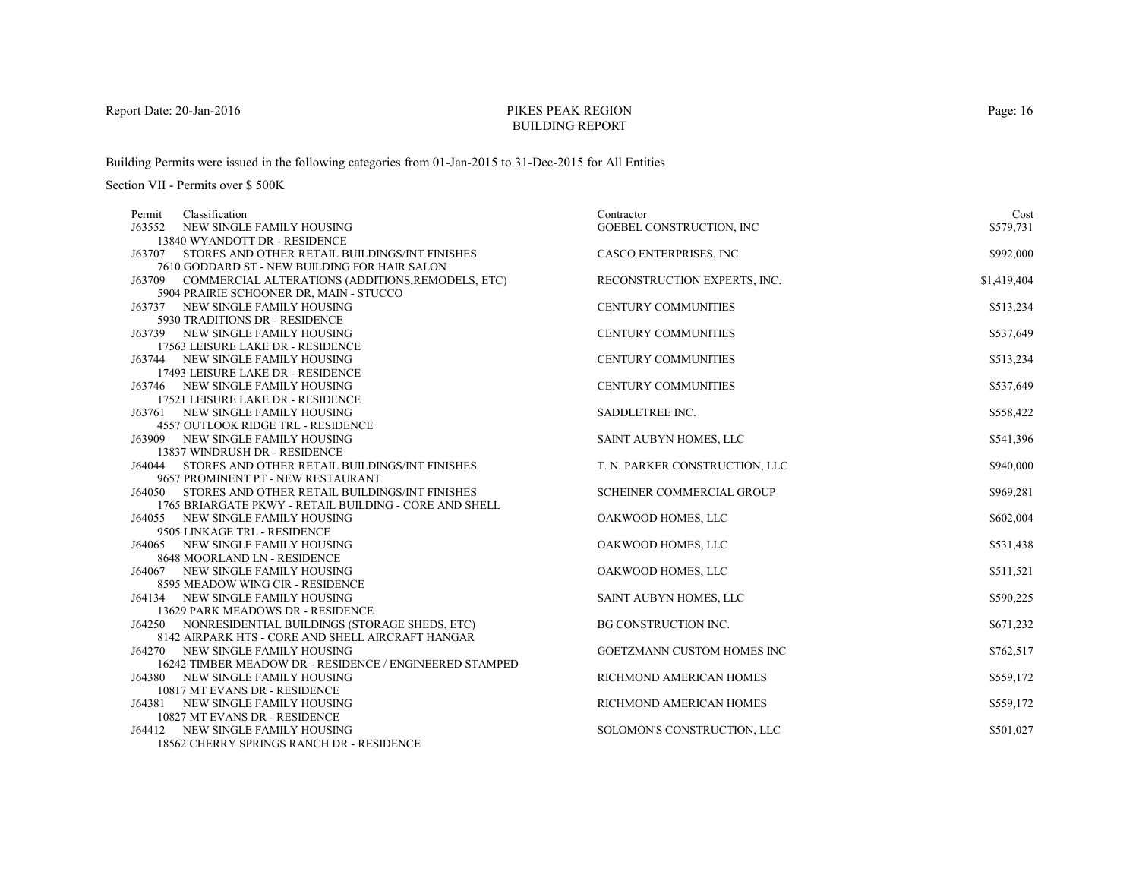# PIKES PEAK REGIONBUILDING REPORT

Building Permits were issued in the following categories from 01-Jan-2015 to 31-Dec-2015 for All Entities

| Classification<br>Permit                                                                           | Contractor                        | Cost        |
|----------------------------------------------------------------------------------------------------|-----------------------------------|-------------|
| J63552<br>NEW SINGLE FAMILY HOUSING                                                                | GOEBEL CONSTRUCTION, INC          | \$579,731   |
| 13840 WYANDOTT DR - RESIDENCE                                                                      |                                   |             |
| J63707<br>STORES AND OTHER RETAIL BUILDINGS/INT FINISHES                                           | CASCO ENTERPRISES, INC.           | \$992,000   |
| 7610 GODDARD ST - NEW BUILDING FOR HAIR SALON                                                      |                                   |             |
| J63709 COMMERCIAL ALTERATIONS (ADDITIONS, REMODELS, ETC)                                           | RECONSTRUCTION EXPERTS, INC.      | \$1,419,404 |
| 5904 PRAIRIE SCHOONER DR, MAIN - STUCCO                                                            |                                   |             |
| J63737 NEW SINGLE FAMILY HOUSING                                                                   | <b>CENTURY COMMUNITIES</b>        | \$513,234   |
| 5930 TRADITIONS DR - RESIDENCE                                                                     |                                   |             |
| J63739 NEW SINGLE FAMILY HOUSING                                                                   | <b>CENTURY COMMUNITIES</b>        | \$537,649   |
| 17563 LEISURE LAKE DR - RESIDENCE                                                                  |                                   |             |
| J63744 NEW SINGLE FAMILY HOUSING                                                                   | <b>CENTURY COMMUNITIES</b>        | \$513,234   |
| 17493 LEISURE LAKE DR - RESIDENCE                                                                  |                                   |             |
| J63746 NEW SINGLE FAMILY HOUSING                                                                   | <b>CENTURY COMMUNITIES</b>        | \$537,649   |
| 17521 LEISURE LAKE DR - RESIDENCE                                                                  |                                   |             |
| J63761 NEW SINGLE FAMILY HOUSING                                                                   | SADDLETREE INC.                   | \$558,422   |
| <b>4557 OUTLOOK RIDGE TRL - RESIDENCE</b>                                                          |                                   |             |
| J63909 NEW SINGLE FAMILY HOUSING                                                                   | SAINT AUBYN HOMES, LLC            | \$541,396   |
| 13837 WINDRUSH DR - RESIDENCE                                                                      |                                   |             |
| J64044 STORES AND OTHER RETAIL BUILDINGS/INT FINISHES                                              | T. N. PARKER CONSTRUCTION, LLC    | \$940,000   |
| 9657 PROMINENT PT - NEW RESTAURANT<br><b>J64050 STORES AND OTHER RETAIL BUILDINGS/INT FINISHES</b> | <b>SCHEINER COMMERCIAL GROUP</b>  |             |
| 1765 BRIARGATE PKWY - RETAIL BUILDING - CORE AND SHELL                                             |                                   | \$969,281   |
| J64055 NEW SINGLE FAMILY HOUSING                                                                   | OAKWOOD HOMES, LLC                | \$602,004   |
| 9505 LINKAGE TRL - RESIDENCE                                                                       |                                   |             |
| J64065 NEW SINGLE FAMILY HOUSING                                                                   | OAKWOOD HOMES, LLC                | \$531,438   |
| 8648 MOORLAND LN - RESIDENCE                                                                       |                                   |             |
| J64067 NEW SINGLE FAMILY HOUSING                                                                   | OAKWOOD HOMES, LLC                | \$511,521   |
| 8595 MEADOW WING CIR - RESIDENCE                                                                   |                                   |             |
| J64134 NEW SINGLE FAMILY HOUSING                                                                   | SAINT AUBYN HOMES, LLC            | \$590,225   |
| 13629 PARK MEADOWS DR - RESIDENCE                                                                  |                                   |             |
| J64250 NONRESIDENTIAL BUILDINGS (STORAGE SHEDS, ETC)                                               | <b>BG CONSTRUCTION INC.</b>       | \$671,232   |
| 8142 AIRPARK HTS - CORE AND SHELL AIRCRAFT HANGAR                                                  |                                   |             |
| <b>J64270 NEW SINGLE FAMILY HOUSING</b>                                                            | <b>GOETZMANN CUSTOM HOMES INC</b> | \$762,517   |
| 16242 TIMBER MEADOW DR - RESIDENCE / ENGINEERED STAMPED                                            |                                   |             |
| <b>J64380 NEW SINGLE FAMILY HOUSING</b>                                                            | RICHMOND AMERICAN HOMES           | \$559,172   |
| 10817 MT EVANS DR - RESIDENCE                                                                      |                                   |             |
| J64381 NEW SINGLE FAMILY HOUSING                                                                   | RICHMOND AMERICAN HOMES           | \$559,172   |
| 10827 MT EVANS DR - RESIDENCE                                                                      |                                   |             |
| J64412 NEW SINGLE FAMILY HOUSING                                                                   | SOLOMON'S CONSTRUCTION, LLC       | \$501,027   |
| 18562 CHERRY SPRINGS RANCH DR - RESIDENCE                                                          |                                   |             |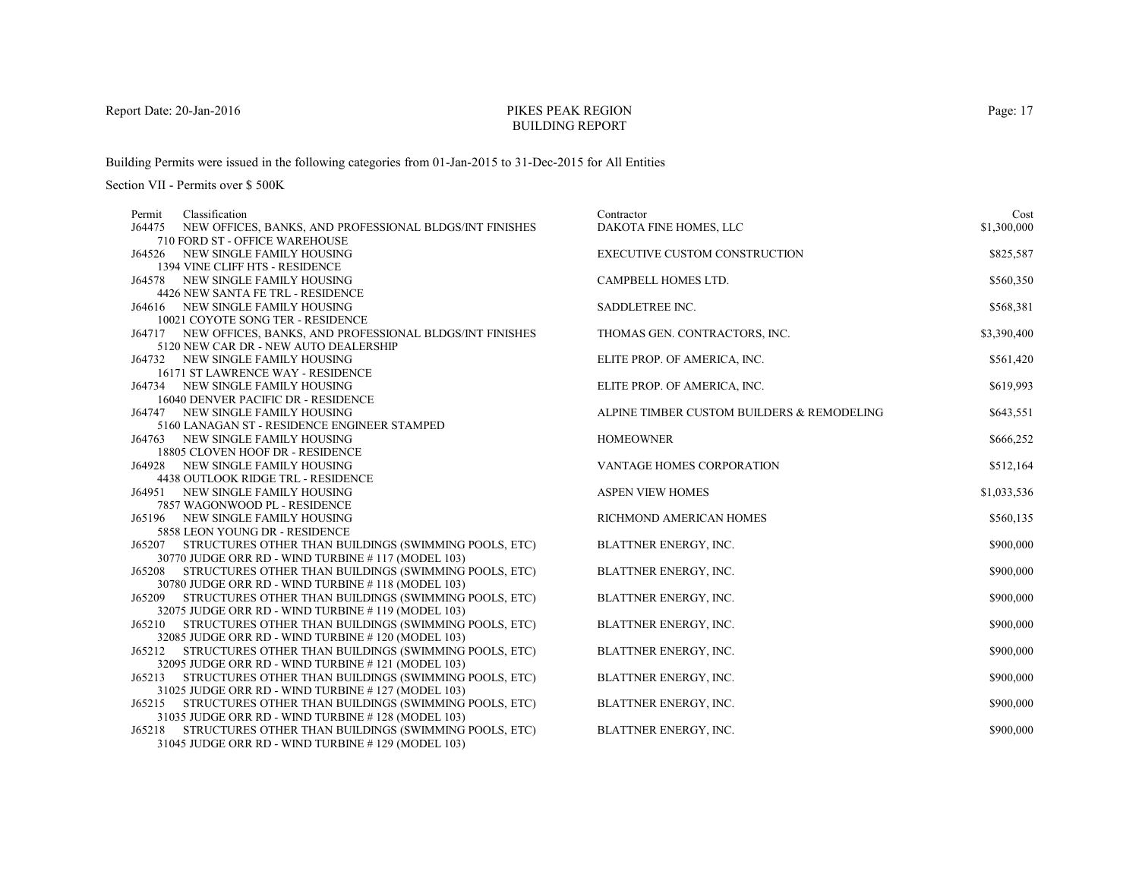# PIKES PEAK REGIONBUILDING REPORT

Building Permits were issued in the following categories from 01-Jan-2015 to 31-Dec-2015 for All Entities

| Permit | Classification                                                                   | Contractor                                 | Cost        |
|--------|----------------------------------------------------------------------------------|--------------------------------------------|-------------|
| J64475 | NEW OFFICES, BANKS, AND PROFESSIONAL BLDGS/INT FINISHES                          | DAKOTA FINE HOMES, LLC                     | \$1,300,000 |
|        | 710 FORD ST - OFFICE WAREHOUSE                                                   |                                            |             |
| J64526 | NEW SINGLE FAMILY HOUSING                                                        | <b>EXECUTIVE CUSTOM CONSTRUCTION</b>       | \$825,587   |
|        | 1394 VINE CLIFF HTS - RESIDENCE                                                  |                                            |             |
|        | <b>J64578 NEW SINGLE FAMILY HOUSING</b>                                          | CAMPBELL HOMES LTD.                        | \$560,350   |
|        | 4426 NEW SANTA FE TRL - RESIDENCE                                                |                                            |             |
|        | J64616 NEW SINGLE FAMILY HOUSING                                                 | SADDLETREE INC.                            | \$568,381   |
|        | 10021 COYOTE SONG TER - RESIDENCE                                                |                                            |             |
|        | J64717 NEW OFFICES, BANKS, AND PROFESSIONAL BLDGS/INT FINISHES                   | THOMAS GEN. CONTRACTORS, INC.              | \$3,390,400 |
|        | 5120 NEW CAR DR - NEW AUTO DEALERSHIP                                            |                                            |             |
|        | J64732 NEW SINGLE FAMILY HOUSING                                                 | ELITE PROP. OF AMERICA, INC.               | \$561,420   |
|        | 16171 ST LAWRENCE WAY - RESIDENCE                                                |                                            |             |
|        | J64734 NEW SINGLE FAMILY HOUSING                                                 | ELITE PROP. OF AMERICA, INC.               | \$619,993   |
|        | 16040 DENVER PACIFIC DR - RESIDENCE                                              | ALPINE TIMBER CUSTOM BUILDERS & REMODELING |             |
|        | J64747 NEW SINGLE FAMILY HOUSING                                                 |                                            | \$643,551   |
|        | 5160 LANAGAN ST - RESIDENCE ENGINEER STAMPED<br>J64763 NEW SINGLE FAMILY HOUSING | <b>HOMEOWNER</b>                           | \$666,252   |
|        | 18805 CLOVEN HOOF DR - RESIDENCE                                                 |                                            |             |
|        | J64928 NEW SINGLE FAMILY HOUSING                                                 | VANTAGE HOMES CORPORATION                  | \$512,164   |
|        | <b>4438 OUTLOOK RIDGE TRL - RESIDENCE</b>                                        |                                            |             |
| J64951 | NEW SINGLE FAMILY HOUSING                                                        | <b>ASPEN VIEW HOMES</b>                    | \$1,033,536 |
|        | 7857 WAGONWOOD PL - RESIDENCE                                                    |                                            |             |
|        | J65196 NEW SINGLE FAMILY HOUSING                                                 | RICHMOND AMERICAN HOMES                    | \$560,135   |
|        | 5858 LEON YOUNG DR - RESIDENCE                                                   |                                            |             |
|        | J65207 STRUCTURES OTHER THAN BUILDINGS (SWIMMING POOLS, ETC)                     | BLATTNER ENERGY, INC.                      | \$900,000   |
|        | 30770 JUDGE ORR RD - WIND TURBINE #117 (MODEL 103)                               |                                            |             |
| J65208 | STRUCTURES OTHER THAN BUILDINGS (SWIMMING POOLS, ETC)                            | BLATTNER ENERGY, INC.                      | \$900,000   |
|        | 30780 JUDGE ORR RD - WIND TURBINE #118 (MODEL 103)                               |                                            |             |
|        | J65209 STRUCTURES OTHER THAN BUILDINGS (SWIMMING POOLS, ETC)                     | BLATTNER ENERGY, INC.                      | \$900,000   |
|        | 32075 JUDGE ORR RD - WIND TURBINE #119 (MODEL 103)                               |                                            |             |
| J65210 | STRUCTURES OTHER THAN BUILDINGS (SWIMMING POOLS, ETC)                            | BLATTNER ENERGY, INC.                      | \$900,000   |
|        | 32085 JUDGE ORR RD - WIND TURBINE #120 (MODEL 103)                               |                                            |             |
| J65212 | STRUCTURES OTHER THAN BUILDINGS (SWIMMING POOLS, ETC)                            | BLATTNER ENERGY, INC.                      | \$900,000   |
|        | 32095 JUDGE ORR RD - WIND TURBINE #121 (MODEL 103)                               |                                            |             |
| J65213 | STRUCTURES OTHER THAN BUILDINGS (SWIMMING POOLS, ETC)                            | BLATTNER ENERGY, INC.                      | \$900,000   |
|        | 31025 JUDGE ORR RD - WIND TURBINE #127 (MODEL 103)                               |                                            |             |
|        | J65215 STRUCTURES OTHER THAN BUILDINGS (SWIMMING POOLS, ETC)                     | BLATTNER ENERGY, INC.                      | \$900,000   |
|        | 31035 JUDGE ORR RD - WIND TURBINE #128 (MODEL 103)                               |                                            |             |
| J65218 | STRUCTURES OTHER THAN BUILDINGS (SWIMMING POOLS, ETC)                            | BLATTNER ENERGY, INC.                      | \$900,000   |
|        | 31045 JUDGE ORR RD - WIND TURBINE #129 (MODEL 103)                               |                                            |             |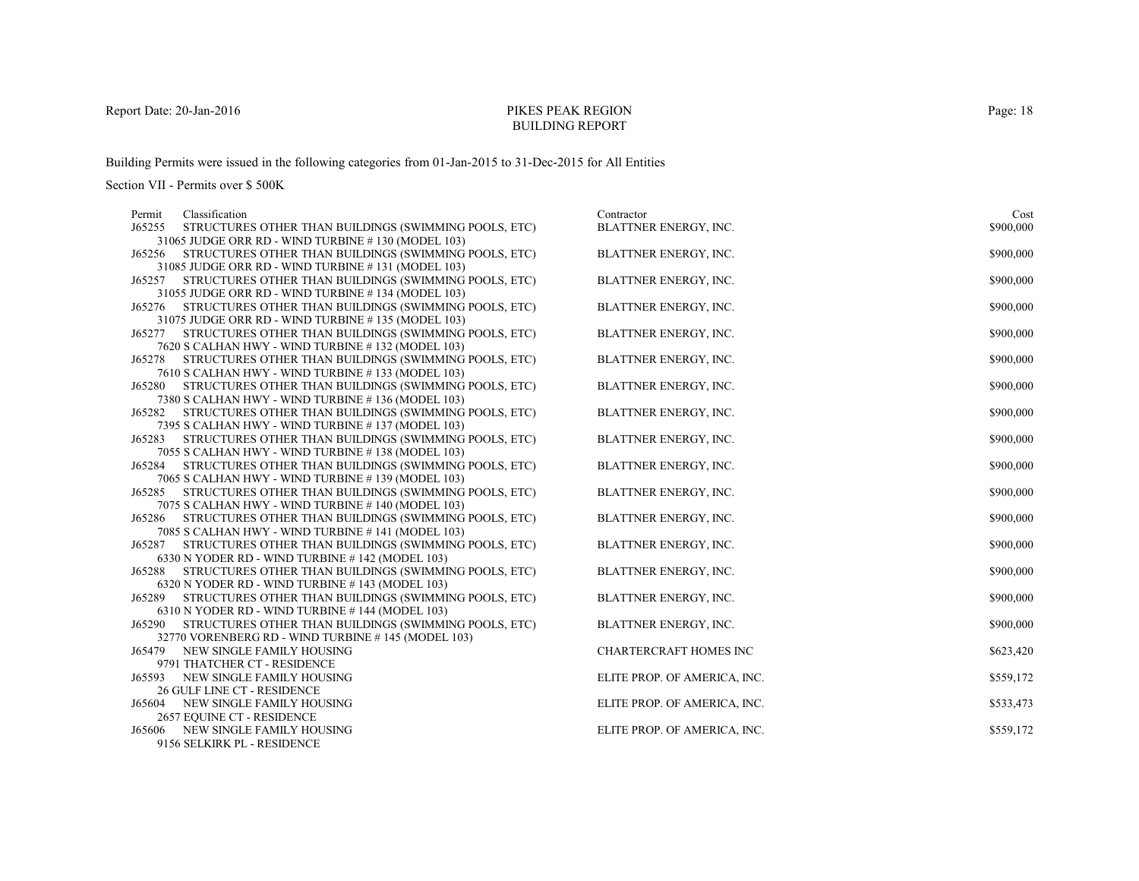# PIKES PEAK REGIONBUILDING REPORT

Building Permits were issued in the following categories from 01-Jan-2015 to 31-Dec-2015 for All Entities

| Permit | Classification                                                                                             | Contractor                   | Cost      |
|--------|------------------------------------------------------------------------------------------------------------|------------------------------|-----------|
| J65255 | STRUCTURES OTHER THAN BUILDINGS (SWIMMING POOLS, ETC)                                                      | BLATTNER ENERGY, INC.        | \$900,000 |
|        | 31065 JUDGE ORR RD - WIND TURBINE #130 (MODEL 103)                                                         |                              |           |
|        | J65256 STRUCTURES OTHER THAN BUILDINGS (SWIMMING POOLS, ETC)                                               | BLATTNER ENERGY, INC.        | \$900,000 |
|        | 31085 JUDGE ORR RD - WIND TURBINE #131 (MODEL 103)                                                         |                              |           |
| J65257 | STRUCTURES OTHER THAN BUILDINGS (SWIMMING POOLS, ETC)                                                      | BLATTNER ENERGY, INC.        | \$900,000 |
|        | 31055 JUDGE ORR RD - WIND TURBINE #134 (MODEL 103)                                                         |                              |           |
| J65276 | STRUCTURES OTHER THAN BUILDINGS (SWIMMING POOLS, ETC)                                                      | BLATTNER ENERGY, INC.        | \$900,000 |
|        | 31075 JUDGE ORR RD - WIND TURBINE #135 (MODEL 103)                                                         |                              |           |
| J65277 | STRUCTURES OTHER THAN BUILDINGS (SWIMMING POOLS, ETC)                                                      | BLATTNER ENERGY, INC.        | \$900,000 |
|        | 7620 S CALHAN HWY - WIND TURBINE #132 (MODEL 103)                                                          |                              |           |
| J65278 | STRUCTURES OTHER THAN BUILDINGS (SWIMMING POOLS, ETC)                                                      | BLATTNER ENERGY, INC.        | \$900,000 |
|        | 7610 S CALHAN HWY - WIND TURBINE #133 (MODEL 103)                                                          |                              |           |
| J65280 | STRUCTURES OTHER THAN BUILDINGS (SWIMMING POOLS, ETC)                                                      | BLATTNER ENERGY, INC.        | \$900,000 |
|        | 7380 S CALHAN HWY - WIND TURBINE #136 (MODEL 103)                                                          |                              |           |
| J65282 | STRUCTURES OTHER THAN BUILDINGS (SWIMMING POOLS, ETC)                                                      | BLATTNER ENERGY, INC.        | \$900,000 |
|        | 7395 S CALHAN HWY - WIND TURBINE #137 (MODEL 103)                                                          |                              |           |
| J65283 | STRUCTURES OTHER THAN BUILDINGS (SWIMMING POOLS, ETC)                                                      | <b>BLATTNER ENERGY, INC.</b> | \$900,000 |
| J65284 | 7055 S CALHAN HWY - WIND TURBINE #138 (MODEL 103)                                                          | BLATTNER ENERGY, INC.        | \$900,000 |
|        | STRUCTURES OTHER THAN BUILDINGS (SWIMMING POOLS, ETC)<br>7065 S CALHAN HWY - WIND TURBINE #139 (MODEL 103) |                              |           |
| J65285 | STRUCTURES OTHER THAN BUILDINGS (SWIMMING POOLS, ETC)                                                      | BLATTNER ENERGY, INC.        | \$900,000 |
|        | 7075 S CALHAN HWY - WIND TURBINE #140 (MODEL 103)                                                          |                              |           |
| J65286 | STRUCTURES OTHER THAN BUILDINGS (SWIMMING POOLS, ETC)                                                      | BLATTNER ENERGY, INC.        | \$900,000 |
|        | 7085 S CALHAN HWY - WIND TURBINE #141 (MODEL 103)                                                          |                              |           |
| J65287 | STRUCTURES OTHER THAN BUILDINGS (SWIMMING POOLS, ETC)                                                      | BLATTNER ENERGY, INC.        | \$900,000 |
|        | 6330 N YODER RD - WIND TURBINE #142 (MODEL 103)                                                            |                              |           |
| J65288 | STRUCTURES OTHER THAN BUILDINGS (SWIMMING POOLS, ETC)                                                      | BLATTNER ENERGY, INC.        | \$900,000 |
|        | 6320 N YODER RD - WIND TURBINE #143 (MODEL 103)                                                            |                              |           |
| J65289 | STRUCTURES OTHER THAN BUILDINGS (SWIMMING POOLS, ETC)                                                      | BLATTNER ENERGY, INC.        | \$900,000 |
|        | 6310 N YODER RD - WIND TURBINE #144 (MODEL 103)                                                            |                              |           |
| J65290 | STRUCTURES OTHER THAN BUILDINGS (SWIMMING POOLS, ETC)                                                      | BLATTNER ENERGY, INC.        | \$900,000 |
|        | 32770 VORENBERG RD - WIND TURBINE #145 (MODEL 103)                                                         |                              |           |
| J65479 | NEW SINGLE FAMILY HOUSING                                                                                  | CHARTERCRAFT HOMES INC       | \$623,420 |
|        | 9791 THATCHER CT - RESIDENCE                                                                               |                              |           |
| J65593 | NEW SINGLE FAMILY HOUSING                                                                                  | ELITE PROP. OF AMERICA, INC. | \$559,172 |
|        | 26 GULF LINE CT - RESIDENCE                                                                                |                              |           |
| J65604 | NEW SINGLE FAMILY HOUSING                                                                                  | ELITE PROP. OF AMERICA, INC. | \$533,473 |
|        | 2657 EQUINE CT - RESIDENCE                                                                                 |                              |           |
| J65606 | NEW SINGLE FAMILY HOUSING                                                                                  | ELITE PROP. OF AMERICA, INC. | \$559,172 |
|        | 9156 SELKIRK PL - RESIDENCE                                                                                |                              |           |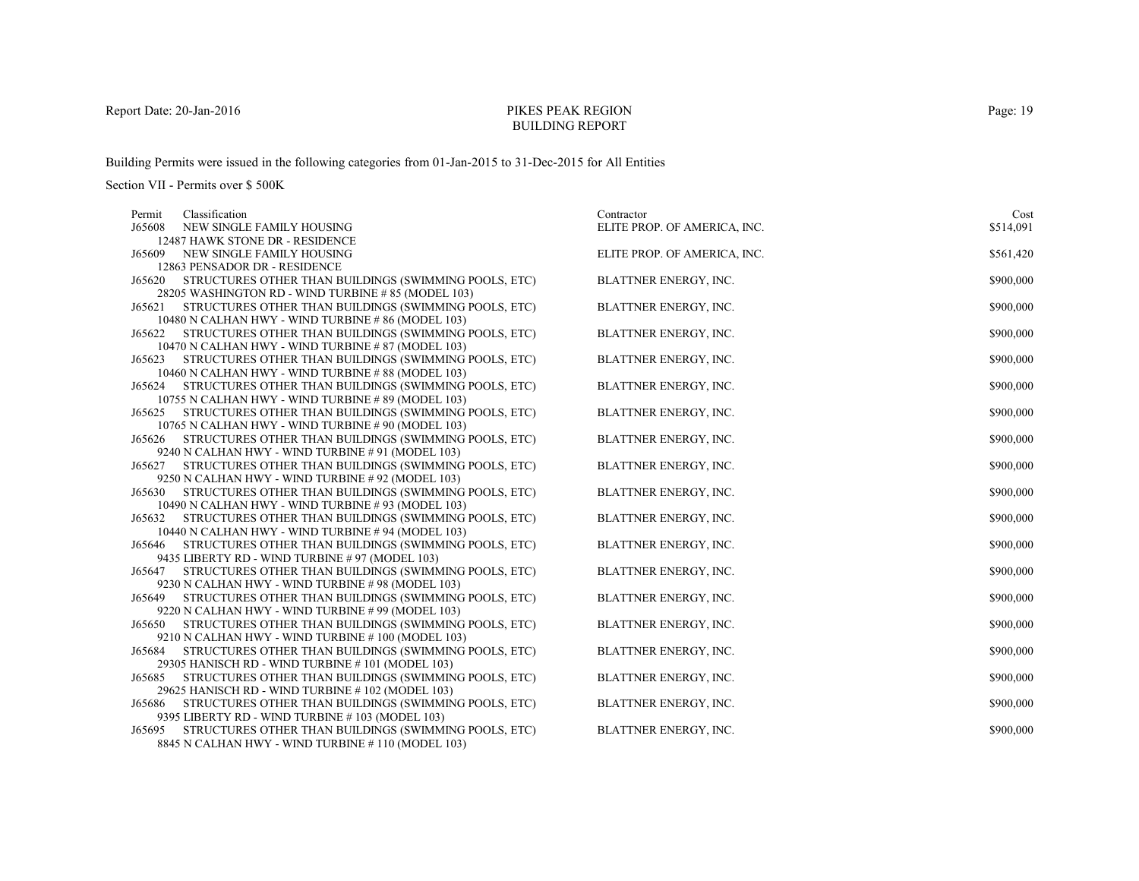# PIKES PEAK REGIONBUILDING REPORT

Building Permits were issued in the following categories from 01-Jan-2015 to 31-Dec-2015 for All Entities

| Permit | Classification                                                                                             | Contractor                   | Cost      |
|--------|------------------------------------------------------------------------------------------------------------|------------------------------|-----------|
| J65608 | NEW SINGLE FAMILY HOUSING                                                                                  | ELITE PROP. OF AMERICA, INC. | \$514,091 |
|        | 12487 HAWK STONE DR - RESIDENCE                                                                            |                              |           |
| J65609 | NEW SINGLE FAMILY HOUSING                                                                                  | ELITE PROP. OF AMERICA, INC. | \$561,420 |
|        | 12863 PENSADOR DR - RESIDENCE                                                                              |                              |           |
| J65620 | STRUCTURES OTHER THAN BUILDINGS (SWIMMING POOLS, ETC)                                                      | BLATTNER ENERGY, INC.        | \$900,000 |
|        | 28205 WASHINGTON RD - WIND TURBINE #85 (MODEL 103)                                                         |                              |           |
| J65621 | STRUCTURES OTHER THAN BUILDINGS (SWIMMING POOLS, ETC)                                                      | BLATTNER ENERGY, INC.        | \$900,000 |
|        | 10480 N CALHAN HWY - WIND TURBINE #86 (MODEL 103)                                                          |                              |           |
| J65622 | STRUCTURES OTHER THAN BUILDINGS (SWIMMING POOLS, ETC)                                                      | BLATTNER ENERGY, INC.        | \$900,000 |
|        | 10470 N CALHAN HWY - WIND TURBINE # 87 (MODEL 103)                                                         |                              |           |
|        | J65623 STRUCTURES OTHER THAN BUILDINGS (SWIMMING POOLS, ETC)                                               | BLATTNER ENERGY, INC.        | \$900,000 |
|        | 10460 N CALHAN HWY - WIND TURBINE #88 (MODEL 103)                                                          |                              |           |
| J65624 | STRUCTURES OTHER THAN BUILDINGS (SWIMMING POOLS, ETC)                                                      | BLATTNER ENERGY, INC.        | \$900,000 |
|        | 10755 N CALHAN HWY - WIND TURBINE #89 (MODEL 103)                                                          |                              |           |
| J65625 | STRUCTURES OTHER THAN BUILDINGS (SWIMMING POOLS, ETC)                                                      | BLATTNER ENERGY, INC.        | \$900,000 |
|        | 10765 N CALHAN HWY - WIND TURBINE #90 (MODEL 103)                                                          |                              |           |
| J65626 | STRUCTURES OTHER THAN BUILDINGS (SWIMMING POOLS, ETC)                                                      | BLATTNER ENERGY, INC.        | \$900,000 |
|        | 9240 N CALHAN HWY - WIND TURBINE # 91 (MODEL 103)                                                          |                              |           |
| J65627 | STRUCTURES OTHER THAN BUILDINGS (SWIMMING POOLS, ETC)                                                      | BLATTNER ENERGY, INC.        | \$900,000 |
|        | 9250 N CALHAN HWY - WIND TURBINE #92 (MODEL 103)                                                           |                              |           |
| J65630 | STRUCTURES OTHER THAN BUILDINGS (SWIMMING POOLS, ETC)                                                      | BLATTNER ENERGY, INC.        | \$900,000 |
|        | 10490 N CALHAN HWY - WIND TURBINE #93 (MODEL 103)                                                          |                              |           |
| J65632 | STRUCTURES OTHER THAN BUILDINGS (SWIMMING POOLS, ETC)                                                      | BLATTNER ENERGY, INC.        | \$900,000 |
|        | 10440 N CALHAN HWY - WIND TURBINE #94 (MODEL 103)<br>STRUCTURES OTHER THAN BUILDINGS (SWIMMING POOLS, ETC) | <b>BLATTNER ENERGY, INC.</b> | \$900,000 |
| J65646 | 9435 LIBERTY RD - WIND TURBINE # 97 (MODEL 103)                                                            |                              |           |
| J65647 | STRUCTURES OTHER THAN BUILDINGS (SWIMMING POOLS, ETC)                                                      | <b>BLATTNER ENERGY, INC.</b> | \$900,000 |
|        | 9230 N CALHAN HWY - WIND TURBINE #98 (MODEL 103)                                                           |                              |           |
| J65649 | STRUCTURES OTHER THAN BUILDINGS (SWIMMING POOLS, ETC)                                                      | BLATTNER ENERGY, INC.        | \$900,000 |
|        | 9220 N CALHAN HWY - WIND TURBINE #99 (MODEL 103)                                                           |                              |           |
| J65650 | STRUCTURES OTHER THAN BUILDINGS (SWIMMING POOLS, ETC)                                                      | BLATTNER ENERGY, INC.        | \$900,000 |
|        | 9210 N CALHAN HWY - WIND TURBINE #100 (MODEL 103)                                                          |                              |           |
| J65684 | STRUCTURES OTHER THAN BUILDINGS (SWIMMING POOLS, ETC)                                                      | BLATTNER ENERGY, INC.        | \$900,000 |
|        | 29305 HANISCH RD - WIND TURBINE #101 (MODEL 103)                                                           |                              |           |
| J65685 | STRUCTURES OTHER THAN BUILDINGS (SWIMMING POOLS, ETC)                                                      | BLATTNER ENERGY, INC.        | \$900,000 |
|        | 29625 HANISCH RD - WIND TURBINE #102 (MODEL 103)                                                           |                              |           |
| J65686 | STRUCTURES OTHER THAN BUILDINGS (SWIMMING POOLS, ETC)                                                      | <b>BLATTNER ENERGY, INC.</b> | \$900,000 |
|        | 9395 LIBERTY RD - WIND TURBINE #103 (MODEL 103)                                                            |                              |           |
| J65695 | STRUCTURES OTHER THAN BUILDINGS (SWIMMING POOLS, ETC)                                                      | <b>BLATTNER ENERGY, INC.</b> | \$900,000 |
|        | 8845 N CALHAN HWY - WIND TURBINE #110 (MODEL 103)                                                          |                              |           |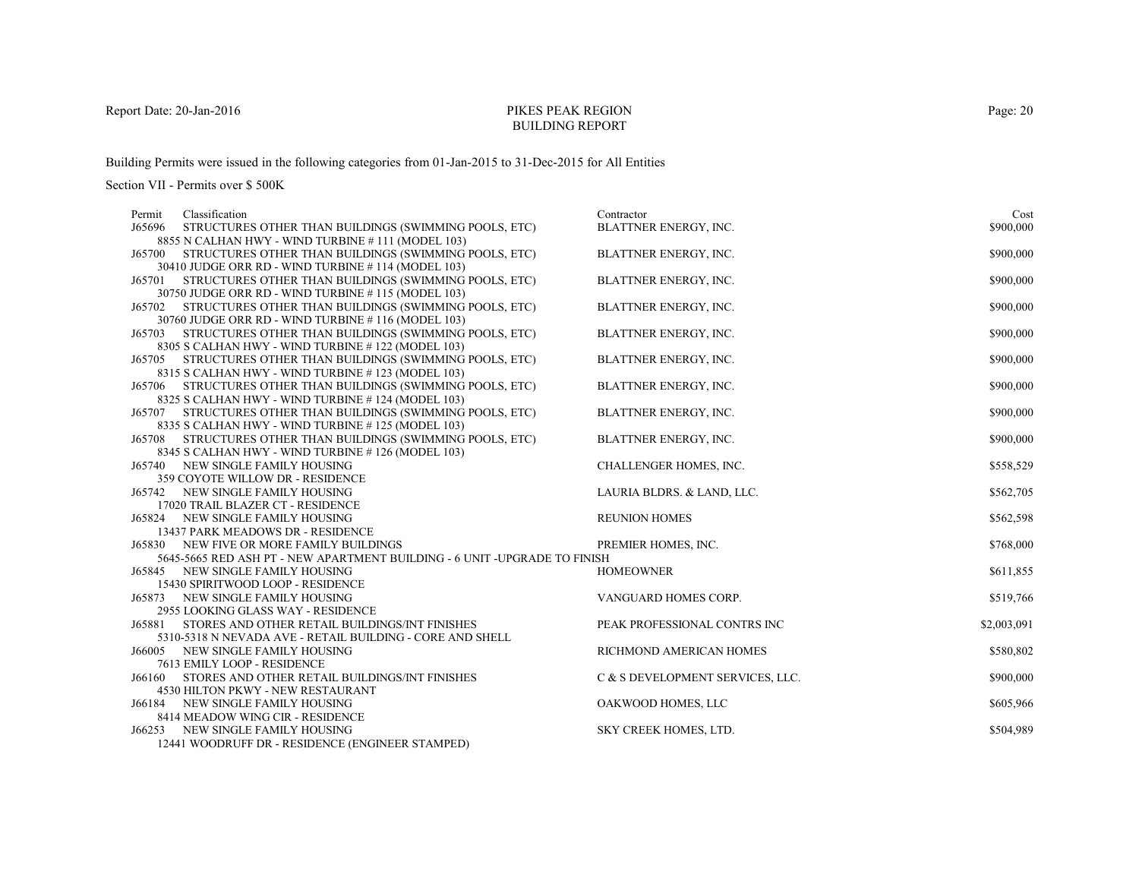# PIKES PEAK REGIONBUILDING REPORT

Building Permits were issued in the following categories from 01-Jan-2015 to 31-Dec-2015 for All Entities

| Classification<br>Permit                                                             | Contractor                       | Cost        |
|--------------------------------------------------------------------------------------|----------------------------------|-------------|
| J65696<br>STRUCTURES OTHER THAN BUILDINGS (SWIMMING POOLS, ETC)                      | <b>BLATTNER ENERGY, INC.</b>     | \$900,000   |
| 8855 N CALHAN HWY - WIND TURBINE #111 (MODEL 103)                                    |                                  |             |
| STRUCTURES OTHER THAN BUILDINGS (SWIMMING POOLS, ETC)<br>J65700                      | BLATTNER ENERGY, INC.            | \$900,000   |
| 30410 JUDGE ORR RD - WIND TURBINE #114 (MODEL 103)                                   |                                  |             |
| STRUCTURES OTHER THAN BUILDINGS (SWIMMING POOLS, ETC)<br>J65701                      | BLATTNER ENERGY, INC.            | \$900,000   |
| 30750 JUDGE ORR RD - WIND TURBINE #115 (MODEL 103)                                   |                                  |             |
| STRUCTURES OTHER THAN BUILDINGS (SWIMMING POOLS, ETC)<br>J65702                      | <b>BLATTNER ENERGY, INC.</b>     | \$900,000   |
| 30760 JUDGE ORR RD - WIND TURBINE #116 (MODEL 103)                                   |                                  |             |
| STRUCTURES OTHER THAN BUILDINGS (SWIMMING POOLS, ETC)<br>J65703                      | BLATTNER ENERGY, INC.            | \$900,000   |
| 8305 S CALHAN HWY - WIND TURBINE #122 (MODEL 103)                                    |                                  |             |
| J65705 STRUCTURES OTHER THAN BUILDINGS (SWIMMING POOLS, ETC)                         | <b>BLATTNER ENERGY, INC.</b>     | \$900,000   |
| 8315 S CALHAN HWY - WIND TURBINE #123 (MODEL 103)                                    |                                  |             |
| J65706 STRUCTURES OTHER THAN BUILDINGS (SWIMMING POOLS, ETC)                         | <b>BLATTNER ENERGY, INC.</b>     | \$900,000   |
| 8325 S CALHAN HWY - WIND TURBINE #124 (MODEL 103)                                    |                                  |             |
| J65707 STRUCTURES OTHER THAN BUILDINGS (SWIMMING POOLS, ETC)                         | BLATTNER ENERGY, INC.            | \$900,000   |
| 8335 S CALHAN HWY - WIND TURBINE #125 (MODEL 103)                                    |                                  |             |
| J65708 STRUCTURES OTHER THAN BUILDINGS (SWIMMING POOLS, ETC)                         | BLATTNER ENERGY, INC.            | \$900,000   |
| 8345 S CALHAN HWY - WIND TURBINE #126 (MODEL 103)                                    |                                  |             |
| <b>J65740 NEW SINGLE FAMILY HOUSING</b>                                              | CHALLENGER HOMES, INC.           | \$558,529   |
| 359 COYOTE WILLOW DR - RESIDENCE                                                     |                                  |             |
| <b>J65742 NEW SINGLE FAMILY HOUSING</b>                                              | LAURIA BLDRS. & LAND, LLC.       | \$562,705   |
| 17020 TRAIL BLAZER CT - RESIDENCE                                                    |                                  |             |
| J65824 NEW SINGLE FAMILY HOUSING                                                     | <b>REUNION HOMES</b>             | \$562,598   |
| 13437 PARK MEADOWS DR - RESIDENCE<br><b>J65830 NEW FIVE OR MORE FAMILY BUILDINGS</b> |                                  |             |
| 5645-5665 RED ASH PT - NEW APARTMENT BUILDING - 6 UNIT -UPGRADE TO FINISH            | PREMIER HOMES, INC.              | \$768,000   |
| NEW SINGLE FAMILY HOUSING<br>J65845                                                  | <b>HOMEOWNER</b>                 | \$611,855   |
| 15430 SPIRITWOOD LOOP - RESIDENCE                                                    |                                  |             |
| J65873 NEW SINGLE FAMILY HOUSING                                                     | VANGUARD HOMES CORP.             | \$519,766   |
| 2955 LOOKING GLASS WAY - RESIDENCE                                                   |                                  |             |
| J65881<br>STORES AND OTHER RETAIL BUILDINGS/INT FINISHES                             | PEAK PROFESSIONAL CONTRS INC     | \$2,003,091 |
| 5310-5318 N NEVADA AVE - RETAIL BUILDING - CORE AND SHELL                            |                                  |             |
| NEW SINGLE FAMILY HOUSING<br>J66005                                                  | RICHMOND AMERICAN HOMES          | \$580,802   |
| 7613 EMILY LOOP - RESIDENCE                                                          |                                  |             |
| STORES AND OTHER RETAIL BUILDINGS/INT FINISHES<br>J66160                             | C & S DEVELOPMENT SERVICES, LLC. | \$900,000   |
| 4530 HILTON PKWY - NEW RESTAURANT                                                    |                                  |             |
| NEW SINGLE FAMILY HOUSING<br>J66184                                                  | OAKWOOD HOMES, LLC               | \$605,966   |
| 8414 MEADOW WING CIR - RESIDENCE                                                     |                                  |             |
| NEW SINGLE FAMILY HOUSING<br>J66253                                                  | <b>SKY CREEK HOMES, LTD.</b>     | \$504,989   |
| 12441 WOODRUFF DR - RESIDENCE (ENGINEER STAMPED)                                     |                                  |             |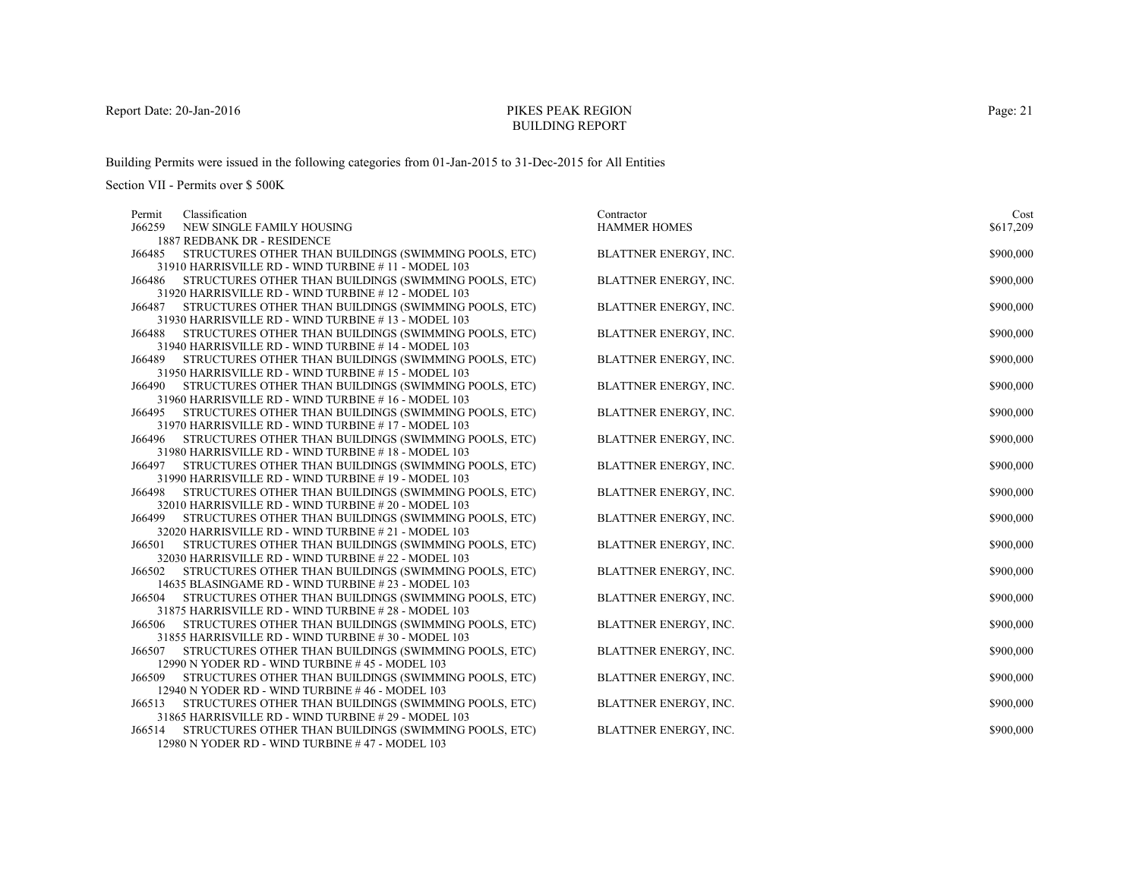# PIKES PEAK REGIONBUILDING REPORT

Building Permits were issued in the following categories from 01-Jan-2015 to 31-Dec-2015 for All Entities

| Classification<br>Permit                                                                                               | Contractor                   | Cost      |
|------------------------------------------------------------------------------------------------------------------------|------------------------------|-----------|
| J66259<br>NEW SINGLE FAMILY HOUSING                                                                                    | <b>HAMMER HOMES</b>          | \$617,209 |
| 1887 REDBANK DR - RESIDENCE                                                                                            |                              |           |
| STRUCTURES OTHER THAN BUILDINGS (SWIMMING POOLS, ETC)<br>J66485                                                        | BLATTNER ENERGY, INC.        | \$900,000 |
| 31910 HARRISVILLE RD - WIND TURBINE #11 - MODEL 103                                                                    |                              |           |
| J66486<br>STRUCTURES OTHER THAN BUILDINGS (SWIMMING POOLS, ETC)                                                        | BLATTNER ENERGY, INC.        | \$900,000 |
| 31920 HARRISVILLE RD - WIND TURBINE #12 - MODEL 103                                                                    |                              |           |
| J66487<br>STRUCTURES OTHER THAN BUILDINGS (SWIMMING POOLS, ETC)                                                        | <b>BLATTNER ENERGY, INC.</b> | \$900,000 |
| 31930 HARRISVILLE RD - WIND TURBINE #13 - MODEL 103                                                                    |                              |           |
| STRUCTURES OTHER THAN BUILDINGS (SWIMMING POOLS, ETC)<br>J66488                                                        | BLATTNER ENERGY, INC.        | \$900,000 |
| 31940 HARRISVILLE RD - WIND TURBINE #14 - MODEL 103<br>STRUCTURES OTHER THAN BUILDINGS (SWIMMING POOLS, ETC)<br>J66489 | BLATTNER ENERGY, INC.        | \$900,000 |
| 31950 HARRISVILLE RD - WIND TURBINE #15 - MODEL 103                                                                    |                              |           |
| J66490<br>STRUCTURES OTHER THAN BUILDINGS (SWIMMING POOLS, ETC)                                                        | BLATTNER ENERGY, INC.        | \$900,000 |
| 31960 HARRISVILLE RD - WIND TURBINE #16 - MODEL 103                                                                    |                              |           |
| STRUCTURES OTHER THAN BUILDINGS (SWIMMING POOLS, ETC)<br>J66495                                                        | BLATTNER ENERGY, INC.        | \$900,000 |
| 31970 HARRISVILLE RD - WIND TURBINE #17 - MODEL 103                                                                    |                              |           |
| J66496 STRUCTURES OTHER THAN BUILDINGS (SWIMMING POOLS, ETC)                                                           | BLATTNER ENERGY, INC.        | \$900,000 |
| 31980 HARRISVILLE RD - WIND TURBINE #18 - MODEL 103                                                                    |                              |           |
| J66497<br>STRUCTURES OTHER THAN BUILDINGS (SWIMMING POOLS, ETC)                                                        | <b>BLATTNER ENERGY, INC.</b> | \$900,000 |
| 31990 HARRISVILLE RD - WIND TURBINE #19 - MODEL 103                                                                    |                              |           |
| STRUCTURES OTHER THAN BUILDINGS (SWIMMING POOLS, ETC)<br>J66498                                                        | <b>BLATTNER ENERGY, INC.</b> | \$900,000 |
| 32010 HARRISVILLE RD - WIND TURBINE # 20 - MODEL 103                                                                   |                              |           |
| STRUCTURES OTHER THAN BUILDINGS (SWIMMING POOLS, ETC)<br>J66499                                                        | BLATTNER ENERGY, INC.        | \$900,000 |
| 32020 HARRISVILLE RD - WIND TURBINE # 21 - MODEL 103                                                                   |                              |           |
| STRUCTURES OTHER THAN BUILDINGS (SWIMMING POOLS, ETC)<br>J66501                                                        | BLATTNER ENERGY, INC.        | \$900,000 |
| 32030 HARRISVILLE RD - WIND TURBINE #22 - MODEL 103                                                                    |                              |           |
| STRUCTURES OTHER THAN BUILDINGS (SWIMMING POOLS, ETC)<br>J66502                                                        | <b>BLATTNER ENERGY, INC.</b> | \$900,000 |
| 14635 BLASINGAME RD - WIND TURBINE # 23 - MODEL 103                                                                    |                              |           |
| STRUCTURES OTHER THAN BUILDINGS (SWIMMING POOLS, ETC)<br>J66504                                                        | BLATTNER ENERGY, INC.        | \$900,000 |
| 31875 HARRISVILLE RD - WIND TURBINE #28 - MODEL 103<br>J66506<br>STRUCTURES OTHER THAN BUILDINGS (SWIMMING POOLS, ETC) | BLATTNER ENERGY, INC.        | \$900,000 |
| 31855 HARRISVILLE RD - WIND TURBINE #30 - MODEL 103                                                                    |                              |           |
| STRUCTURES OTHER THAN BUILDINGS (SWIMMING POOLS, ETC)<br>J66507                                                        | BLATTNER ENERGY, INC.        | \$900,000 |
| 12990 N YODER RD - WIND TURBINE #45 - MODEL 103                                                                        |                              |           |
| STRUCTURES OTHER THAN BUILDINGS (SWIMMING POOLS, ETC)<br>J66509                                                        | BLATTNER ENERGY, INC.        | \$900,000 |
| 12940 N YODER RD - WIND TURBINE #46 - MODEL 103                                                                        |                              |           |
| STRUCTURES OTHER THAN BUILDINGS (SWIMMING POOLS, ETC)<br>J66513                                                        | BLATTNER ENERGY, INC.        | \$900,000 |
| 31865 HARRISVILLE RD - WIND TURBINE #29 - MODEL 103                                                                    |                              |           |
| STRUCTURES OTHER THAN BUILDINGS (SWIMMING POOLS, ETC)<br>J66514                                                        | <b>BLATTNER ENERGY, INC.</b> | \$900,000 |
| 12980 N YODER RD - WIND TURBINE #47 - MODEL 103                                                                        |                              |           |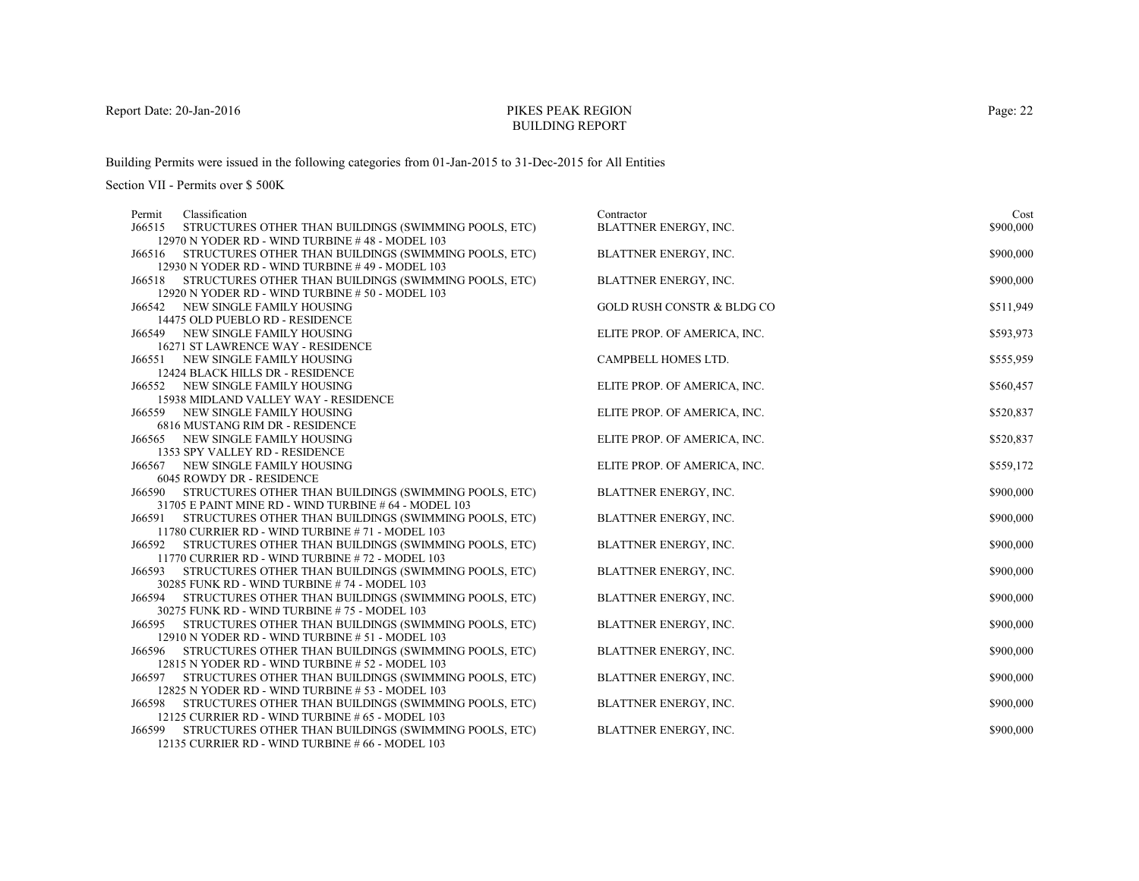# PIKES PEAK REGIONBUILDING REPORT

Building Permits were issued in the following categories from 01-Jan-2015 to 31-Dec-2015 for All Entities

| Classification<br>Permit                                                                                 | Contractor                   | Cost      |
|----------------------------------------------------------------------------------------------------------|------------------------------|-----------|
| J66515<br>STRUCTURES OTHER THAN BUILDINGS (SWIMMING POOLS, ETC)                                          | BLATTNER ENERGY, INC.        | \$900,000 |
| 12970 N YODER RD - WIND TURBINE #48 - MODEL 103                                                          |                              |           |
| STRUCTURES OTHER THAN BUILDINGS (SWIMMING POOLS, ETC)<br>J66516                                          | BLATTNER ENERGY, INC.        | \$900,000 |
| 12930 N YODER RD - WIND TURBINE #49 - MODEL 103                                                          |                              |           |
| STRUCTURES OTHER THAN BUILDINGS (SWIMMING POOLS, ETC)<br>J66518                                          | BLATTNER ENERGY, INC.        | \$900,000 |
| 12920 N YODER RD - WIND TURBINE # 50 - MODEL 103                                                         |                              |           |
| J66542<br>NEW SINGLE FAMILY HOUSING                                                                      | GOLD RUSH CONSTR & BLDG CO   | \$511,949 |
| 14475 OLD PUEBLO RD - RESIDENCE                                                                          |                              |           |
| <b>J66549 NEW SINGLE FAMILY HOUSING</b>                                                                  | ELITE PROP. OF AMERICA, INC. | \$593,973 |
| 16271 ST LAWRENCE WAY - RESIDENCE                                                                        |                              |           |
| J66551 NEW SINGLE FAMILY HOUSING                                                                         | CAMPBELL HOMES LTD.          | \$555,959 |
| 12424 BLACK HILLS DR - RESIDENCE                                                                         |                              |           |
| J66552<br>NEW SINGLE FAMILY HOUSING                                                                      | ELITE PROP. OF AMERICA, INC. | \$560,457 |
| 15938 MIDLAND VALLEY WAY - RESIDENCE                                                                     |                              |           |
| J66559 NEW SINGLE FAMILY HOUSING                                                                         | ELITE PROP. OF AMERICA, INC. | \$520,837 |
| 6816 MUSTANG RIM DR - RESIDENCE                                                                          |                              |           |
| NEW SINGLE FAMILY HOUSING<br>J66565                                                                      | ELITE PROP. OF AMERICA, INC. | \$520,837 |
| 1353 SPY VALLEY RD - RESIDENCE                                                                           |                              |           |
| J66567 NEW SINGLE FAMILY HOUSING                                                                         | ELITE PROP. OF AMERICA, INC. | \$559,172 |
| 6045 ROWDY DR - RESIDENCE                                                                                |                              |           |
| STRUCTURES OTHER THAN BUILDINGS (SWIMMING POOLS, ETC)<br>J66590                                          | BLATTNER ENERGY, INC.        | \$900,000 |
| 31705 E PAINT MINE RD - WIND TURBINE # 64 - MODEL 103                                                    |                              |           |
| STRUCTURES OTHER THAN BUILDINGS (SWIMMING POOLS, ETC)<br>J66591                                          | BLATTNER ENERGY, INC.        | \$900,000 |
| 11780 CURRIER RD - WIND TURBINE # 71 - MODEL 103                                                         |                              |           |
| STRUCTURES OTHER THAN BUILDINGS (SWIMMING POOLS, ETC)<br>J66592                                          | BLATTNER ENERGY, INC.        | \$900,000 |
| 11770 CURRIER RD - WIND TURBINE #72 - MODEL 103<br>STRUCTURES OTHER THAN BUILDINGS (SWIMMING POOLS, ETC) |                              |           |
| J66593<br>30285 FUNK RD - WIND TURBINE #74 - MODEL 103                                                   | BLATTNER ENERGY, INC.        | \$900,000 |
| STRUCTURES OTHER THAN BUILDINGS (SWIMMING POOLS, ETC)<br>J66594                                          | <b>BLATTNER ENERGY, INC.</b> | \$900,000 |
| 30275 FUNK RD - WIND TURBINE #75 - MODEL 103                                                             |                              |           |
| STRUCTURES OTHER THAN BUILDINGS (SWIMMING POOLS, ETC)<br>J66595                                          | BLATTNER ENERGY, INC.        | \$900,000 |
| 12910 N YODER RD - WIND TURBINE # 51 - MODEL 103                                                         |                              |           |
| STRUCTURES OTHER THAN BUILDINGS (SWIMMING POOLS, ETC)<br>J66596                                          | BLATTNER ENERGY, INC.        | \$900,000 |
| 12815 N YODER RD - WIND TURBINE # 52 - MODEL 103                                                         |                              |           |
| STRUCTURES OTHER THAN BUILDINGS (SWIMMING POOLS, ETC)<br>J66597                                          | <b>BLATTNER ENERGY, INC.</b> | \$900,000 |
| 12825 N YODER RD - WIND TURBINE # 53 - MODEL 103                                                         |                              |           |
| STRUCTURES OTHER THAN BUILDINGS (SWIMMING POOLS, ETC)<br>J66598                                          | BLATTNER ENERGY, INC.        | \$900,000 |
| 12125 CURRIER RD - WIND TURBINE # 65 - MODEL 103                                                         |                              |           |
| STRUCTURES OTHER THAN BUILDINGS (SWIMMING POOLS, ETC)<br>J66599                                          | <b>BLATTNER ENERGY, INC.</b> | \$900,000 |
| 12135 CURRIER RD - WIND TURBINE # $66$ - MODEL 103                                                       |                              |           |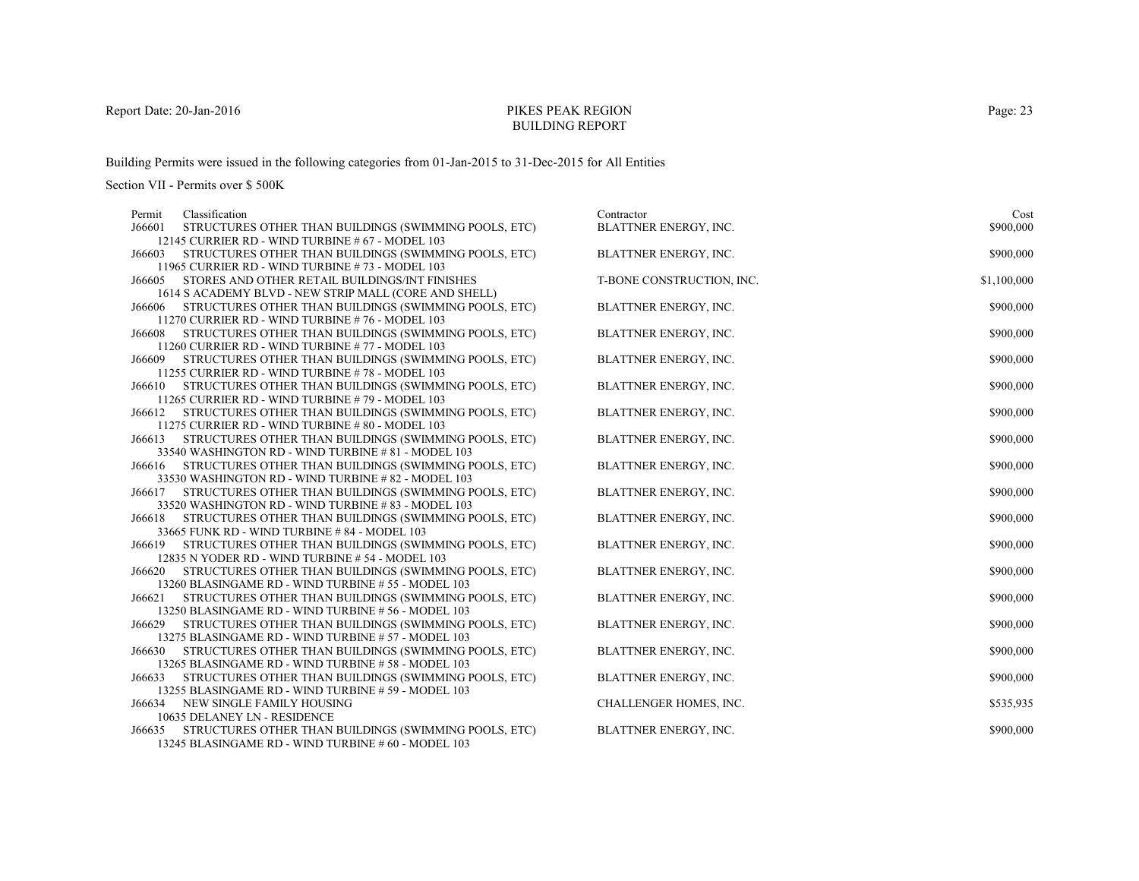# PIKES PEAK REGIONBUILDING REPORT

Building Permits were issued in the following categories from 01-Jan-2015 to 31-Dec-2015 for All Entities

Section VII - Permits over \$ 500K

| Classification<br>Permit                                                                                 | Contractor                   | Cost        |
|----------------------------------------------------------------------------------------------------------|------------------------------|-------------|
| J66601<br>STRUCTURES OTHER THAN BUILDINGS (SWIMMING POOLS, ETC)                                          | <b>BLATTNER ENERGY, INC.</b> | \$900,000   |
| 12145 CURRIER RD - WIND TURBINE # 67 - MODEL 103                                                         |                              |             |
| STRUCTURES OTHER THAN BUILDINGS (SWIMMING POOLS, ETC)<br>J66603                                          | BLATTNER ENERGY, INC.        | \$900,000   |
| 11965 CURRIER RD - WIND TURBINE #73 - MODEL 103                                                          |                              |             |
| STORES AND OTHER RETAIL BUILDINGS/INT FINISHES<br>J66605                                                 | T-BONE CONSTRUCTION, INC.    | \$1,100,000 |
| 1614 S ACADEMY BLVD - NEW STRIP MALL (CORE AND SHELL)                                                    |                              |             |
| STRUCTURES OTHER THAN BUILDINGS (SWIMMING POOLS, ETC)<br>J66606                                          | <b>BLATTNER ENERGY, INC.</b> | \$900,000   |
| 11270 CURRIER RD - WIND TURBINE #76 - MODEL 103                                                          |                              |             |
| STRUCTURES OTHER THAN BUILDINGS (SWIMMING POOLS, ETC)<br>J66608                                          | BLATTNER ENERGY, INC.        | \$900,000   |
| 11260 CURRIER RD - WIND TURBINE #77 - MODEL 103                                                          |                              |             |
| STRUCTURES OTHER THAN BUILDINGS (SWIMMING POOLS, ETC)<br>J66609                                          | BLATTNER ENERGY, INC.        | \$900,000   |
| 11255 CURRIER RD - WIND TURBINE #78 - MODEL 103                                                          |                              |             |
| STRUCTURES OTHER THAN BUILDINGS (SWIMMING POOLS, ETC)<br>J66610                                          | BLATTNER ENERGY, INC.        | \$900,000   |
| 11265 CURRIER RD - WIND TURBINE #79 - MODEL 103<br>STRUCTURES OTHER THAN BUILDINGS (SWIMMING POOLS, ETC) | <b>BLATTNER ENERGY, INC.</b> |             |
| J66612<br>11275 CURRIER RD - WIND TURBINE #80 - MODEL 103                                                |                              | \$900,000   |
| STRUCTURES OTHER THAN BUILDINGS (SWIMMING POOLS, ETC)<br>J66613                                          | <b>BLATTNER ENERGY, INC.</b> | \$900,000   |
| 33540 WASHINGTON RD - WIND TURBINE # 81 - MODEL 103                                                      |                              |             |
| STRUCTURES OTHER THAN BUILDINGS (SWIMMING POOLS, ETC)<br>J66616                                          | BLATTNER ENERGY, INC.        | \$900,000   |
| 33530 WASHINGTON RD - WIND TURBINE # 82 - MODEL 103                                                      |                              |             |
| STRUCTURES OTHER THAN BUILDINGS (SWIMMING POOLS, ETC)<br>J66617                                          | BLATTNER ENERGY, INC.        | \$900,000   |
| 33520 WASHINGTON RD - WIND TURBINE #83 - MODEL 103                                                       |                              |             |
| STRUCTURES OTHER THAN BUILDINGS (SWIMMING POOLS, ETC)<br>J66618                                          | BLATTNER ENERGY, INC.        | \$900,000   |
| 33665 FUNK RD - WIND TURBINE # 84 - MODEL 103                                                            |                              |             |
| STRUCTURES OTHER THAN BUILDINGS (SWIMMING POOLS, ETC)<br>J66619                                          | <b>BLATTNER ENERGY, INC.</b> | \$900,000   |
| 12835 N YODER RD - WIND TURBINE # 54 - MODEL 103                                                         |                              |             |
| STRUCTURES OTHER THAN BUILDINGS (SWIMMING POOLS, ETC)<br>J66620                                          | BLATTNER ENERGY, INC.        | \$900,000   |
| 13260 BLASINGAME RD - WIND TURBINE #55 - MODEL 103                                                       |                              |             |
| STRUCTURES OTHER THAN BUILDINGS (SWIMMING POOLS, ETC)<br>J66621                                          | BLATTNER ENERGY, INC.        | \$900,000   |
| 13250 BLASINGAME RD - WIND TURBINE #56 - MODEL 103                                                       |                              |             |
| STRUCTURES OTHER THAN BUILDINGS (SWIMMING POOLS, ETC)<br>J66629                                          | BLATTNER ENERGY, INC.        | \$900,000   |
| 13275 BLASINGAME RD - WIND TURBINE # 57 - MODEL 103                                                      |                              |             |
| STRUCTURES OTHER THAN BUILDINGS (SWIMMING POOLS, ETC)<br>J66630                                          | BLATTNER ENERGY, INC.        | \$900,000   |
| 13265 BLASINGAME RD - WIND TURBINE # 58 - MODEL 103                                                      |                              |             |
| STRUCTURES OTHER THAN BUILDINGS (SWIMMING POOLS, ETC)<br>J66633                                          | BLATTNER ENERGY, INC.        | \$900,000   |
| 13255 BLASINGAME RD - WIND TURBINE # 59 - MODEL 103                                                      |                              |             |
| NEW SINGLE FAMILY HOUSING<br>J66634                                                                      | CHALLENGER HOMES, INC.       | \$535,935   |
| 10635 DELANEY LN - RESIDENCE                                                                             |                              |             |
| STRUCTURES OTHER THAN BUILDINGS (SWIMMING POOLS, ETC)<br>J66635                                          | <b>BLATTNER ENERGY, INC.</b> | \$900,000   |
| 13245 BLASINGAME RD - WIND TURBINE # 60 - MODEL 103                                                      |                              |             |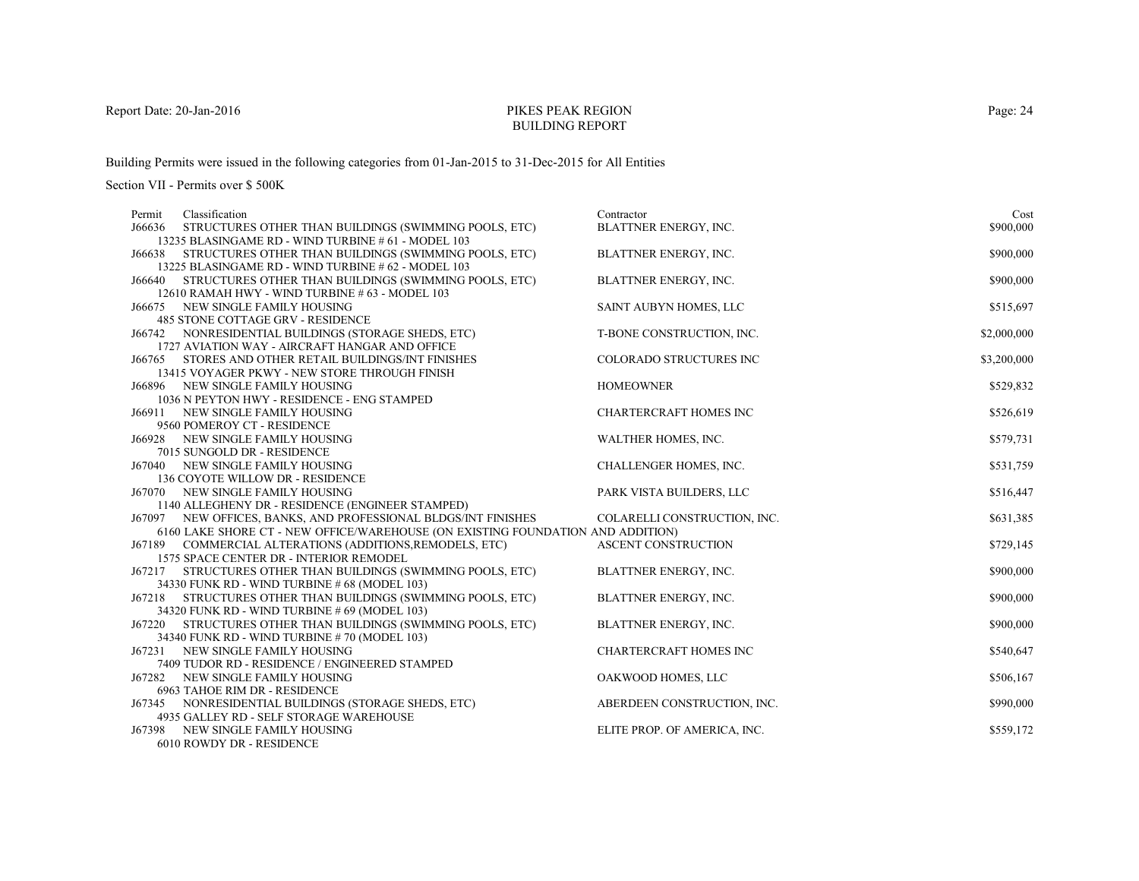# PIKES PEAK REGIONBUILDING REPORT

Building Permits were issued in the following categories from 01-Jan-2015 to 31-Dec-2015 for All Entities

| Classification<br>Permit                                                           | Contractor                    | Cost        |
|------------------------------------------------------------------------------------|-------------------------------|-------------|
| J66636<br>STRUCTURES OTHER THAN BUILDINGS (SWIMMING POOLS, ETC)                    | <b>BLATTNER ENERGY, INC.</b>  | \$900,000   |
| 13235 BLASINGAME RD - WIND TURBINE # 61 - MODEL 103                                |                               |             |
| J66638 STRUCTURES OTHER THAN BUILDINGS (SWIMMING POOLS, ETC)                       | BLATTNER ENERGY, INC.         | \$900,000   |
| 13225 BLASINGAME RD - WIND TURBINE # 62 - MODEL 103                                |                               |             |
| STRUCTURES OTHER THAN BUILDINGS (SWIMMING POOLS, ETC)<br>J66640                    | BLATTNER ENERGY, INC.         | \$900,000   |
| 12610 RAMAH HWY - WIND TURBINE # 63 - MODEL 103                                    |                               |             |
| J66675 NEW SINGLE FAMILY HOUSING                                                   | SAINT AUBYN HOMES, LLC        | \$515,697   |
| 485 STONE COTTAGE GRV - RESIDENCE                                                  |                               |             |
| J66742 NONRESIDENTIAL BUILDINGS (STORAGE SHEDS, ETC)                               | T-BONE CONSTRUCTION, INC.     | \$2,000,000 |
| 1727 AVIATION WAY - AIRCRAFT HANGAR AND OFFICE                                     |                               |             |
| J66765 STORES AND OTHER RETAIL BUILDINGS/INT FINISHES                              | COLORADO STRUCTURES INC       | \$3,200,000 |
| 13415 VOYAGER PKWY - NEW STORE THROUGH FINISH                                      |                               |             |
| J66896 NEW SINGLE FAMILY HOUSING                                                   | <b>HOMEOWNER</b>              | \$529,832   |
| 1036 N PEYTON HWY - RESIDENCE - ENG STAMPED<br>NEW SINGLE FAMILY HOUSING<br>J66911 | <b>CHARTERCRAFT HOMES INC</b> | \$526,619   |
| 9560 POMEROY CT - RESIDENCE                                                        |                               |             |
| <b>J66928 NEW SINGLE FAMILY HOUSING</b>                                            | WALTHER HOMES, INC.           | \$579,731   |
| 7015 SUNGOLD DR - RESIDENCE                                                        |                               |             |
| J67040 NEW SINGLE FAMILY HOUSING                                                   | CHALLENGER HOMES, INC.        | \$531,759   |
| 136 COYOTE WILLOW DR - RESIDENCE                                                   |                               |             |
| J67070 NEW SINGLE FAMILY HOUSING                                                   | PARK VISTA BUILDERS, LLC      | \$516,447   |
| 1140 ALLEGHENY DR - RESIDENCE (ENGINEER STAMPED)                                   |                               |             |
| J67097 NEW OFFICES, BANKS, AND PROFESSIONAL BLDGS/INT FINISHES                     | COLARELLI CONSTRUCTION, INC.  | \$631,385   |
| 6160 LAKE SHORE CT - NEW OFFICE/WAREHOUSE (ON EXISTING FOUNDATION AND ADDITION)    |                               |             |
| J67189 COMMERCIAL ALTERATIONS (ADDITIONS, REMODELS, ETC)                           | <b>ASCENT CONSTRUCTION</b>    | \$729,145   |
| 1575 SPACE CENTER DR - INTERIOR REMODEL                                            |                               |             |
| STRUCTURES OTHER THAN BUILDINGS (SWIMMING POOLS, ETC)<br>J67217                    | BLATTNER ENERGY, INC.         | \$900,000   |
| 34330 FUNK RD - WIND TURBINE # 68 (MODEL 103)                                      |                               |             |
| J67218 STRUCTURES OTHER THAN BUILDINGS (SWIMMING POOLS, ETC)                       | BLATTNER ENERGY, INC.         | \$900,000   |
| 34320 FUNK RD - WIND TURBINE # 69 (MODEL 103)                                      |                               |             |
| J67220 STRUCTURES OTHER THAN BUILDINGS (SWIMMING POOLS, ETC)                       | BLATTNER ENERGY, INC.         | \$900,000   |
| 34340 FUNK RD - WIND TURBINE #70 (MODEL 103)                                       |                               |             |
| NEW SINGLE FAMILY HOUSING<br>J67231                                                | <b>CHARTERCRAFT HOMES INC</b> | \$540,647   |
| 7409 TUDOR RD - RESIDENCE / ENGINEERED STAMPED                                     |                               |             |
| J67282 NEW SINGLE FAMILY HOUSING                                                   | OAKWOOD HOMES, LLC            | \$506,167   |
| 6963 TAHOE RIM DR - RESIDENCE                                                      |                               |             |
| J67345 NONRESIDENTIAL BUILDINGS (STORAGE SHEDS, ETC)                               | ABERDEEN CONSTRUCTION, INC.   | \$990,000   |
| 4935 GALLEY RD - SELF STORAGE WAREHOUSE                                            |                               |             |
| J67398<br>NEW SINGLE FAMILY HOUSING                                                | ELITE PROP. OF AMERICA, INC.  | \$559,172   |
| 6010 ROWDY DR - RESIDENCE                                                          |                               |             |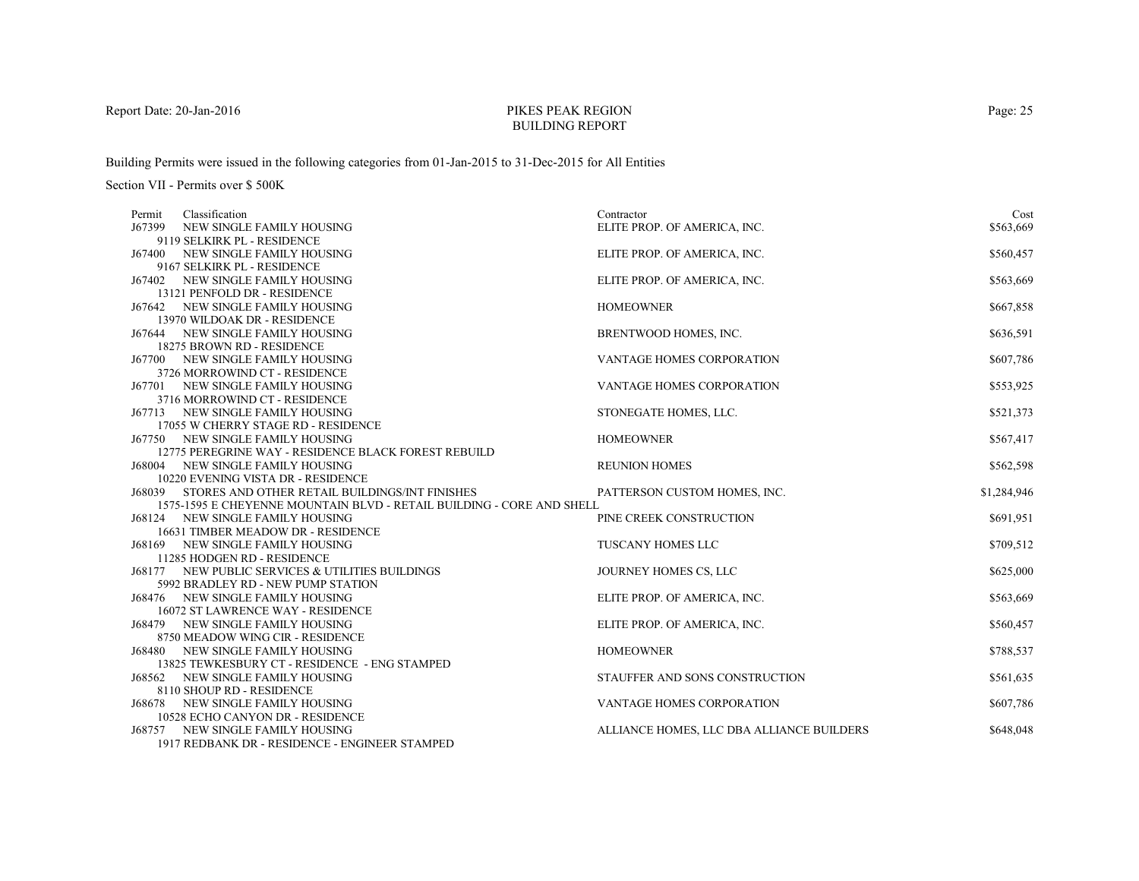# PIKES PEAK REGIONBUILDING REPORT

Building Permits were issued in the following categories from 01-Jan-2015 to 31-Dec-2015 for All Entities

| Classification<br>Permit                                               | Contractor                                | Cost        |
|------------------------------------------------------------------------|-------------------------------------------|-------------|
| J67399<br>NEW SINGLE FAMILY HOUSING                                    | ELITE PROP. OF AMERICA, INC.              | \$563,669   |
| 9119 SELKIRK PL - RESIDENCE                                            |                                           |             |
| <b>J67400 NEW SINGLE FAMILY HOUSING</b>                                | ELITE PROP. OF AMERICA, INC.              | \$560,457   |
| 9167 SELKIRK PL - RESIDENCE                                            |                                           |             |
| J67402 NEW SINGLE FAMILY HOUSING                                       | ELITE PROP. OF AMERICA, INC.              | \$563,669   |
| 13121 PENFOLD DR - RESIDENCE                                           |                                           |             |
| J67642 NEW SINGLE FAMILY HOUSING                                       | <b>HOMEOWNER</b>                          | \$667,858   |
| 13970 WILDOAK DR - RESIDENCE                                           |                                           |             |
| J67644 NEW SINGLE FAMILY HOUSING                                       | BRENTWOOD HOMES, INC.                     | \$636,591   |
| 18275 BROWN RD - RESIDENCE                                             |                                           |             |
| J67700 NEW SINGLE FAMILY HOUSING                                       | VANTAGE HOMES CORPORATION                 | \$607,786   |
| 3726 MORROWIND CT - RESIDENCE                                          |                                           |             |
| <b>J67701 NEW SINGLE FAMILY HOUSING</b>                                | <b>VANTAGE HOMES CORPORATION</b>          | \$553,925   |
| 3716 MORROWIND CT - RESIDENCE                                          |                                           |             |
| J67713 NEW SINGLE FAMILY HOUSING                                       | STONEGATE HOMES, LLC.                     | \$521,373   |
| 17055 W CHERRY STAGE RD - RESIDENCE                                    |                                           |             |
| J67750 NEW SINGLE FAMILY HOUSING                                       | <b>HOMEOWNER</b>                          | \$567,417   |
| 12775 PEREGRINE WAY - RESIDENCE BLACK FOREST REBUILD                   |                                           |             |
| J68004 NEW SINGLE FAMILY HOUSING                                       | <b>REUNION HOMES</b>                      | \$562,598   |
| 10220 EVENING VISTA DR - RESIDENCE                                     |                                           |             |
| J68039 STORES AND OTHER RETAIL BUILDINGS/INT FINISHES                  | PATTERSON CUSTOM HOMES, INC.              | \$1,284,946 |
| 1575-1595 E CHEYENNE MOUNTAIN BLVD - RETAIL BUILDING - CORE AND SHELL  |                                           |             |
| J68124 NEW SINGLE FAMILY HOUSING<br>16631 TIMBER MEADOW DR - RESIDENCE | PINE CREEK CONSTRUCTION                   | \$691,951   |
| <b>J68169 NEW SINGLE FAMILY HOUSING</b>                                | TUSCANY HOMES LLC                         | \$709,512   |
| 11285 HODGEN RD - RESIDENCE                                            |                                           |             |
| J68177 NEW PUBLIC SERVICES & UTILITIES BUILDINGS                       | JOURNEY HOMES CS, LLC                     | \$625,000   |
| 5992 BRADLEY RD - NEW PUMP STATION                                     |                                           |             |
| J68476 NEW SINGLE FAMILY HOUSING                                       | ELITE PROP. OF AMERICA, INC.              | \$563,669   |
| <b>16072 ST LAWRENCE WAY - RESIDENCE</b>                               |                                           |             |
| <b>J68479 NEW SINGLE FAMILY HOUSING</b>                                | ELITE PROP. OF AMERICA, INC.              | \$560,457   |
| 8750 MEADOW WING CIR - RESIDENCE                                       |                                           |             |
| <b>J68480 NEW SINGLE FAMILY HOUSING</b>                                | <b>HOMEOWNER</b>                          | \$788,537   |
| 13825 TEWKESBURY CT - RESIDENCE - ENG STAMPED                          |                                           |             |
| <b>J68562 NEW SINGLE FAMILY HOUSING</b>                                | STAUFFER AND SONS CONSTRUCTION            | \$561,635   |
| 8110 SHOUP RD - RESIDENCE                                              |                                           |             |
| J68678 NEW SINGLE FAMILY HOUSING                                       | VANTAGE HOMES CORPORATION                 | \$607,786   |
| 10528 ECHO CANYON DR - RESIDENCE                                       |                                           |             |
| <b>J68757 NEW SINGLE FAMILY HOUSING</b>                                | ALLIANCE HOMES, LLC DBA ALLIANCE BUILDERS | \$648,048   |
| 1917 REDBANK DR - RESIDENCE - ENGINEER STAMPED                         |                                           |             |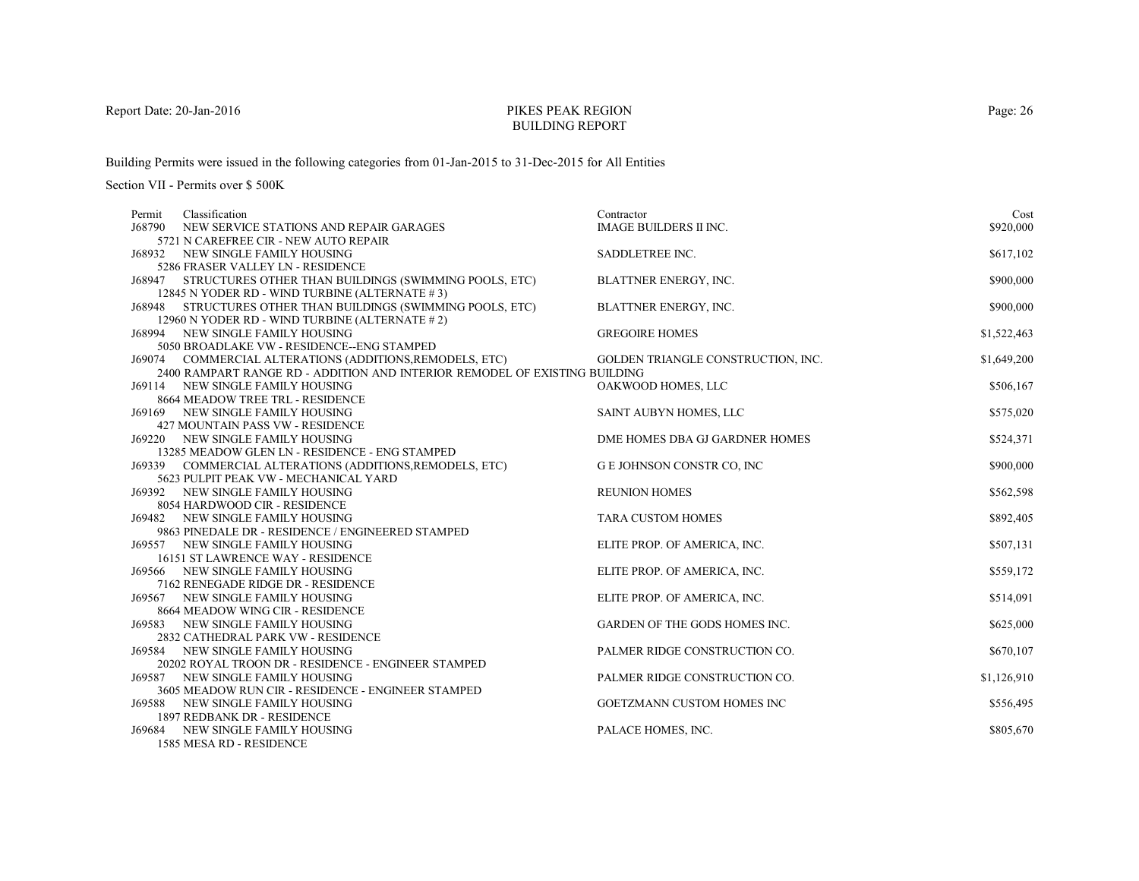# PIKES PEAK REGIONBUILDING REPORT

Building Permits were issued in the following categories from 01-Jan-2015 to 31-Dec-2015 for All Entities

| Classification<br>Permit                                                   | Contractor                         | Cost        |
|----------------------------------------------------------------------------|------------------------------------|-------------|
| J68790<br>NEW SERVICE STATIONS AND REPAIR GARAGES                          | <b>IMAGE BUILDERS II INC.</b>      | \$920,000   |
| 5721 N CAREFREE CIR - NEW AUTO REPAIR                                      |                                    |             |
| <b>J68932 NEW SINGLE FAMILY HOUSING</b>                                    | SADDLETREE INC.                    | \$617,102   |
| 5286 FRASER VALLEY LN - RESIDENCE                                          |                                    |             |
| J68947 STRUCTURES OTHER THAN BUILDINGS (SWIMMING POOLS, ETC)               | <b>BLATTNER ENERGY, INC.</b>       | \$900,000   |
| 12845 N YODER RD - WIND TURBINE (ALTERNATE #3)                             |                                    |             |
| J68948 STRUCTURES OTHER THAN BUILDINGS (SWIMMING POOLS, ETC)               | BLATTNER ENERGY, INC.              | \$900,000   |
| 12960 N YODER RD - WIND TURBINE (ALTERNATE # 2)                            |                                    |             |
| NEW SINGLE FAMILY HOUSING<br>168994                                        | <b>GREGOIRE HOMES</b>              | \$1,522,463 |
| 5050 BROADLAKE VW - RESIDENCE--ENG STAMPED                                 |                                    |             |
| J69074 COMMERCIAL ALTERATIONS (ADDITIONS, REMODELS, ETC)                   | GOLDEN TRIANGLE CONSTRUCTION, INC. | \$1,649,200 |
| 2400 RAMPART RANGE RD - ADDITION AND INTERIOR REMODEL OF EXISTING BUILDING |                                    |             |
| <b>J69114 NEW SINGLE FAMILY HOUSING</b>                                    | OAKWOOD HOMES, LLC                 | \$506,167   |
| 8664 MEADOW TREE TRL - RESIDENCE                                           |                                    |             |
| <b>J69169 NEW SINGLE FAMILY HOUSING</b>                                    | SAINT AUBYN HOMES, LLC             | \$575,020   |
| 427 MOUNTAIN PASS VW - RESIDENCE                                           |                                    |             |
| <b>J69220 NEW SINGLE FAMILY HOUSING</b>                                    | DME HOMES DBA GJ GARDNER HOMES     | \$524,371   |
| 13285 MEADOW GLEN LN - RESIDENCE - ENG STAMPED                             |                                    |             |
| J69339 COMMERCIAL ALTERATIONS (ADDITIONS, REMODELS, ETC)                   | G E JOHNSON CONSTR CO, INC         | \$900,000   |
| 5623 PULPIT PEAK VW - MECHANICAL YARD                                      | <b>REUNION HOMES</b>               | \$562,598   |
| <b>J69392 NEW SINGLE FAMILY HOUSING</b><br>8054 HARDWOOD CIR - RESIDENCE   |                                    |             |
| J69482 NEW SINGLE FAMILY HOUSING                                           | <b>TARA CUSTOM HOMES</b>           | \$892,405   |
| 9863 PINEDALE DR - RESIDENCE / ENGINEERED STAMPED                          |                                    |             |
| J69557 NEW SINGLE FAMILY HOUSING                                           | ELITE PROP. OF AMERICA, INC.       | \$507,131   |
| 16151 ST LAWRENCE WAY - RESIDENCE                                          |                                    |             |
| J69566 NEW SINGLE FAMILY HOUSING                                           | ELITE PROP. OF AMERICA, INC.       | \$559,172   |
| 7162 RENEGADE RIDGE DR - RESIDENCE                                         |                                    |             |
| <b>J69567 NEW SINGLE FAMILY HOUSING</b>                                    | ELITE PROP. OF AMERICA, INC.       | \$514,091   |
| 8664 MEADOW WING CIR - RESIDENCE                                           |                                    |             |
| <b>J69583 NEW SINGLE FAMILY HOUSING</b>                                    | GARDEN OF THE GODS HOMES INC.      | \$625,000   |
| 2832 CATHEDRAL PARK VW - RESIDENCE                                         |                                    |             |
| J69584<br>NEW SINGLE FAMILY HOUSING                                        | PALMER RIDGE CONSTRUCTION CO.      | \$670,107   |
| 20202 ROYAL TROON DR - RESIDENCE - ENGINEER STAMPED                        |                                    |             |
| <b>J69587 NEW SINGLE FAMILY HOUSING</b>                                    | PALMER RIDGE CONSTRUCTION CO.      | \$1,126,910 |
| 3605 MEADOW RUN CIR - RESIDENCE - ENGINEER STAMPED                         |                                    |             |
| <b>J69588 NEW SINGLE FAMILY HOUSING</b>                                    | GOETZMANN CUSTOM HOMES INC         | \$556,495   |
| 1897 REDBANK DR - RESIDENCE                                                |                                    |             |
| NEW SINGLE FAMILY HOUSING<br>J69684                                        | PALACE HOMES, INC.                 | \$805,670   |
| 1585 MESA RD - RESIDENCE                                                   |                                    |             |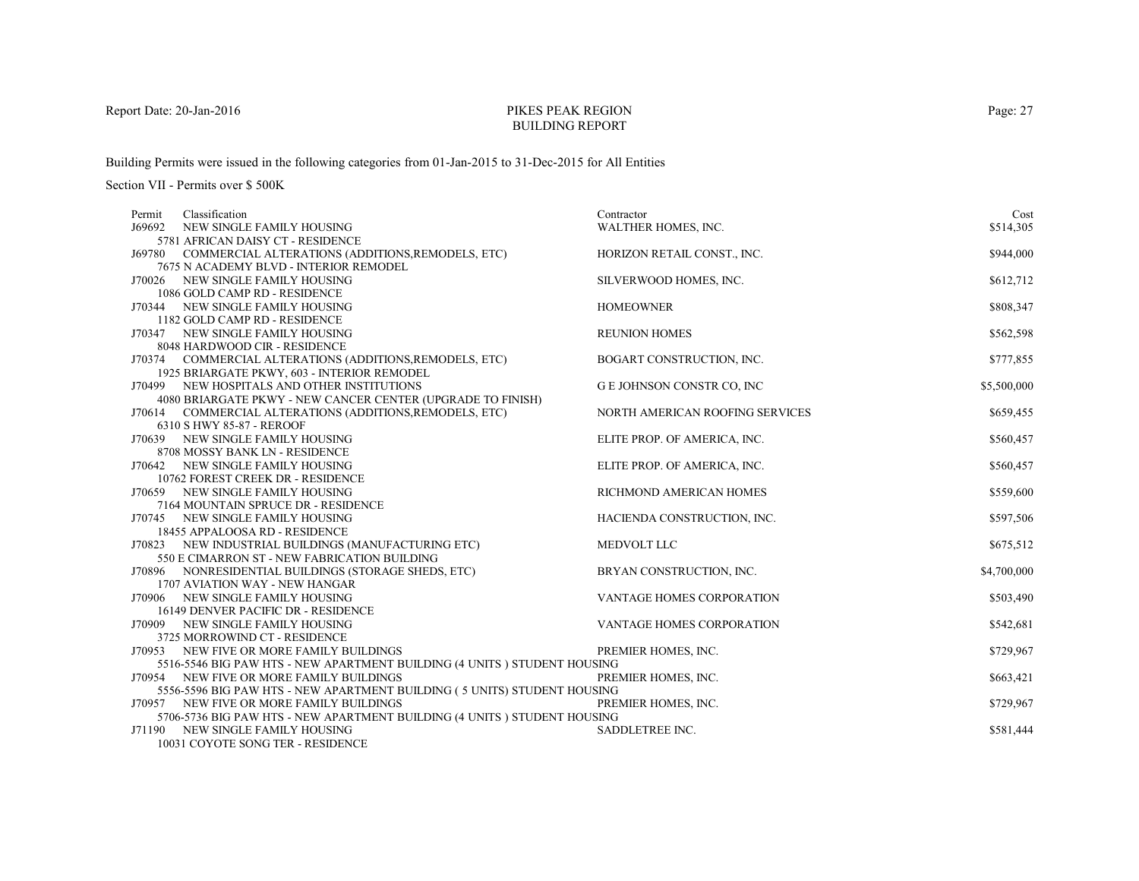# PIKES PEAK REGIONBUILDING REPORT

Building Permits were issued in the following categories from 01-Jan-2015 to 31-Dec-2015 for All Entities

| Classification<br>Permit                                                 | Contractor                        | Cost        |
|--------------------------------------------------------------------------|-----------------------------------|-------------|
| J69692<br>NEW SINGLE FAMILY HOUSING                                      | WALTHER HOMES, INC.               | \$514,305   |
| 5781 AFRICAN DAISY CT - RESIDENCE                                        |                                   |             |
| J69780 COMMERCIAL ALTERATIONS (ADDITIONS, REMODELS, ETC)                 | HORIZON RETAIL CONST., INC.       | \$944,000   |
| 7675 N ACADEMY BLVD - INTERIOR REMODEL                                   |                                   |             |
| J70026 NEW SINGLE FAMILY HOUSING                                         | SILVERWOOD HOMES, INC.            | \$612,712   |
| 1086 GOLD CAMP RD - RESIDENCE                                            |                                   |             |
| J70344 NEW SINGLE FAMILY HOUSING                                         | <b>HOMEOWNER</b>                  | \$808,347   |
| 1182 GOLD CAMP RD - RESIDENCE                                            |                                   |             |
| J70347 NEW SINGLE FAMILY HOUSING                                         | <b>REUNION HOMES</b>              | \$562,598   |
| 8048 HARDWOOD CIR - RESIDENCE                                            |                                   |             |
| J70374 COMMERCIAL ALTERATIONS (ADDITIONS, REMODELS, ETC)                 | BOGART CONSTRUCTION, INC.         | \$777,855   |
| 1925 BRIARGATE PKWY, 603 - INTERIOR REMODEL                              |                                   |             |
| J70499 NEW HOSPITALS AND OTHER INSTITUTIONS                              | <b>G E JOHNSON CONSTR CO, INC</b> | \$5,500,000 |
| 4080 BRIARGATE PKWY - NEW CANCER CENTER (UPGRADE TO FINISH)              |                                   |             |
| J70614 COMMERCIAL ALTERATIONS (ADDITIONS, REMODELS, ETC)                 | NORTH AMERICAN ROOFING SERVICES   | \$659,455   |
| 6310 S HWY 85-87 - REROOF                                                |                                   |             |
| J70639 NEW SINGLE FAMILY HOUSING                                         | ELITE PROP. OF AMERICA, INC.      | \$560,457   |
| 8708 MOSSY BANK LN - RESIDENCE                                           |                                   |             |
| J70642 NEW SINGLE FAMILY HOUSING                                         | ELITE PROP. OF AMERICA, INC.      | \$560,457   |
| 10762 FOREST CREEK DR - RESIDENCE                                        |                                   |             |
| J70659 NEW SINGLE FAMILY HOUSING<br>7164 MOUNTAIN SPRUCE DR - RESIDENCE  | RICHMOND AMERICAN HOMES           | \$559,600   |
| J70745 NEW SINGLE FAMILY HOUSING                                         | HACIENDA CONSTRUCTION, INC.       | \$597,506   |
| 18455 APPALOOSA RD - RESIDENCE                                           |                                   |             |
| J70823 NEW INDUSTRIAL BUILDINGS (MANUFACTURING ETC)                      | MEDVOLT LLC                       | \$675,512   |
| 550 E CIMARRON ST - NEW FABRICATION BUILDING                             |                                   |             |
| J70896 NONRESIDENTIAL BUILDINGS (STORAGE SHEDS, ETC)                     | BRYAN CONSTRUCTION, INC.          | \$4,700,000 |
| 1707 AVIATION WAY - NEW HANGAR                                           |                                   |             |
| J70906 NEW SINGLE FAMILY HOUSING                                         | <b>VANTAGE HOMES CORPORATION</b>  | \$503,490   |
| 16149 DENVER PACIFIC DR - RESIDENCE                                      |                                   |             |
| J70909 NEW SINGLE FAMILY HOUSING                                         | VANTAGE HOMES CORPORATION         | \$542,681   |
| 3725 MORROWIND CT - RESIDENCE                                            |                                   |             |
| NEW FIVE OR MORE FAMILY BUILDINGS<br>J70953                              | PREMIER HOMES, INC.               | \$729,967   |
| 5516-5546 BIG PAW HTS - NEW APARTMENT BUILDING (4 UNITS) STUDENT HOUSING |                                   |             |
| J70954 NEW FIVE OR MORE FAMILY BUILDINGS                                 | PREMIER HOMES, INC.               | \$663,421   |
| 5556-5596 BIG PAW HTS - NEW APARTMENT BUILDING (5 UNITS) STUDENT HOUSING |                                   |             |
| J70957 NEW FIVE OR MORE FAMILY BUILDINGS                                 | PREMIER HOMES, INC.               | \$729,967   |
| 5706-5736 BIG PAW HTS - NEW APARTMENT BUILDING (4 UNITS) STUDENT HOUSING |                                   |             |
| J71190<br>NEW SINGLE FAMILY HOUSING                                      | SADDLETREE INC.                   | \$581,444   |
| 10031 COYOTE SONG TER - RESIDENCE                                        |                                   |             |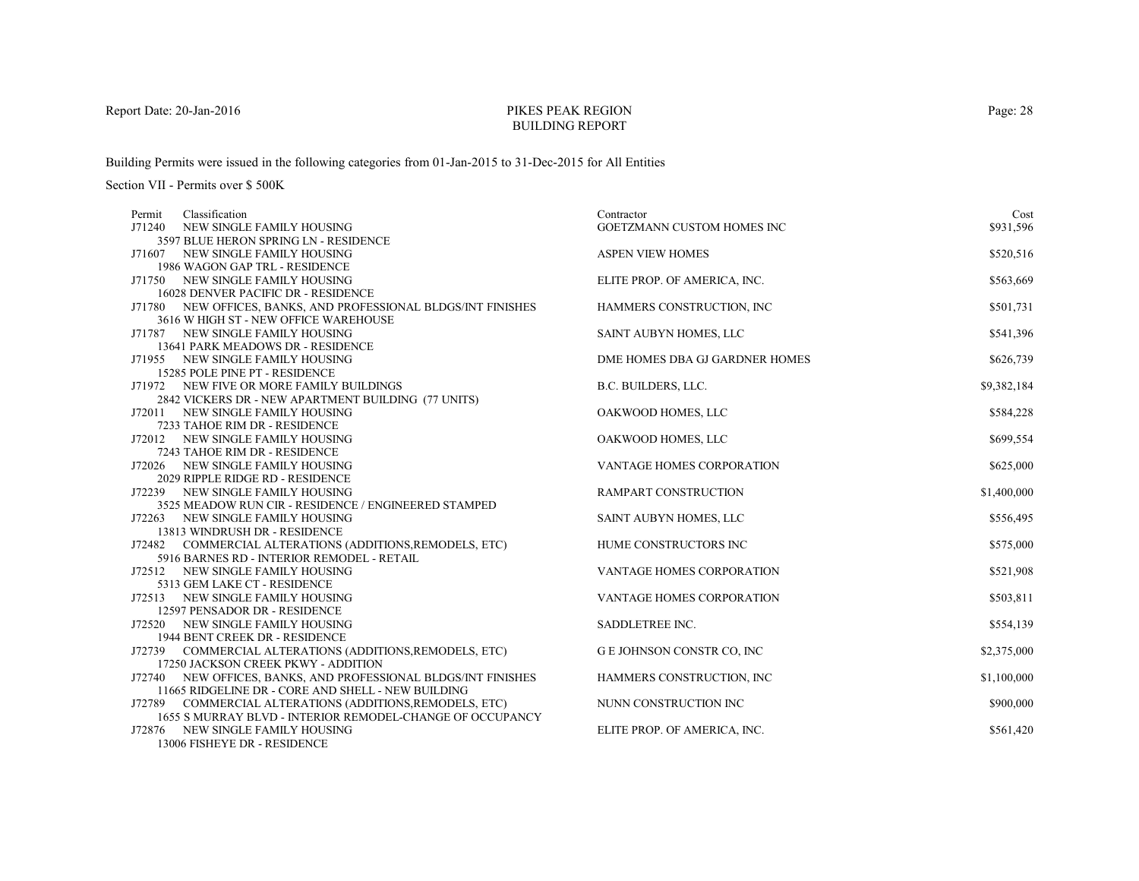# PIKES PEAK REGIONBUILDING REPORT

Building Permits were issued in the following categories from 01-Jan-2015 to 31-Dec-2015 for All Entities

Section VII - Permits over \$ 500K

| Classification<br>Permit                                        | Contractor                       | Cost        |
|-----------------------------------------------------------------|----------------------------------|-------------|
| J71240<br>NEW SINGLE FAMILY HOUSING                             | GOETZMANN CUSTOM HOMES INC       | \$931,596   |
| 3597 BLUE HERON SPRING LN - RESIDENCE                           |                                  |             |
| J71607 NEW SINGLE FAMILY HOUSING                                | <b>ASPEN VIEW HOMES</b>          | \$520,516   |
| 1986 WAGON GAP TRL - RESIDENCE                                  |                                  |             |
| J71750 NEW SINGLE FAMILY HOUSING                                | ELITE PROP. OF AMERICA, INC.     | \$563,669   |
| 16028 DENVER PACIFIC DR - RESIDENCE                             |                                  |             |
| J71780 NEW OFFICES, BANKS, AND PROFESSIONAL BLDGS/INT FINISHES  | HAMMERS CONSTRUCTION, INC        | \$501,731   |
| 3616 W HIGH ST - NEW OFFICE WAREHOUSE                           |                                  |             |
| J71787 NEW SINGLE FAMILY HOUSING                                | SAINT AUBYN HOMES, LLC           | \$541,396   |
| 13641 PARK MEADOWS DR - RESIDENCE                               |                                  |             |
| J71955 NEW SINGLE FAMILY HOUSING                                | DME HOMES DBA GJ GARDNER HOMES   | \$626,739   |
| 15285 POLE PINE PT - RESIDENCE                                  |                                  |             |
| J71972 NEW FIVE OR MORE FAMILY BUILDINGS                        | B.C. BUILDERS, LLC.              | \$9,382,184 |
| 2842 VICKERS DR - NEW APARTMENT BUILDING (77 UNITS)             |                                  |             |
| J72011 NEW SINGLE FAMILY HOUSING                                | OAKWOOD HOMES, LLC               | \$584,228   |
| 7233 TAHOE RIM DR - RESIDENCE                                   |                                  |             |
| J72012 NEW SINGLE FAMILY HOUSING                                | OAKWOOD HOMES, LLC               | \$699,554   |
| 7243 TAHOE RIM DR - RESIDENCE                                   |                                  |             |
| J72026 NEW SINGLE FAMILY HOUSING                                | VANTAGE HOMES CORPORATION        | \$625,000   |
| 2029 RIPPLE RIDGE RD - RESIDENCE                                |                                  |             |
| J72239 NEW SINGLE FAMILY HOUSING                                | RAMPART CONSTRUCTION             | \$1,400,000 |
| 3525 MEADOW RUN CIR - RESIDENCE / ENGINEERED STAMPED            |                                  |             |
| J72263 NEW SINGLE FAMILY HOUSING                                | SAINT AUBYN HOMES, LLC           | \$556,495   |
| 13813 WINDRUSH DR - RESIDENCE                                   |                                  |             |
| COMMERCIAL ALTERATIONS (ADDITIONS, REMODELS, ETC)<br>J72482     | HUME CONSTRUCTORS INC            | \$575,000   |
| 5916 BARNES RD - INTERIOR REMODEL - RETAIL                      |                                  |             |
| J72512 NEW SINGLE FAMILY HOUSING                                | <b>VANTAGE HOMES CORPORATION</b> | \$521,908   |
| 5313 GEM LAKE CT - RESIDENCE                                    |                                  |             |
| J72513 NEW SINGLE FAMILY HOUSING                                | <b>VANTAGE HOMES CORPORATION</b> | \$503,811   |
| 12597 PENSADOR DR - RESIDENCE                                   |                                  |             |
| J72520 NEW SINGLE FAMILY HOUSING                                | SADDLETREE INC.                  | \$554,139   |
| 1944 BENT CREEK DR - RESIDENCE                                  |                                  |             |
| J72739 COMMERCIAL ALTERATIONS (ADDITIONS, REMODELS, ETC)        | G E JOHNSON CONSTR CO, INC       | \$2,375,000 |
| 17250 JACKSON CREEK PKWY - ADDITION                             |                                  |             |
| J72740 NEW OFFICES, BANKS, AND PROFESSIONAL BLDGS/INT FINISHES  | HAMMERS CONSTRUCTION, INC        | \$1,100,000 |
| 11665 RIDGELINE DR - CORE AND SHELL - NEW BUILDING              |                                  |             |
| J72789 COMMERCIAL ALTERATIONS (ADDITIONS, REMODELS, ETC)        | NUNN CONSTRUCTION INC            | \$900,000   |
| 1655 S MURRAY BLVD - INTERIOR REMODEL-CHANGE OF OCCUPANCY       |                                  |             |
| J72876 NEW SINGLE FAMILY HOUSING<br>12006 EIGHEVE DD. BEGIDEMOE | ELITE PROP. OF AMERICA, INC.     | \$561,420   |

13006 FISHEYE DR - RESIDENCE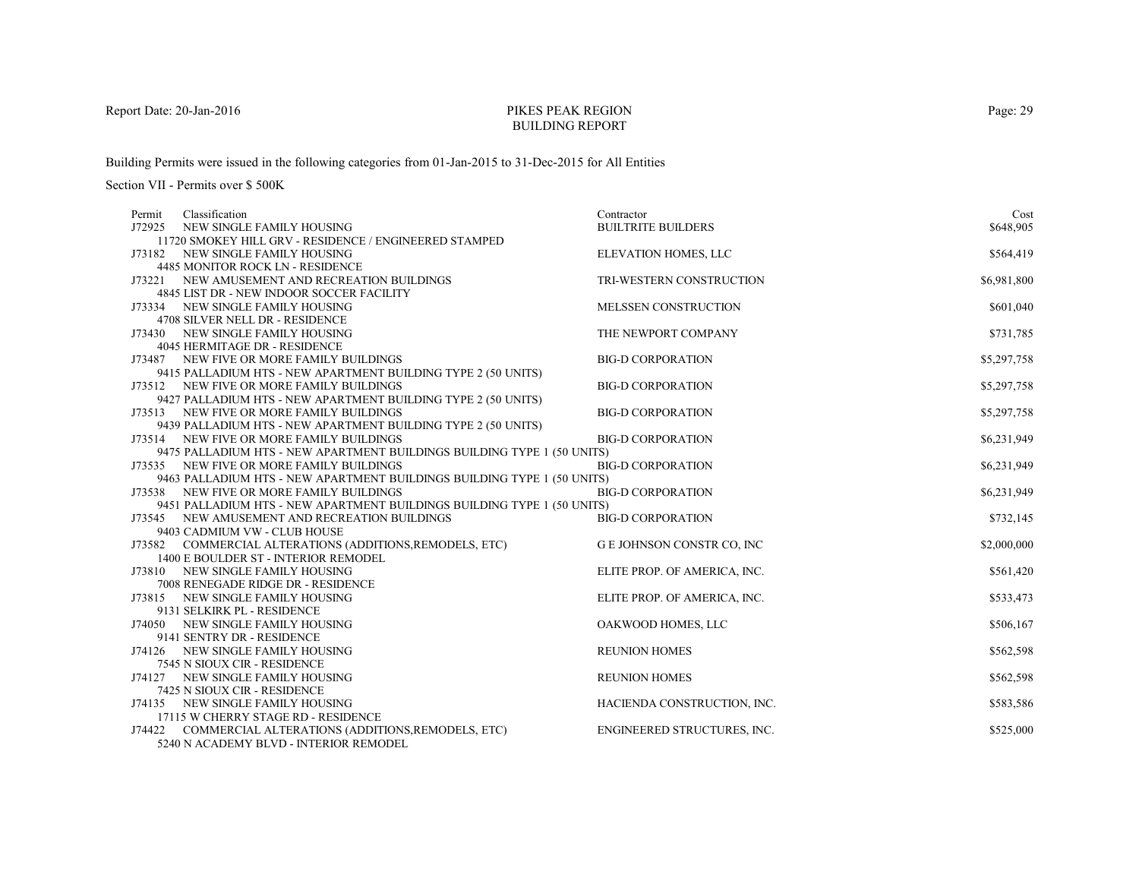# PIKES PEAK REGIONBUILDING REPORT

Building Permits were issued in the following categories from 01-Jan-2015 to 31-Dec-2015 for All Entities

| Classification<br>Permit                                                | Contractor                       | Cost        |
|-------------------------------------------------------------------------|----------------------------------|-------------|
| J72925<br>NEW SINGLE FAMILY HOUSING                                     | <b>BUILTRITE BUILDERS</b>        | \$648,905   |
| 11720 SMOKEY HILL GRV - RESIDENCE / ENGINEERED STAMPED                  |                                  |             |
| J73182 NEW SINGLE FAMILY HOUSING                                        | ELEVATION HOMES, LLC             | \$564,419   |
| <b>4485 MONITOR ROCK LN - RESIDENCE</b>                                 |                                  |             |
| J73221<br>NEW AMUSEMENT AND RECREATION BUILDINGS                        | TRI-WESTERN CONSTRUCTION         | \$6,981,800 |
| 4845 LIST DR - NEW INDOOR SOCCER FACILITY                               |                                  |             |
| J73334 NEW SINGLE FAMILY HOUSING                                        | MELSSEN CONSTRUCTION             | \$601,040   |
| 4708 SILVER NELL DR - RESIDENCE                                         |                                  |             |
| J73430 NEW SINGLE FAMILY HOUSING                                        | THE NEWPORT COMPANY              | \$731,785   |
| 4045 HERMITAGE DR - RESIDENCE                                           |                                  |             |
| J73487 NEW FIVE OR MORE FAMILY BUILDINGS                                | <b>BIG-D CORPORATION</b>         | \$5,297,758 |
| 9415 PALLADIUM HTS - NEW APARTMENT BUILDING TYPE 2 (50 UNITS)           |                                  |             |
| J73512 NEW FIVE OR MORE FAMILY BUILDINGS                                | <b>BIG-D CORPORATION</b>         | \$5,297,758 |
| 9427 PALLADIUM HTS - NEW APARTMENT BUILDING TYPE 2 (50 UNITS)           |                                  |             |
| J73513 NEW FIVE OR MORE FAMILY BUILDINGS                                | <b>BIG-D CORPORATION</b>         | \$5,297,758 |
| 9439 PALLADIUM HTS - NEW APARTMENT BUILDING TYPE 2 (50 UNITS)           |                                  |             |
| J73514 NEW FIVE OR MORE FAMILY BUILDINGS                                | <b>BIG-D CORPORATION</b>         | \$6,231,949 |
| 9475 PALLADIUM HTS - NEW APARTMENT BUILDINGS BUILDING TYPE 1 (50 UNITS) |                                  |             |
| J73535 NEW FIVE OR MORE FAMILY BUILDINGS                                | <b>BIG-D CORPORATION</b>         | \$6,231,949 |
| 9463 PALLADIUM HTS - NEW APARTMENT BUILDINGS BUILDING TYPE 1 (50 UNITS) |                                  |             |
| J73538 NEW FIVE OR MORE FAMILY BUILDINGS                                | <b>BIG-D CORPORATION</b>         | \$6,231,949 |
| 9451 PALLADIUM HTS - NEW APARTMENT BUILDINGS BUILDING TYPE 1 (50 UNITS) |                                  |             |
| J73545 NEW AMUSEMENT AND RECREATION BUILDINGS                           | <b>BIG-D CORPORATION</b>         | \$732,145   |
| 9403 CADMIUM VW - CLUB HOUSE                                            |                                  |             |
| J73582 COMMERCIAL ALTERATIONS (ADDITIONS, REMODELS, ETC)                | <b>GE JOHNSON CONSTR CO, INC</b> | \$2,000,000 |
| 1400 E BOULDER ST - INTERIOR REMODEL                                    |                                  |             |
| J73810 NEW SINGLE FAMILY HOUSING                                        | ELITE PROP. OF AMERICA, INC.     | \$561,420   |
| 7008 RENEGADE RIDGE DR - RESIDENCE                                      |                                  |             |
| J73815 NEW SINGLE FAMILY HOUSING                                        | ELITE PROP. OF AMERICA, INC.     | \$533,473   |
| 9131 SELKIRK PL - RESIDENCE                                             |                                  |             |
| J74050 NEW SINGLE FAMILY HOUSING                                        | OAKWOOD HOMES, LLC               | \$506,167   |
| 9141 SENTRY DR - RESIDENCE                                              |                                  |             |
| J74126 NEW SINGLE FAMILY HOUSING                                        | <b>REUNION HOMES</b>             | \$562,598   |
| 7545 N SIOUX CIR - RESIDENCE                                            |                                  |             |
| J74127 NEW SINGLE FAMILY HOUSING                                        | <b>REUNION HOMES</b>             | \$562,598   |
| 7425 N SIOUX CIR - RESIDENCE                                            |                                  |             |
| J74135 NEW SINGLE FAMILY HOUSING                                        | HACIENDA CONSTRUCTION, INC.      | \$583,586   |
| 17115 W CHERRY STAGE RD - RESIDENCE                                     |                                  |             |
| J74422 COMMERCIAL ALTERATIONS (ADDITIONS, REMODELS, ETC)                | ENGINEERED STRUCTURES, INC.      | \$525,000   |
| 5240 N ACADEMY BLVD - INTERIOR REMODEL                                  |                                  |             |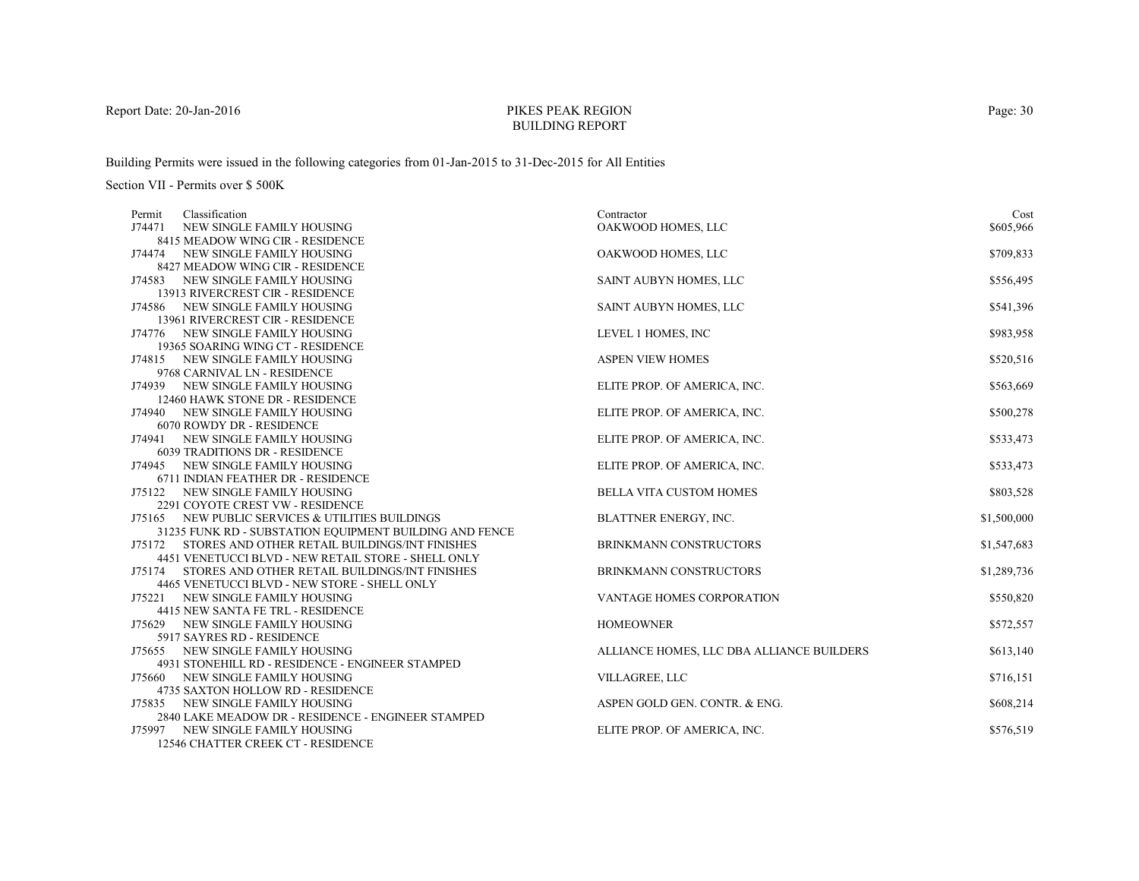# PIKES PEAK REGIONBUILDING REPORT

Building Permits were issued in the following categories from 01-Jan-2015 to 31-Dec-2015 for All Entities

| Classification<br>Permit                                                             | Contractor                                | Cost        |
|--------------------------------------------------------------------------------------|-------------------------------------------|-------------|
| J74471<br>NEW SINGLE FAMILY HOUSING                                                  | OAKWOOD HOMES, LLC                        | \$605,966   |
| 8415 MEADOW WING CIR - RESIDENCE                                                     |                                           |             |
| J74474 NEW SINGLE FAMILY HOUSING                                                     | OAKWOOD HOMES, LLC                        | \$709,833   |
| 8427 MEADOW WING CIR - RESIDENCE                                                     |                                           |             |
| J74583 NEW SINGLE FAMILY HOUSING                                                     | SAINT AUBYN HOMES, LLC                    | \$556,495   |
| 13913 RIVERCREST CIR - RESIDENCE                                                     |                                           |             |
| J74586 NEW SINGLE FAMILY HOUSING                                                     | SAINT AUBYN HOMES, LLC                    | \$541,396   |
| 13961 RIVERCREST CIR - RESIDENCE                                                     |                                           |             |
| J74776 NEW SINGLE FAMILY HOUSING                                                     | LEVEL 1 HOMES, INC                        | \$983,958   |
| 19365 SOARING WING CT - RESIDENCE                                                    |                                           |             |
| J74815 NEW SINGLE FAMILY HOUSING                                                     | <b>ASPEN VIEW HOMES</b>                   | \$520,516   |
| 9768 CARNIVAL LN - RESIDENCE                                                         |                                           |             |
| J74939 NEW SINGLE FAMILY HOUSING                                                     | ELITE PROP. OF AMERICA, INC.              | \$563,669   |
| 12460 HAWK STONE DR - RESIDENCE                                                      |                                           |             |
| J74940 NEW SINGLE FAMILY HOUSING                                                     | ELITE PROP. OF AMERICA, INC.              | \$500,278   |
| 6070 ROWDY DR - RESIDENCE                                                            |                                           |             |
| NEW SINGLE FAMILY HOUSING<br>J74941                                                  | ELITE PROP. OF AMERICA, INC.              | \$533,473   |
| <b>6039 TRADITIONS DR - RESIDENCE</b>                                                |                                           |             |
| J74945 NEW SINGLE FAMILY HOUSING                                                     | ELITE PROP. OF AMERICA, INC.              | \$533,473   |
| 6711 INDIAN FEATHER DR - RESIDENCE                                                   |                                           |             |
| J75122 NEW SINGLE FAMILY HOUSING                                                     | <b>BELLA VITA CUSTOM HOMES</b>            | \$803,528   |
| 2291 COYOTE CREST VW - RESIDENCE<br>J75165 NEW PUBLIC SERVICES & UTILITIES BUILDINGS |                                           |             |
| 31235 FUNK RD - SUBSTATION EQUIPMENT BUILDING AND FENCE                              | BLATTNER ENERGY, INC.                     | \$1,500,000 |
| J75172 STORES AND OTHER RETAIL BUILDINGS/INT FINISHES                                | BRINKMANN CONSTRUCTORS                    | \$1,547,683 |
| 4451 VENETUCCI BLVD - NEW RETAIL STORE - SHELL ONLY                                  |                                           |             |
| STORES AND OTHER RETAIL BUILDINGS/INT FINISHES<br>J75174                             | BRINKMANN CONSTRUCTORS                    | \$1,289,736 |
| 4465 VENETUCCI BLVD - NEW STORE - SHELL ONLY                                         |                                           |             |
| J75221 NEW SINGLE FAMILY HOUSING                                                     | VANTAGE HOMES CORPORATION                 | \$550,820   |
| 4415 NEW SANTA FE TRL - RESIDENCE                                                    |                                           |             |
| J75629 NEW SINGLE FAMILY HOUSING                                                     | <b>HOMEOWNER</b>                          | \$572,557   |
| 5917 SAYRES RD - RESIDENCE                                                           |                                           |             |
| J75655<br>NEW SINGLE FAMILY HOUSING                                                  | ALLIANCE HOMES, LLC DBA ALLIANCE BUILDERS | \$613,140   |
| 4931 STONEHILL RD - RESIDENCE - ENGINEER STAMPED                                     |                                           |             |
| J75660 NEW SINGLE FAMILY HOUSING                                                     | VILLAGREE, LLC                            | \$716,151   |
| 4735 SAXTON HOLLOW RD - RESIDENCE                                                    |                                           |             |
| J75835 NEW SINGLE FAMILY HOUSING                                                     | ASPEN GOLD GEN. CONTR. & ENG.             | \$608,214   |
| 2840 LAKE MEADOW DR - RESIDENCE - ENGINEER STAMPED                                   |                                           |             |
| NEW SINGLE FAMILY HOUSING<br>J75997                                                  | ELITE PROP. OF AMERICA, INC.              | \$576,519   |
| 12546 CHATTER CREEK CT - RESIDENCE                                                   |                                           |             |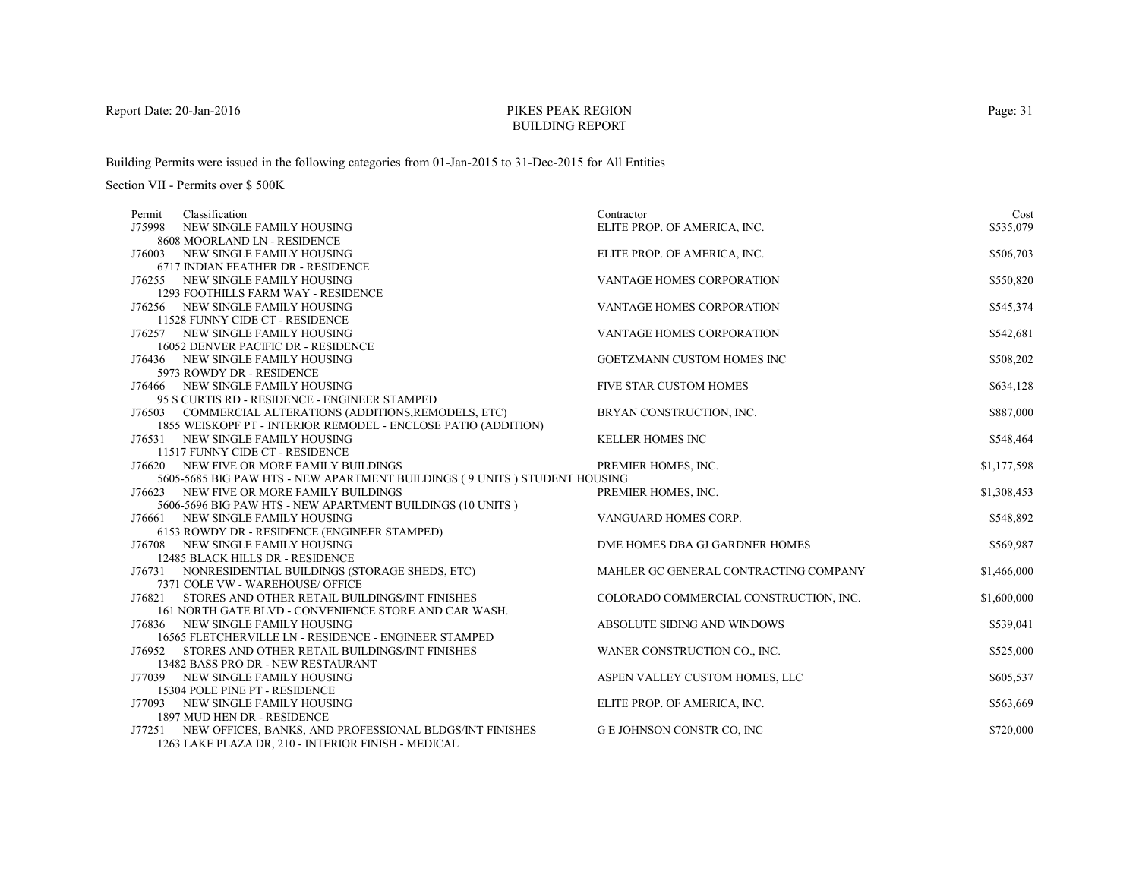# PIKES PEAK REGIONBUILDING REPORT

Building Permits were issued in the following categories from 01-Jan-2015 to 31-Dec-2015 for All Entities

| Classification<br>Permit                                                  | Contractor                             | Cost        |
|---------------------------------------------------------------------------|----------------------------------------|-------------|
| J75998<br>NEW SINGLE FAMILY HOUSING                                       | ELITE PROP. OF AMERICA, INC.           | \$535,079   |
| 8608 MOORLAND LN - RESIDENCE                                              |                                        |             |
| J76003 NEW SINGLE FAMILY HOUSING                                          | ELITE PROP. OF AMERICA, INC.           | \$506,703   |
| 6717 INDIAN FEATHER DR - RESIDENCE                                        |                                        |             |
| J76255 NEW SINGLE FAMILY HOUSING                                          | VANTAGE HOMES CORPORATION              | \$550,820   |
| 1293 FOOTHILLS FARM WAY - RESIDENCE                                       |                                        |             |
| J76256 NEW SINGLE FAMILY HOUSING                                          | VANTAGE HOMES CORPORATION              | \$545,374   |
| 11528 FUNNY CIDE CT - RESIDENCE                                           |                                        |             |
| J76257 NEW SINGLE FAMILY HOUSING                                          | VANTAGE HOMES CORPORATION              | \$542,681   |
| 16052 DENVER PACIFIC DR - RESIDENCE                                       |                                        |             |
| J76436 NEW SINGLE FAMILY HOUSING                                          | GOETZMANN CUSTOM HOMES INC             | \$508,202   |
| 5973 ROWDY DR - RESIDENCE                                                 |                                        |             |
| J76466 NEW SINGLE FAMILY HOUSING                                          | FIVE STAR CUSTOM HOMES                 | \$634,128   |
| 95 S CURTIS RD - RESIDENCE - ENGINEER STAMPED                             |                                        |             |
| J76503 COMMERCIAL ALTERATIONS (ADDITIONS, REMODELS, ETC)                  | BRYAN CONSTRUCTION, INC.               | \$887,000   |
| 1855 WEISKOPF PT - INTERIOR REMODEL - ENCLOSE PATIO (ADDITION)            |                                        |             |
| J76531 NEW SINGLE FAMILY HOUSING                                          | <b>KELLER HOMES INC</b>                | \$548,464   |
| 11517 FUNNY CIDE CT - RESIDENCE                                           |                                        |             |
| J76620 NEW FIVE OR MORE FAMILY BUILDINGS                                  | PREMIER HOMES, INC.                    | \$1,177,598 |
| 5605-5685 BIG PAW HTS - NEW APARTMENT BUILDINGS (9 UNITS) STUDENT HOUSING |                                        |             |
| J76623 NEW FIVE OR MORE FAMILY BUILDINGS                                  | PREMIER HOMES, INC.                    | \$1,308,453 |
| 5606-5696 BIG PAW HTS - NEW APARTMENT BUILDINGS (10 UNITS )               |                                        |             |
| J76661 NEW SINGLE FAMILY HOUSING                                          | VANGUARD HOMES CORP.                   | \$548,892   |
| 6153 ROWDY DR - RESIDENCE (ENGINEER STAMPED)                              |                                        |             |
| J76708 NEW SINGLE FAMILY HOUSING<br>12485 BLACK HILLS DR - RESIDENCE      | DME HOMES DBA GJ GARDNER HOMES         | \$569,987   |
| J76731 NONRESIDENTIAL BUILDINGS (STORAGE SHEDS, ETC)                      | MAHLER GC GENERAL CONTRACTING COMPANY  | \$1,466,000 |
| 7371 COLE VW - WAREHOUSE/ OFFICE                                          |                                        |             |
| J76821 STORES AND OTHER RETAIL BUILDINGS/INT FINISHES                     | COLORADO COMMERCIAL CONSTRUCTION, INC. | \$1,600,000 |
| 161 NORTH GATE BLVD - CONVENIENCE STORE AND CAR WASH.                     |                                        |             |
| J76836 NEW SINGLE FAMILY HOUSING                                          | ABSOLUTE SIDING AND WINDOWS            | \$539,041   |
| 16565 FLETCHERVILLE LN - RESIDENCE - ENGINEER STAMPED                     |                                        |             |
| STORES AND OTHER RETAIL BUILDINGS/INT FINISHES<br>J76952                  | WANER CONSTRUCTION CO., INC.           | \$525,000   |
| 13482 BASS PRO DR - NEW RESTAURANT                                        |                                        |             |
| J77039 NEW SINGLE FAMILY HOUSING                                          | ASPEN VALLEY CUSTOM HOMES, LLC         | \$605,537   |
| 15304 POLE PINE PT - RESIDENCE                                            |                                        |             |
| J77093 NEW SINGLE FAMILY HOUSING                                          | ELITE PROP. OF AMERICA, INC.           | \$563,669   |
| 1897 MUD HEN DR - RESIDENCE                                               |                                        |             |
| J77251 NEW OFFICES, BANKS, AND PROFESSIONAL BLDGS/INT FINISHES            | G E JOHNSON CONSTR CO, INC             | \$720,000   |
| 1263 LAKE PLAZA DR, 210 - INTERIOR FINISH - MEDICAL                       |                                        |             |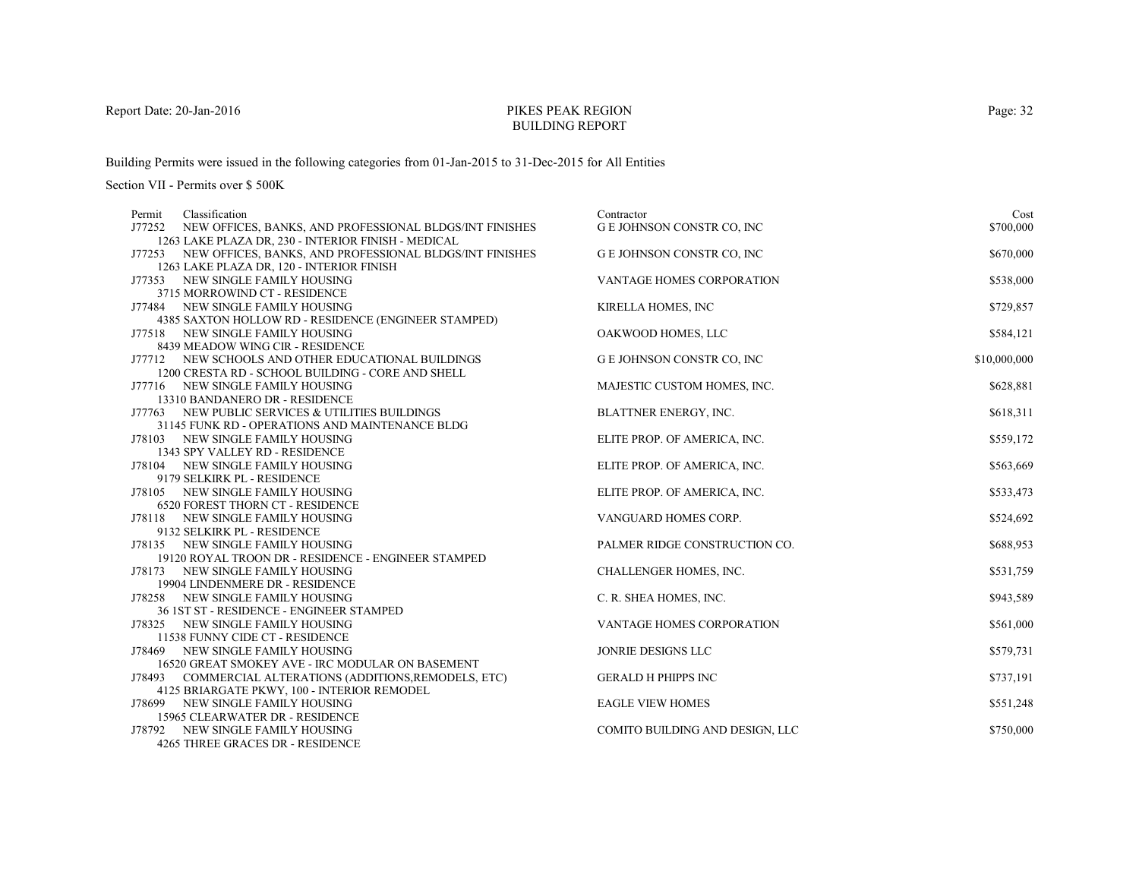# PIKES PEAK REGIONBUILDING REPORT

Building Permits were issued in the following categories from 01-Jan-2015 to 31-Dec-2015 for All Entities

| Classification<br>Permit                                          | Contractor                        | Cost         |
|-------------------------------------------------------------------|-----------------------------------|--------------|
| J77252<br>NEW OFFICES, BANKS, AND PROFESSIONAL BLDGS/INT FINISHES | G E JOHNSON CONSTR CO, INC        | \$700,000    |
| 1263 LAKE PLAZA DR, 230 - INTERIOR FINISH - MEDICAL               |                                   |              |
| J77253 NEW OFFICES, BANKS, AND PROFESSIONAL BLDGS/INT FINISHES    | <b>GE JOHNSON CONSTR CO, INC</b>  | \$670,000    |
| 1263 LAKE PLAZA DR, 120 - INTERIOR FINISH                         |                                   |              |
| J77353 NEW SINGLE FAMILY HOUSING                                  | <b>VANTAGE HOMES CORPORATION</b>  | \$538,000    |
| 3715 MORROWIND CT - RESIDENCE                                     |                                   |              |
| J77484 NEW SINGLE FAMILY HOUSING                                  | KIRELLA HOMES, INC                | \$729,857    |
| 4385 SAXTON HOLLOW RD - RESIDENCE (ENGINEER STAMPED)              |                                   |              |
| J77518 NEW SINGLE FAMILY HOUSING                                  | OAKWOOD HOMES, LLC                | \$584,121    |
| 8439 MEADOW WING CIR - RESIDENCE                                  |                                   |              |
| J77712 NEW SCHOOLS AND OTHER EDUCATIONAL BUILDINGS                | <b>G E JOHNSON CONSTR CO, INC</b> | \$10,000,000 |
| 1200 CRESTA RD - SCHOOL BUILDING - CORE AND SHELL                 |                                   |              |
| J77716 NEW SINGLE FAMILY HOUSING                                  | MAJESTIC CUSTOM HOMES, INC.       | \$628,881    |
| 13310 BANDANERO DR - RESIDENCE                                    |                                   |              |
| J77763 NEW PUBLIC SERVICES & UTILITIES BUILDINGS                  | BLATTNER ENERGY, INC.             | \$618,311    |
| 31145 FUNK RD - OPERATIONS AND MAINTENANCE BLDG                   |                                   |              |
| J78103 NEW SINGLE FAMILY HOUSING                                  | ELITE PROP. OF AMERICA, INC.      | \$559,172    |
| 1343 SPY VALLEY RD - RESIDENCE                                    |                                   |              |
| J78104 NEW SINGLE FAMILY HOUSING                                  | ELITE PROP. OF AMERICA, INC.      | \$563,669    |
| 9179 SELKIRK PL - RESIDENCE                                       |                                   |              |
| J78105 NEW SINGLE FAMILY HOUSING                                  | ELITE PROP. OF AMERICA, INC.      | \$533,473    |
| <b>6520 FOREST THORN CT - RESIDENCE</b>                           |                                   |              |
| J78118 NEW SINGLE FAMILY HOUSING                                  | VANGUARD HOMES CORP.              | \$524,692    |
| 9132 SELKIRK PL - RESIDENCE                                       |                                   |              |
| J78135 NEW SINGLE FAMILY HOUSING                                  | PALMER RIDGE CONSTRUCTION CO.     | \$688,953    |
| 19120 ROYAL TROON DR - RESIDENCE - ENGINEER STAMPED               |                                   |              |
| J78173 NEW SINGLE FAMILY HOUSING                                  | CHALLENGER HOMES, INC.            | \$531,759    |
| 19904 LINDENMERE DR - RESIDENCE                                   |                                   |              |
| J78258 NEW SINGLE FAMILY HOUSING                                  | C. R. SHEA HOMES, INC.            | \$943,589    |
| 36 IST ST - RESIDENCE - ENGINEER STAMPED                          |                                   |              |
| J78325 NEW SINGLE FAMILY HOUSING                                  | <b>VANTAGE HOMES CORPORATION</b>  | \$561,000    |
| 11538 FUNNY CIDE CT - RESIDENCE                                   |                                   |              |
| J78469 NEW SINGLE FAMILY HOUSING                                  | JONRIE DESIGNS LLC                | \$579,731    |
| 16520 GREAT SMOKEY AVE - IRC MODULAR ON BASEMENT                  |                                   |              |
| J78493 COMMERCIAL ALTERATIONS (ADDITIONS, REMODELS, ETC)          | <b>GERALD H PHIPPS INC</b>        | \$737,191    |
| 4125 BRIARGATE PKWY, 100 - INTERIOR REMODEL                       |                                   |              |
| J78699 NEW SINGLE FAMILY HOUSING                                  | <b>EAGLE VIEW HOMES</b>           | \$551,248    |
| 15965 CLEARWATER DR - RESIDENCE                                   |                                   |              |
| J78792 NEW SINGLE FAMILY HOUSING                                  | COMITO BUILDING AND DESIGN, LLC   | \$750,000    |
| 4265 THREE GRACES DR - RESIDENCE                                  |                                   |              |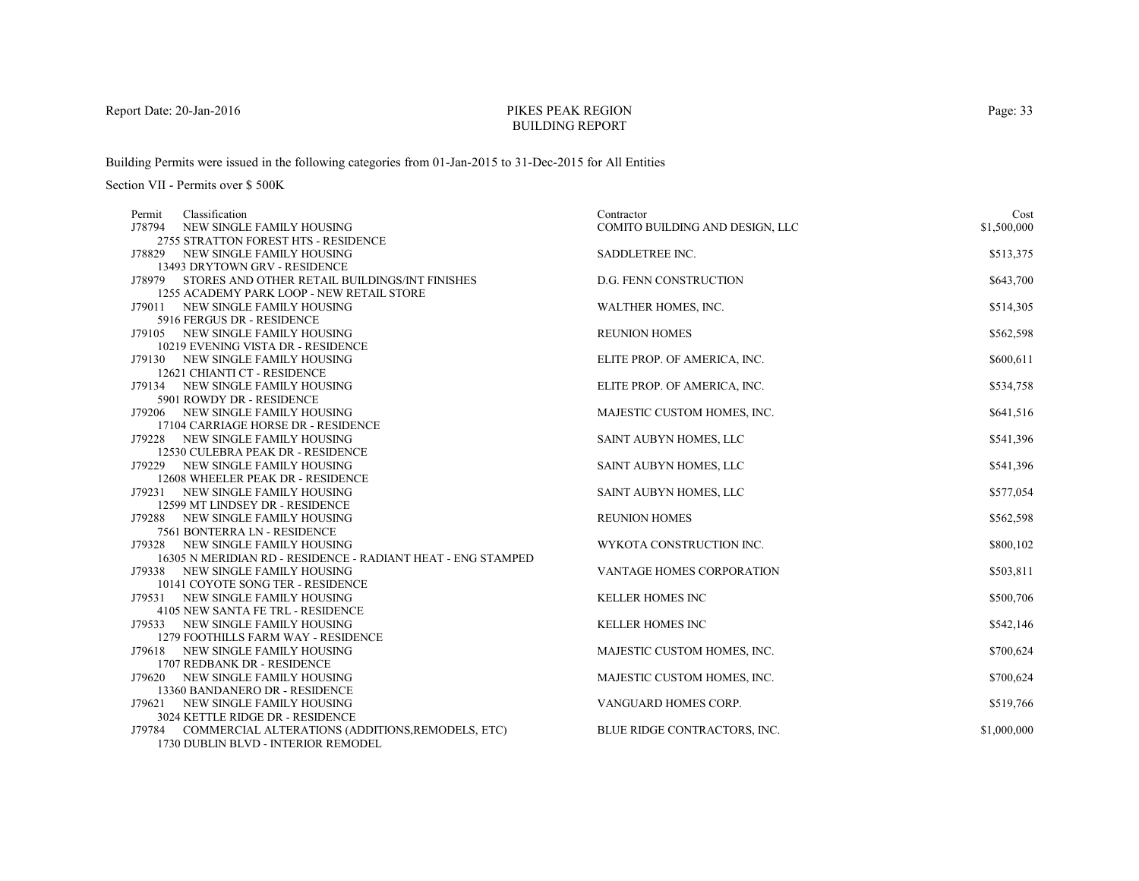# PIKES PEAK REGIONBUILDING REPORT

Building Permits were issued in the following categories from 01-Jan-2015 to 31-Dec-2015 for All Entities

| Classification<br>Permit                                              | Contractor                      | Cost        |
|-----------------------------------------------------------------------|---------------------------------|-------------|
| J78794<br>NEW SINGLE FAMILY HOUSING                                   | COMITO BUILDING AND DESIGN, LLC | \$1,500,000 |
| 2755 STRATTON FOREST HTS - RESIDENCE                                  |                                 |             |
| J78829 NEW SINGLE FAMILY HOUSING                                      | SADDLETREE INC.                 | \$513,375   |
| 13493 DRYTOWN GRV - RESIDENCE                                         |                                 |             |
| J78979 STORES AND OTHER RETAIL BUILDINGS/INT FINISHES                 | <b>D.G. FENN CONSTRUCTION</b>   | \$643,700   |
| 1255 ACADEMY PARK LOOP - NEW RETAIL STORE                             |                                 |             |
| J79011 NEW SINGLE FAMILY HOUSING<br>5916 FERGUS DR - RESIDENCE        | WALTHER HOMES, INC.             | \$514,305   |
| J79105 NEW SINGLE FAMILY HOUSING                                      | <b>REUNION HOMES</b>            | \$562,598   |
| 10219 EVENING VISTA DR - RESIDENCE                                    |                                 |             |
| J79130 NEW SINGLE FAMILY HOUSING                                      | ELITE PROP. OF AMERICA, INC.    | \$600,611   |
| 12621 CHIANTI CT - RESIDENCE                                          |                                 |             |
| J79134 NEW SINGLE FAMILY HOUSING                                      | ELITE PROP. OF AMERICA, INC.    | \$534,758   |
| 5901 ROWDY DR - RESIDENCE                                             |                                 |             |
| J79206 NEW SINGLE FAMILY HOUSING                                      | MAJESTIC CUSTOM HOMES, INC.     | \$641,516   |
| 17104 CARRIAGE HORSE DR - RESIDENCE                                   |                                 |             |
| J79228 NEW SINGLE FAMILY HOUSING                                      | SAINT AUBYN HOMES, LLC          | \$541,396   |
| 12530 CULEBRA PEAK DR - RESIDENCE                                     |                                 |             |
| J79229 NEW SINGLE FAMILY HOUSING                                      | SAINT AUBYN HOMES, LLC          | \$541,396   |
| 12608 WHEELER PEAK DR - RESIDENCE                                     |                                 |             |
| J79231 NEW SINGLE FAMILY HOUSING                                      | SAINT AUBYN HOMES, LLC          | \$577,054   |
| 12599 MT LINDSEY DR - RESIDENCE                                       |                                 |             |
| J79288 NEW SINGLE FAMILY HOUSING                                      | <b>REUNION HOMES</b>            | \$562,598   |
| 7561 BONTERRA LN - RESIDENCE                                          |                                 |             |
| J79328 NEW SINGLE FAMILY HOUSING                                      | WYKOTA CONSTRUCTION INC.        | \$800,102   |
| 16305 N MERIDIAN RD - RESIDENCE - RADIANT HEAT - ENG STAMPED          |                                 |             |
| J79338 NEW SINGLE FAMILY HOUSING                                      | VANTAGE HOMES CORPORATION       | \$503,811   |
| 10141 COYOTE SONG TER - RESIDENCE                                     |                                 |             |
| J79531 NEW SINGLE FAMILY HOUSING                                      | <b>KELLER HOMES INC</b>         | \$500,706   |
| 4105 NEW SANTA FE TRL - RESIDENCE<br>J79533 NEW SINGLE FAMILY HOUSING | <b>KELLER HOMES INC</b>         | \$542,146   |
| 1279 FOOTHILLS FARM WAY - RESIDENCE                                   |                                 |             |
| NEW SINGLE FAMILY HOUSING<br>J79618                                   | MAJESTIC CUSTOM HOMES, INC.     | \$700,624   |
| 1707 REDBANK DR - RESIDENCE                                           |                                 |             |
| J79620 NEW SINGLE FAMILY HOUSING                                      | MAJESTIC CUSTOM HOMES, INC.     | \$700,624   |
| 13360 BANDANERO DR - RESIDENCE                                        |                                 |             |
| J79621 NEW SINGLE FAMILY HOUSING                                      | VANGUARD HOMES CORP.            | \$519,766   |
| 3024 KETTLE RIDGE DR - RESIDENCE                                      |                                 |             |
| J79784 COMMERCIAL ALTERATIONS (ADDITIONS, REMODELS, ETC)              | BLUE RIDGE CONTRACTORS, INC.    | \$1,000,000 |
| 1730 DUBLIN BLVD - INTERIOR REMODEL                                   |                                 |             |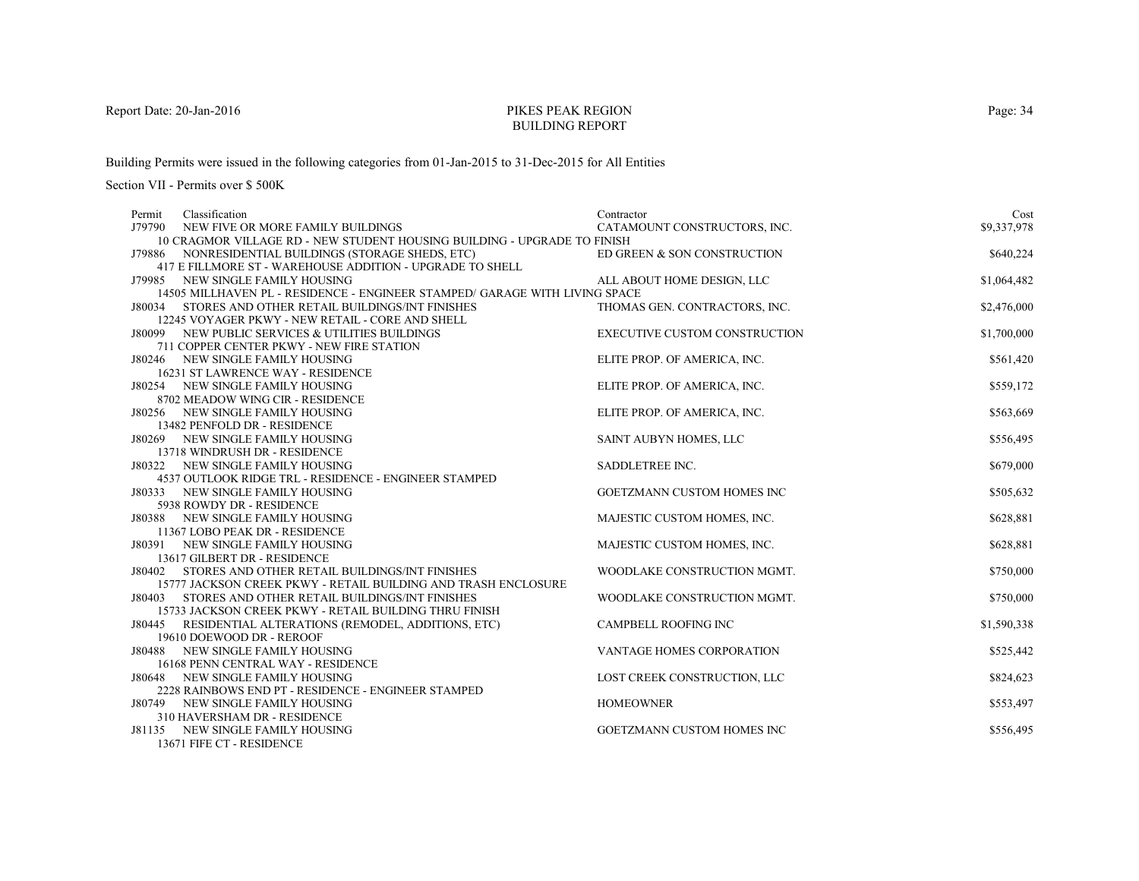# PIKES PEAK REGIONBUILDING REPORT

Building Permits were issued in the following categories from 01-Jan-2015 to 31-Dec-2015 for All Entities

Section VII - Permits over \$ 500K

| Contractor                                                               | Cost                                                                                                                                                                                                                                                                                                                                                                                                                                                                                                                                                                                                             |
|--------------------------------------------------------------------------|------------------------------------------------------------------------------------------------------------------------------------------------------------------------------------------------------------------------------------------------------------------------------------------------------------------------------------------------------------------------------------------------------------------------------------------------------------------------------------------------------------------------------------------------------------------------------------------------------------------|
| CATAMOUNT CONSTRUCTORS, INC.                                             | \$9,337,978                                                                                                                                                                                                                                                                                                                                                                                                                                                                                                                                                                                                      |
| 10 CRAGMOR VILLAGE RD - NEW STUDENT HOUSING BUILDING - UPGRADE TO FINISH |                                                                                                                                                                                                                                                                                                                                                                                                                                                                                                                                                                                                                  |
| ED GREEN & SON CONSTRUCTION                                              | \$640,224                                                                                                                                                                                                                                                                                                                                                                                                                                                                                                                                                                                                        |
|                                                                          |                                                                                                                                                                                                                                                                                                                                                                                                                                                                                                                                                                                                                  |
| ALL ABOUT HOME DESIGN, LLC                                               | \$1,064,482                                                                                                                                                                                                                                                                                                                                                                                                                                                                                                                                                                                                      |
|                                                                          |                                                                                                                                                                                                                                                                                                                                                                                                                                                                                                                                                                                                                  |
|                                                                          | \$2,476,000                                                                                                                                                                                                                                                                                                                                                                                                                                                                                                                                                                                                      |
|                                                                          |                                                                                                                                                                                                                                                                                                                                                                                                                                                                                                                                                                                                                  |
|                                                                          | \$1,700,000                                                                                                                                                                                                                                                                                                                                                                                                                                                                                                                                                                                                      |
|                                                                          |                                                                                                                                                                                                                                                                                                                                                                                                                                                                                                                                                                                                                  |
|                                                                          | \$561,420                                                                                                                                                                                                                                                                                                                                                                                                                                                                                                                                                                                                        |
|                                                                          |                                                                                                                                                                                                                                                                                                                                                                                                                                                                                                                                                                                                                  |
|                                                                          | \$559,172                                                                                                                                                                                                                                                                                                                                                                                                                                                                                                                                                                                                        |
|                                                                          |                                                                                                                                                                                                                                                                                                                                                                                                                                                                                                                                                                                                                  |
|                                                                          | \$563,669                                                                                                                                                                                                                                                                                                                                                                                                                                                                                                                                                                                                        |
|                                                                          |                                                                                                                                                                                                                                                                                                                                                                                                                                                                                                                                                                                                                  |
|                                                                          | \$556,495                                                                                                                                                                                                                                                                                                                                                                                                                                                                                                                                                                                                        |
|                                                                          |                                                                                                                                                                                                                                                                                                                                                                                                                                                                                                                                                                                                                  |
|                                                                          | \$679,000                                                                                                                                                                                                                                                                                                                                                                                                                                                                                                                                                                                                        |
|                                                                          |                                                                                                                                                                                                                                                                                                                                                                                                                                                                                                                                                                                                                  |
|                                                                          | \$505,632                                                                                                                                                                                                                                                                                                                                                                                                                                                                                                                                                                                                        |
|                                                                          |                                                                                                                                                                                                                                                                                                                                                                                                                                                                                                                                                                                                                  |
|                                                                          | \$628,881                                                                                                                                                                                                                                                                                                                                                                                                                                                                                                                                                                                                        |
|                                                                          |                                                                                                                                                                                                                                                                                                                                                                                                                                                                                                                                                                                                                  |
|                                                                          | \$628,881                                                                                                                                                                                                                                                                                                                                                                                                                                                                                                                                                                                                        |
|                                                                          |                                                                                                                                                                                                                                                                                                                                                                                                                                                                                                                                                                                                                  |
|                                                                          | \$750,000                                                                                                                                                                                                                                                                                                                                                                                                                                                                                                                                                                                                        |
|                                                                          |                                                                                                                                                                                                                                                                                                                                                                                                                                                                                                                                                                                                                  |
|                                                                          | \$750,000                                                                                                                                                                                                                                                                                                                                                                                                                                                                                                                                                                                                        |
|                                                                          | \$1,590,338                                                                                                                                                                                                                                                                                                                                                                                                                                                                                                                                                                                                      |
|                                                                          |                                                                                                                                                                                                                                                                                                                                                                                                                                                                                                                                                                                                                  |
|                                                                          | \$525,442                                                                                                                                                                                                                                                                                                                                                                                                                                                                                                                                                                                                        |
|                                                                          |                                                                                                                                                                                                                                                                                                                                                                                                                                                                                                                                                                                                                  |
|                                                                          | \$824,623                                                                                                                                                                                                                                                                                                                                                                                                                                                                                                                                                                                                        |
|                                                                          |                                                                                                                                                                                                                                                                                                                                                                                                                                                                                                                                                                                                                  |
|                                                                          | \$553,497                                                                                                                                                                                                                                                                                                                                                                                                                                                                                                                                                                                                        |
|                                                                          |                                                                                                                                                                                                                                                                                                                                                                                                                                                                                                                                                                                                                  |
|                                                                          | \$556,495                                                                                                                                                                                                                                                                                                                                                                                                                                                                                                                                                                                                        |
|                                                                          |                                                                                                                                                                                                                                                                                                                                                                                                                                                                                                                                                                                                                  |
|                                                                          | 14505 MILLHAVEN PL - RESIDENCE - ENGINEER STAMPED/ GARAGE WITH LIVING SPACE<br>THOMAS GEN. CONTRACTORS, INC.<br><b>EXECUTIVE CUSTOM CONSTRUCTION</b><br>ELITE PROP. OF AMERICA, INC.<br>ELITE PROP. OF AMERICA, INC.<br>ELITE PROP. OF AMERICA, INC.<br>SAINT AUBYN HOMES, LLC<br>SADDLETREE INC.<br>GOETZMANN CUSTOM HOMES INC<br>MAJESTIC CUSTOM HOMES, INC.<br>MAJESTIC CUSTOM HOMES, INC.<br>WOODLAKE CONSTRUCTION MGMT.<br>WOODLAKE CONSTRUCTION MGMT.<br><b>CAMPBELL ROOFING INC</b><br>VANTAGE HOMES CORPORATION<br>LOST CREEK CONSTRUCTION, LLC<br><b>HOMEOWNER</b><br><b>GOETZMANN CUSTOM HOMES INC</b> |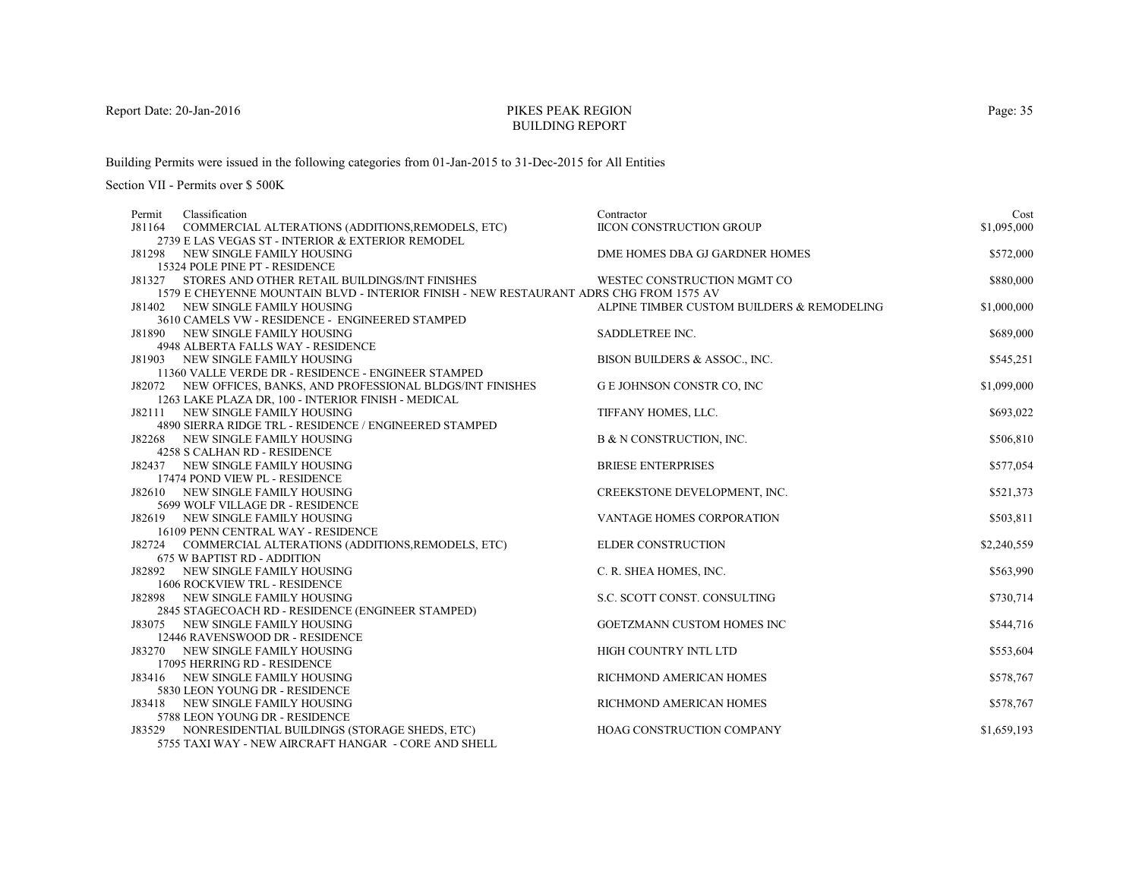# PIKES PEAK REGIONBUILDING REPORT

Building Permits were issued in the following categories from 01-Jan-2015 to 31-Dec-2015 for All Entities

Section VII - Permits over \$ 500K

| Permit | Classification                                                                         | Contractor                                 | Cost        |
|--------|----------------------------------------------------------------------------------------|--------------------------------------------|-------------|
| J81164 | COMMERCIAL ALTERATIONS (ADDITIONS, REMODELS, ETC)                                      | <b>IICON CONSTRUCTION GROUP</b>            | \$1,095,000 |
|        | 2739 E LAS VEGAS ST - INTERIOR & EXTERIOR REMODEL                                      |                                            |             |
|        | J81298 NEW SINGLE FAMILY HOUSING                                                       | DME HOMES DBA GJ GARDNER HOMES             | \$572,000   |
|        | 15324 POLE PINE PT - RESIDENCE                                                         |                                            |             |
|        | J81327 STORES AND OTHER RETAIL BUILDINGS/INT FINISHES                                  | WESTEC CONSTRUCTION MGMT CO                | \$880,000   |
|        | 1579 E CHEYENNE MOUNTAIN BLVD - INTERIOR FINISH - NEW RESTAURANT ADRS CHG FROM 1575 AV |                                            |             |
|        | J81402 NEW SINGLE FAMILY HOUSING                                                       | ALPINE TIMBER CUSTOM BUILDERS & REMODELING | \$1,000,000 |
|        | 3610 CAMELS VW - RESIDENCE - ENGINEERED STAMPED                                        |                                            |             |
|        | J81890 NEW SINGLE FAMILY HOUSING                                                       | SADDLETREE INC.                            | \$689,000   |
|        | 4948 ALBERTA FALLS WAY - RESIDENCE<br>J81903 NEW SINGLE FAMILY HOUSING                 | BISON BUILDERS & ASSOC., INC.              | \$545,251   |
|        | 11360 VALLE VERDE DR - RESIDENCE - ENGINEER STAMPED                                    |                                            |             |
|        | J82072 NEW OFFICES, BANKS, AND PROFESSIONAL BLDGS/INT FINISHES                         | <b>GE JOHNSON CONSTR CO, INC</b>           | \$1,099,000 |
|        | 1263 LAKE PLAZA DR, 100 - INTERIOR FINISH - MEDICAL                                    |                                            |             |
|        | J82111 NEW SINGLE FAMILY HOUSING                                                       | TIFFANY HOMES, LLC.                        | \$693,022   |
|        | 4890 SIERRA RIDGE TRL - RESIDENCE / ENGINEERED STAMPED                                 |                                            |             |
|        | J82268 NEW SINGLE FAMILY HOUSING                                                       | B & N CONSTRUCTION, INC.                   | \$506,810   |
|        | 4258 S CALHAN RD - RESIDENCE                                                           |                                            |             |
|        | J82437 NEW SINGLE FAMILY HOUSING                                                       | <b>BRIESE ENTERPRISES</b>                  | \$577,054   |
|        | 17474 POND VIEW PL - RESIDENCE                                                         |                                            |             |
|        | J82610 NEW SINGLE FAMILY HOUSING                                                       | CREEKSTONE DEVELOPMENT, INC.               | \$521,373   |
|        | 5699 WOLF VILLAGE DR - RESIDENCE                                                       |                                            |             |
|        | J82619 NEW SINGLE FAMILY HOUSING                                                       | VANTAGE HOMES CORPORATION                  | \$503,811   |
|        | 16109 PENN CENTRAL WAY - RESIDENCE                                                     |                                            |             |
|        | J82724 COMMERCIAL ALTERATIONS (ADDITIONS, REMODELS, ETC)                               | <b>ELDER CONSTRUCTION</b>                  | \$2,240,559 |
|        | <b>675 W BAPTIST RD - ADDITION</b>                                                     |                                            |             |
|        | J82892 NEW SINGLE FAMILY HOUSING                                                       | C. R. SHEA HOMES, INC.                     | \$563,990   |
|        | <b>1606 ROCKVIEW TRL - RESIDENCE</b>                                                   |                                            |             |
|        | J82898 NEW SINGLE FAMILY HOUSING                                                       | S.C. SCOTT CONST. CONSULTING               | \$730,714   |
|        | 2845 STAGECOACH RD - RESIDENCE (ENGINEER STAMPED)                                      |                                            |             |
|        | J83075 NEW SINGLE FAMILY HOUSING                                                       | GOETZMANN CUSTOM HOMES INC                 | \$544,716   |
|        | 12446 RAVENSWOOD DR - RESIDENCE<br>J83270 NEW SINGLE FAMILY HOUSING                    | HIGH COUNTRY INTL LTD                      | \$553,604   |
|        | 17095 HERRING RD - RESIDENCE                                                           |                                            |             |
|        | J83416 NEW SINGLE FAMILY HOUSING                                                       | RICHMOND AMERICAN HOMES                    | \$578,767   |
|        | 5830 LEON YOUNG DR - RESIDENCE                                                         |                                            |             |
|        | J83418 NEW SINGLE FAMILY HOUSING                                                       | RICHMOND AMERICAN HOMES                    | \$578,767   |
|        | 5788 LEON YOUNG DR - RESIDENCE                                                         |                                            |             |
|        | J83529 NONRESIDENTIAL BUILDINGS (STORAGE SHEDS, ETC)                                   | <b>HOAG CONSTRUCTION COMPANY</b>           | \$1,659,193 |
|        | 5755 TAXI WAY - NEW AIRCRAFT HANGAR - CORE AND SHELL                                   |                                            |             |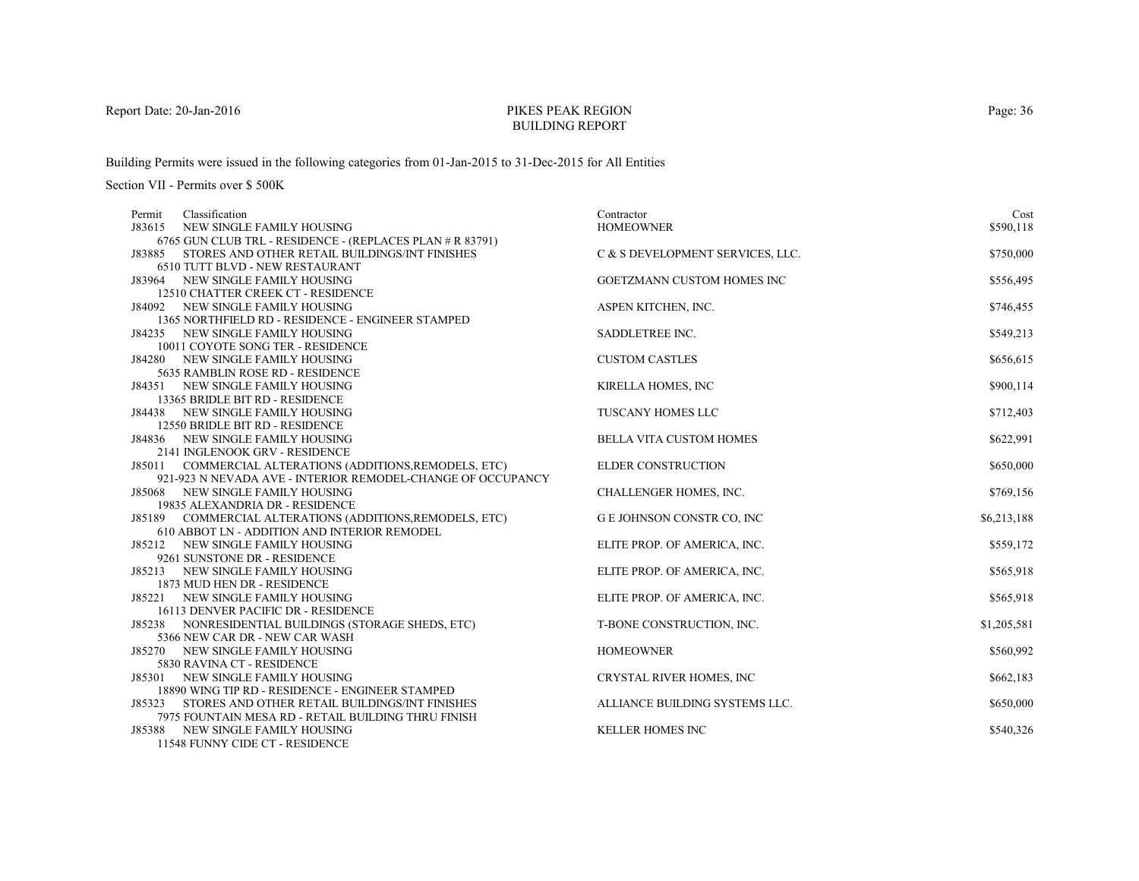# PIKES PEAK REGIONBUILDING REPORT

Building Permits were issued in the following categories from 01-Jan-2015 to 31-Dec-2015 for All Entities

Section VII - Permits over \$ 500K

| Classification<br>Permit                                            | Contractor                       | Cost        |
|---------------------------------------------------------------------|----------------------------------|-------------|
| NEW SINGLE FAMILY HOUSING<br>J83615                                 | <b>HOMEOWNER</b>                 | \$590,118   |
| 6765 GUN CLUB TRL - RESIDENCE - (REPLACES PLAN # R 83791)           |                                  |             |
| STORES AND OTHER RETAIL BUILDINGS/INT FINISHES<br>J83885            | C & S DEVELOPMENT SERVICES, LLC. | \$750,000   |
| 6510 TUTT BLVD - NEW RESTAURANT                                     |                                  |             |
| J83964 NEW SINGLE FAMILY HOUSING                                    | GOETZMANN CUSTOM HOMES INC       | \$556,495   |
| 12510 CHATTER CREEK CT - RESIDENCE                                  |                                  |             |
| J84092 NEW SINGLE FAMILY HOUSING                                    | ASPEN KITCHEN, INC.              | \$746,455   |
| 1365 NORTHFIELD RD - RESIDENCE - ENGINEER STAMPED                   |                                  |             |
| J84235 NEW SINGLE FAMILY HOUSING                                    | SADDLETREE INC.                  | \$549,213   |
| 10011 COYOTE SONG TER - RESIDENCE                                   |                                  |             |
| J84280 NEW SINGLE FAMILY HOUSING                                    | <b>CUSTOM CASTLES</b>            | \$656,615   |
| 5635 RAMBLIN ROSE RD - RESIDENCE                                    |                                  |             |
| J84351 NEW SINGLE FAMILY HOUSING                                    | KIRELLA HOMES, INC               | \$900,114   |
| 13365 BRIDLE BIT RD - RESIDENCE                                     |                                  |             |
| J84438 NEW SINGLE FAMILY HOUSING                                    | TUSCANY HOMES LLC                | \$712,403   |
| 12550 BRIDLE BIT RD - RESIDENCE                                     |                                  |             |
| J84836 NEW SINGLE FAMILY HOUSING                                    | <b>BELLA VITA CUSTOM HOMES</b>   | \$622,991   |
| 2141 INGLENOOK GRV - RESIDENCE                                      |                                  |             |
| J85011 COMMERCIAL ALTERATIONS (ADDITIONS, REMODELS, ETC)            | <b>ELDER CONSTRUCTION</b>        | \$650,000   |
| 921-923 N NEVADA AVE - INTERIOR REMODEL-CHANGE OF OCCUPANCY         |                                  |             |
| J85068 NEW SINGLE FAMILY HOUSING                                    | CHALLENGER HOMES, INC.           | \$769,156   |
| 19835 ALEXANDRIA DR - RESIDENCE                                     |                                  |             |
| J85189 COMMERCIAL ALTERATIONS (ADDITIONS, REMODELS, ETC)            | G E JOHNSON CONSTR CO, INC       | \$6,213,188 |
| 610 ABBOT LN - ADDITION AND INTERIOR REMODEL                        |                                  |             |
| J85212 NEW SINGLE FAMILY HOUSING                                    | ELITE PROP. OF AMERICA, INC.     | \$559,172   |
| 9261 SUNSTONE DR - RESIDENCE                                        |                                  |             |
| J85213 NEW SINGLE FAMILY HOUSING                                    | ELITE PROP. OF AMERICA, INC.     | \$565,918   |
| 1873 MUD HEN DR - RESIDENCE                                         |                                  |             |
| J85221 NEW SINGLE FAMILY HOUSING                                    | ELITE PROP. OF AMERICA, INC.     | \$565,918   |
| 16113 DENVER PACIFIC DR - RESIDENCE                                 |                                  |             |
| J85238 NONRESIDENTIAL BUILDINGS (STORAGE SHEDS, ETC)                | T-BONE CONSTRUCTION, INC.        | \$1,205,581 |
| 5366 NEW CAR DR - NEW CAR WASH                                      |                                  |             |
| J85270 NEW SINGLE FAMILY HOUSING                                    | <b>HOMEOWNER</b>                 | \$560,992   |
| 5830 RAVINA CT - RESIDENCE                                          |                                  |             |
| NEW SINGLE FAMILY HOUSING<br>J85301                                 | CRYSTAL RIVER HOMES, INC         | \$662,183   |
| 18890 WING TIP RD - RESIDENCE - ENGINEER STAMPED                    |                                  |             |
| J85323<br>STORES AND OTHER RETAIL BUILDINGS/INT FINISHES            | ALLIANCE BUILDING SYSTEMS LLC.   | \$650,000   |
| 7975 FOUNTAIN MESA RD - RETAIL BUILDING THRU FINISH                 | <b>KELLER HOMES INC</b>          |             |
| J85388 NEW SINGLE FAMILY HOUSING<br>11540 EUNNIV CIDE CT. DECIDEMON |                                  | \$540,326   |

11548 FUNNY CIDE CT - RESIDENCE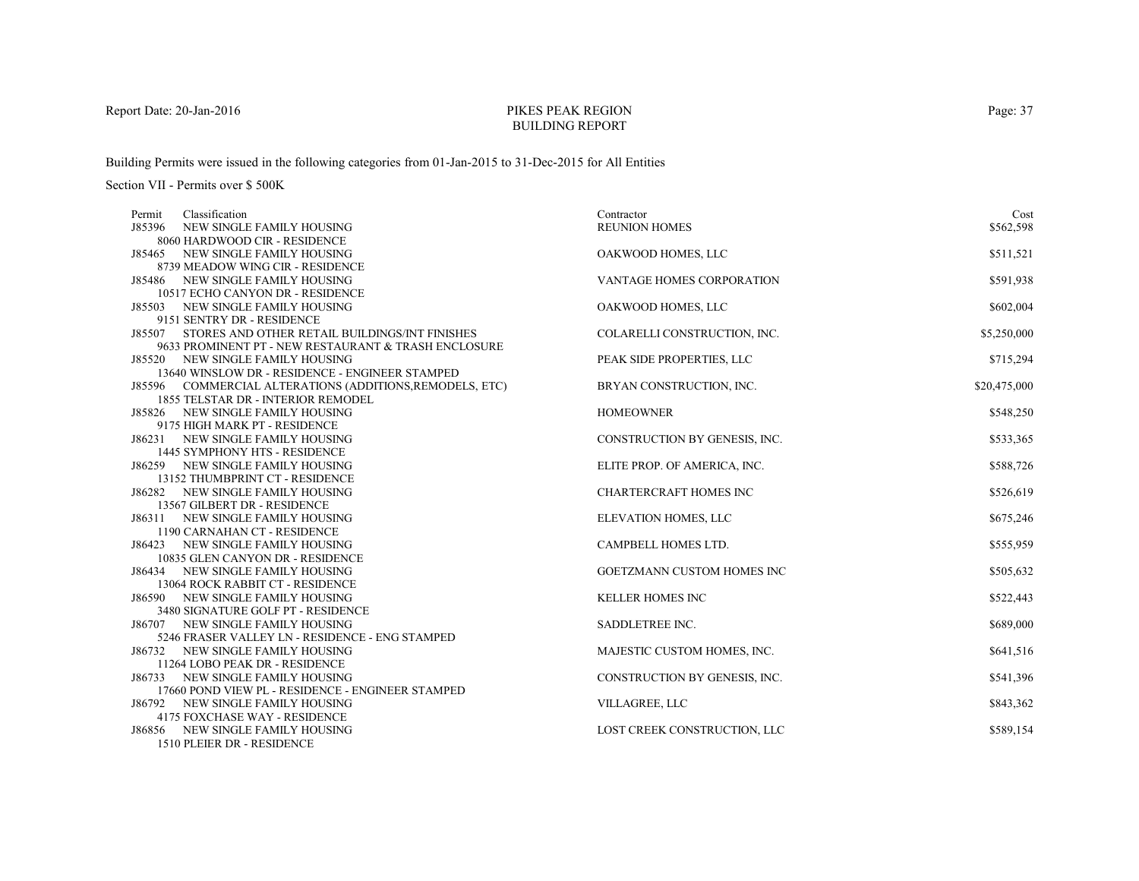# PIKES PEAK REGIONBUILDING REPORT

Building Permits were issued in the following categories from 01-Jan-2015 to 31-Dec-2015 for All Entities

| Cost         |
|--------------|
| \$562,598    |
|              |
| \$511,521    |
|              |
| \$591,938    |
|              |
| \$602,004    |
|              |
| \$5,250,000  |
|              |
| \$715,294    |
|              |
| \$20,475,000 |
|              |
| \$548,250    |
|              |
| \$533,365    |
|              |
| \$588,726    |
|              |
| \$526,619    |
|              |
| \$675,246    |
|              |
| \$555,959    |
|              |
| \$505,632    |
|              |
| \$522,443    |
| \$689,000    |
|              |
| \$641,516    |
|              |
| \$541,396    |
|              |
| \$843,362    |
|              |
| \$589,154    |
|              |
|              |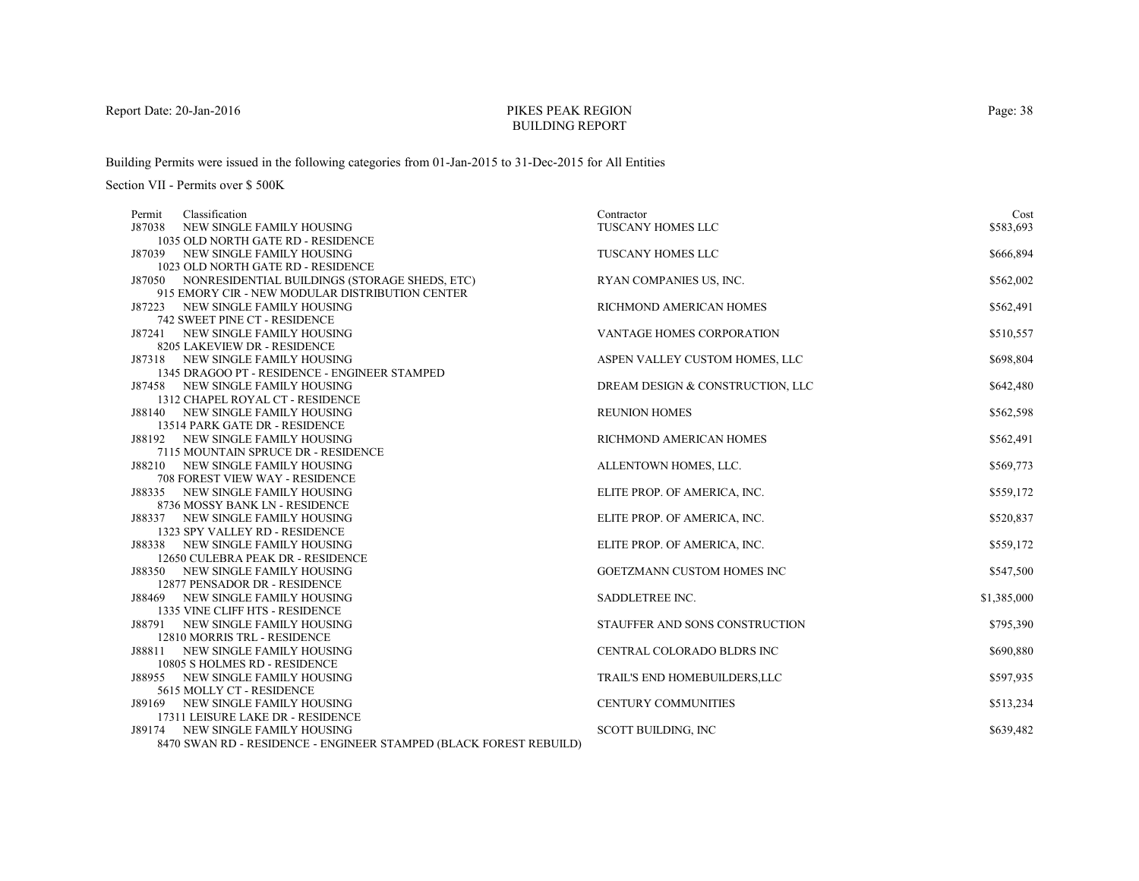# PIKES PEAK REGIONBUILDING REPORT

Building Permits were issued in the following categories from 01-Jan-2015 to 31-Dec-2015 for All Entities

| Classification<br>Permit                                                | Contractor                        | Cost        |
|-------------------------------------------------------------------------|-----------------------------------|-------------|
| J87038<br>NEW SINGLE FAMILY HOUSING                                     | TUSCANY HOMES LLC                 | \$583,693   |
| 1035 OLD NORTH GATE RD - RESIDENCE                                      |                                   |             |
| NEW SINGLE FAMILY HOUSING<br>J87039                                     | <b>TUSCANY HOMES LLC</b>          | \$666,894   |
| 1023 OLD NORTH GATE RD - RESIDENCE                                      |                                   |             |
| J87050 NONRESIDENTIAL BUILDINGS (STORAGE SHEDS, ETC)                    | RYAN COMPANIES US, INC.           | \$562,002   |
| 915 EMORY CIR - NEW MODULAR DISTRIBUTION CENTER                         |                                   |             |
| J87223 NEW SINGLE FAMILY HOUSING                                        | RICHMOND AMERICAN HOMES           | \$562,491   |
| 742 SWEET PINE CT - RESIDENCE                                           |                                   |             |
| J87241 NEW SINGLE FAMILY HOUSING                                        | VANTAGE HOMES CORPORATION         | \$510,557   |
| 8205 LAKEVIEW DR - RESIDENCE                                            |                                   |             |
| J87318 NEW SINGLE FAMILY HOUSING                                        | ASPEN VALLEY CUSTOM HOMES, LLC    | \$698,804   |
| 1345 DRAGOO PT - RESIDENCE - ENGINEER STAMPED                           |                                   |             |
| J87458 NEW SINGLE FAMILY HOUSING                                        | DREAM DESIGN & CONSTRUCTION, LLC  | \$642,480   |
| 1312 CHAPEL ROYAL CT - RESIDENCE                                        |                                   |             |
| J88140 NEW SINGLE FAMILY HOUSING                                        | <b>REUNION HOMES</b>              | \$562,598   |
| 13514 PARK GATE DR - RESIDENCE                                          |                                   |             |
| J88192 NEW SINGLE FAMILY HOUSING                                        | RICHMOND AMERICAN HOMES           | \$562,491   |
| 7115 MOUNTAIN SPRUCE DR - RESIDENCE<br>J88210 NEW SINGLE FAMILY HOUSING |                                   |             |
| <b>708 FOREST VIEW WAY - RESIDENCE</b>                                  | ALLENTOWN HOMES, LLC.             | \$569,773   |
| J88335 NEW SINGLE FAMILY HOUSING                                        | ELITE PROP. OF AMERICA, INC.      | \$559,172   |
| 8736 MOSSY BANK LN - RESIDENCE                                          |                                   |             |
| J88337 NEW SINGLE FAMILY HOUSING                                        | ELITE PROP. OF AMERICA, INC.      | \$520,837   |
| 1323 SPY VALLEY RD - RESIDENCE                                          |                                   |             |
| J88338 NEW SINGLE FAMILY HOUSING                                        | ELITE PROP. OF AMERICA, INC.      | \$559,172   |
| 12650 CULEBRA PEAK DR - RESIDENCE                                       |                                   |             |
| J88350 NEW SINGLE FAMILY HOUSING                                        | <b>GOETZMANN CUSTOM HOMES INC</b> | \$547,500   |
| 12877 PENSADOR DR - RESIDENCE                                           |                                   |             |
| J88469 NEW SINGLE FAMILY HOUSING                                        | <b>SADDLETREE INC.</b>            | \$1,385,000 |
| 1335 VINE CLIFF HTS - RESIDENCE                                         |                                   |             |
| NEW SINGLE FAMILY HOUSING<br>J88791                                     | STAUFFER AND SONS CONSTRUCTION    | \$795,390   |
| 12810 MORRIS TRL - RESIDENCE                                            |                                   |             |
| NEW SINGLE FAMILY HOUSING<br>J88811                                     | CENTRAL COLORADO BLDRS INC        | \$690,880   |
| 10805 S HOLMES RD - RESIDENCE                                           |                                   |             |
| J88955 NEW SINGLE FAMILY HOUSING                                        | TRAIL'S END HOMEBUILDERS, LLC     | \$597,935   |
| 5615 MOLLY CT - RESIDENCE                                               |                                   |             |
| J89169 NEW SINGLE FAMILY HOUSING                                        | <b>CENTURY COMMUNITIES</b>        | \$513,234   |
| 17311 LEISURE LAKE DR - RESIDENCE                                       |                                   |             |
| NEW SINGLE FAMILY HOUSING<br>J89174                                     | <b>SCOTT BUILDING, INC</b>        | \$639,482   |
| 8470 SWAN RD - RESIDENCE - ENGINEER STAMPED (BLACK FOREST REBUILD)      |                                   |             |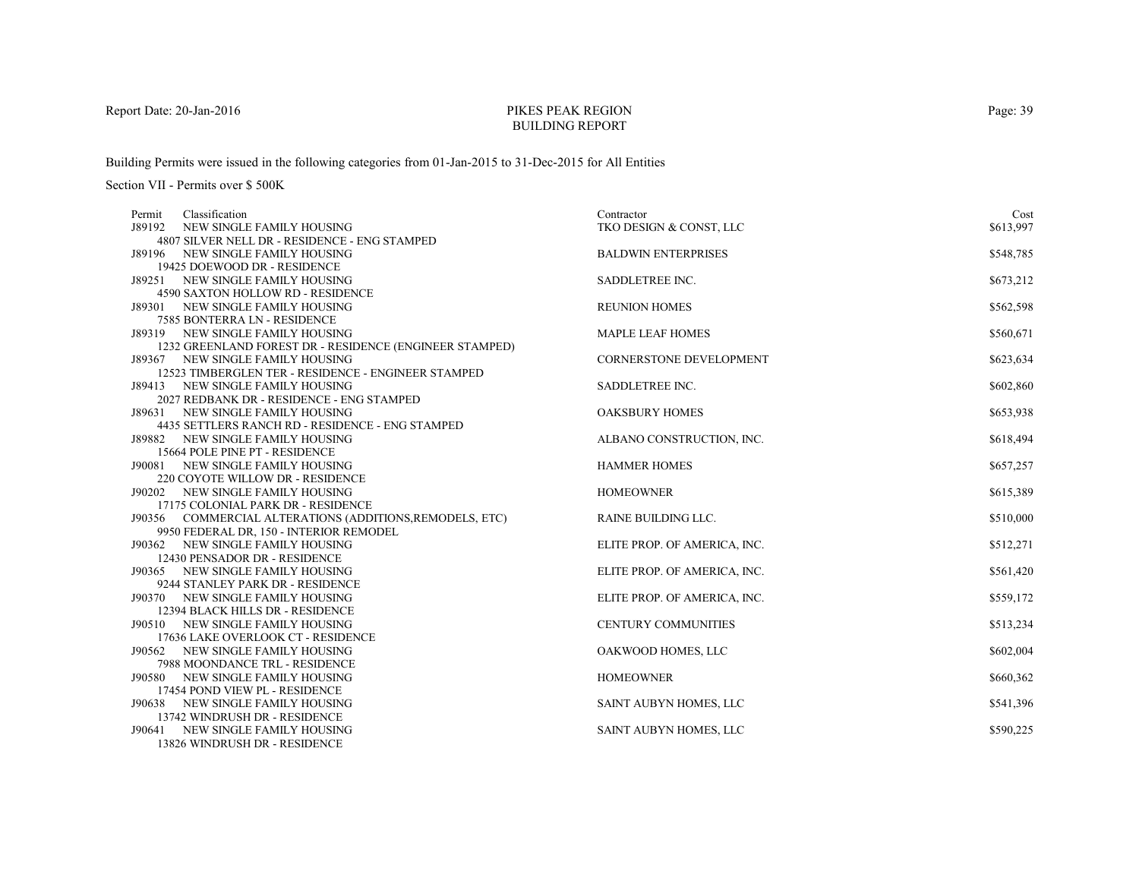# PIKES PEAK REGIONBUILDING REPORT

Building Permits were issued in the following categories from 01-Jan-2015 to 31-Dec-2015 for All Entities

| 4807 SILVER NELL DR - RESIDENCE - ENG STAMPED<br>\$548,785<br>J89196 NEW SINGLE FAMILY HOUSING<br><b>BALDWIN ENTERPRISES</b><br>19425 DOEWOOD DR - RESIDENCE<br>SADDLETREE INC.<br>\$673,212<br>J89251 NEW SINGLE FAMILY HOUSING<br>4590 SAXTON HOLLOW RD - RESIDENCE<br><b>REUNION HOMES</b><br>\$562,598<br>J89301 NEW SINGLE FAMILY HOUSING<br>7585 BONTERRA LN - RESIDENCE<br>\$560,671<br>J89319 NEW SINGLE FAMILY HOUSING<br><b>MAPLE LEAF HOMES</b><br>1232 GREENLAND FOREST DR - RESIDENCE (ENGINEER STAMPED)<br>\$623,634<br>J89367 NEW SINGLE FAMILY HOUSING<br><b>CORNERSTONE DEVELOPMENT</b><br>12523 TIMBERGLEN TER - RESIDENCE - ENGINEER STAMPED<br>SADDLETREE INC.<br>\$602,860<br>J89413 NEW SINGLE FAMILY HOUSING<br>2027 REDBANK DR - RESIDENCE - ENG STAMPED<br>\$653,938<br><b>OAKSBURY HOMES</b><br>J89631 NEW SINGLE FAMILY HOUSING<br>4435 SETTLERS RANCH RD - RESIDENCE - ENG STAMPED<br>\$618,494<br>J89882 NEW SINGLE FAMILY HOUSING<br>ALBANO CONSTRUCTION, INC.<br>15664 POLE PINE PT - RESIDENCE<br><b>HAMMER HOMES</b><br>\$657,257<br>J90081 NEW SINGLE FAMILY HOUSING<br>220 COYOTE WILLOW DR - RESIDENCE<br><b>HOMEOWNER</b><br>\$615,389<br>J90202 NEW SINGLE FAMILY HOUSING<br>17175 COLONIAL PARK DR - RESIDENCE<br>\$510,000<br>J90356 COMMERCIAL ALTERATIONS (ADDITIONS, REMODELS, ETC)<br>RAINE BUILDING LLC.<br>9950 FEDERAL DR, 150 - INTERIOR REMODEL<br>J90362 NEW SINGLE FAMILY HOUSING<br>\$512,271<br>ELITE PROP. OF AMERICA, INC.<br>12430 PENSADOR DR - RESIDENCE<br>ELITE PROP. OF AMERICA, INC.<br>\$561,420<br>J90365 NEW SINGLE FAMILY HOUSING<br>9244 STANLEY PARK DR - RESIDENCE<br>\$559,172<br>J90370 NEW SINGLE FAMILY HOUSING<br>ELITE PROP. OF AMERICA, INC.<br>12394 BLACK HILLS DR - RESIDENCE<br><b>CENTURY COMMUNITIES</b><br>\$513,234<br>J90510 NEW SINGLE FAMILY HOUSING<br>17636 LAKE OVERLOOK CT - RESIDENCE<br>OAKWOOD HOMES, LLC<br>\$602,004<br>J90562 NEW SINGLE FAMILY HOUSING<br>7988 MOONDANCE TRL - RESIDENCE<br>\$660,362<br>J90580 NEW SINGLE FAMILY HOUSING<br><b>HOMEOWNER</b><br>17454 POND VIEW PL - RESIDENCE<br>J90638 NEW SINGLE FAMILY HOUSING<br>SAINT AUBYN HOMES, LLC<br>\$541,396<br>13742 WINDRUSH DR - RESIDENCE<br>SAINT AUBYN HOMES, LLC<br>J90641<br>NEW SINGLE FAMILY HOUSING<br>\$590,225 | Classification<br>Permit            | Contractor              | Cost      |
|---------------------------------------------------------------------------------------------------------------------------------------------------------------------------------------------------------------------------------------------------------------------------------------------------------------------------------------------------------------------------------------------------------------------------------------------------------------------------------------------------------------------------------------------------------------------------------------------------------------------------------------------------------------------------------------------------------------------------------------------------------------------------------------------------------------------------------------------------------------------------------------------------------------------------------------------------------------------------------------------------------------------------------------------------------------------------------------------------------------------------------------------------------------------------------------------------------------------------------------------------------------------------------------------------------------------------------------------------------------------------------------------------------------------------------------------------------------------------------------------------------------------------------------------------------------------------------------------------------------------------------------------------------------------------------------------------------------------------------------------------------------------------------------------------------------------------------------------------------------------------------------------------------------------------------------------------------------------------------------------------------------------------------------------------------------------------------------------------------------------------------------------------------------------------------------------------------------------------------------------------------------------------------------------|-------------------------------------|-------------------------|-----------|
|                                                                                                                                                                                                                                                                                                                                                                                                                                                                                                                                                                                                                                                                                                                                                                                                                                                                                                                                                                                                                                                                                                                                                                                                                                                                                                                                                                                                                                                                                                                                                                                                                                                                                                                                                                                                                                                                                                                                                                                                                                                                                                                                                                                                                                                                                             | J89192<br>NEW SINGLE FAMILY HOUSING | TKO DESIGN & CONST, LLC | \$613,997 |
|                                                                                                                                                                                                                                                                                                                                                                                                                                                                                                                                                                                                                                                                                                                                                                                                                                                                                                                                                                                                                                                                                                                                                                                                                                                                                                                                                                                                                                                                                                                                                                                                                                                                                                                                                                                                                                                                                                                                                                                                                                                                                                                                                                                                                                                                                             |                                     |                         |           |
|                                                                                                                                                                                                                                                                                                                                                                                                                                                                                                                                                                                                                                                                                                                                                                                                                                                                                                                                                                                                                                                                                                                                                                                                                                                                                                                                                                                                                                                                                                                                                                                                                                                                                                                                                                                                                                                                                                                                                                                                                                                                                                                                                                                                                                                                                             |                                     |                         |           |
|                                                                                                                                                                                                                                                                                                                                                                                                                                                                                                                                                                                                                                                                                                                                                                                                                                                                                                                                                                                                                                                                                                                                                                                                                                                                                                                                                                                                                                                                                                                                                                                                                                                                                                                                                                                                                                                                                                                                                                                                                                                                                                                                                                                                                                                                                             |                                     |                         |           |
|                                                                                                                                                                                                                                                                                                                                                                                                                                                                                                                                                                                                                                                                                                                                                                                                                                                                                                                                                                                                                                                                                                                                                                                                                                                                                                                                                                                                                                                                                                                                                                                                                                                                                                                                                                                                                                                                                                                                                                                                                                                                                                                                                                                                                                                                                             |                                     |                         |           |
|                                                                                                                                                                                                                                                                                                                                                                                                                                                                                                                                                                                                                                                                                                                                                                                                                                                                                                                                                                                                                                                                                                                                                                                                                                                                                                                                                                                                                                                                                                                                                                                                                                                                                                                                                                                                                                                                                                                                                                                                                                                                                                                                                                                                                                                                                             |                                     |                         |           |
|                                                                                                                                                                                                                                                                                                                                                                                                                                                                                                                                                                                                                                                                                                                                                                                                                                                                                                                                                                                                                                                                                                                                                                                                                                                                                                                                                                                                                                                                                                                                                                                                                                                                                                                                                                                                                                                                                                                                                                                                                                                                                                                                                                                                                                                                                             |                                     |                         |           |
|                                                                                                                                                                                                                                                                                                                                                                                                                                                                                                                                                                                                                                                                                                                                                                                                                                                                                                                                                                                                                                                                                                                                                                                                                                                                                                                                                                                                                                                                                                                                                                                                                                                                                                                                                                                                                                                                                                                                                                                                                                                                                                                                                                                                                                                                                             |                                     |                         |           |
|                                                                                                                                                                                                                                                                                                                                                                                                                                                                                                                                                                                                                                                                                                                                                                                                                                                                                                                                                                                                                                                                                                                                                                                                                                                                                                                                                                                                                                                                                                                                                                                                                                                                                                                                                                                                                                                                                                                                                                                                                                                                                                                                                                                                                                                                                             |                                     |                         |           |
|                                                                                                                                                                                                                                                                                                                                                                                                                                                                                                                                                                                                                                                                                                                                                                                                                                                                                                                                                                                                                                                                                                                                                                                                                                                                                                                                                                                                                                                                                                                                                                                                                                                                                                                                                                                                                                                                                                                                                                                                                                                                                                                                                                                                                                                                                             |                                     |                         |           |
|                                                                                                                                                                                                                                                                                                                                                                                                                                                                                                                                                                                                                                                                                                                                                                                                                                                                                                                                                                                                                                                                                                                                                                                                                                                                                                                                                                                                                                                                                                                                                                                                                                                                                                                                                                                                                                                                                                                                                                                                                                                                                                                                                                                                                                                                                             |                                     |                         |           |
|                                                                                                                                                                                                                                                                                                                                                                                                                                                                                                                                                                                                                                                                                                                                                                                                                                                                                                                                                                                                                                                                                                                                                                                                                                                                                                                                                                                                                                                                                                                                                                                                                                                                                                                                                                                                                                                                                                                                                                                                                                                                                                                                                                                                                                                                                             |                                     |                         |           |
|                                                                                                                                                                                                                                                                                                                                                                                                                                                                                                                                                                                                                                                                                                                                                                                                                                                                                                                                                                                                                                                                                                                                                                                                                                                                                                                                                                                                                                                                                                                                                                                                                                                                                                                                                                                                                                                                                                                                                                                                                                                                                                                                                                                                                                                                                             |                                     |                         |           |
|                                                                                                                                                                                                                                                                                                                                                                                                                                                                                                                                                                                                                                                                                                                                                                                                                                                                                                                                                                                                                                                                                                                                                                                                                                                                                                                                                                                                                                                                                                                                                                                                                                                                                                                                                                                                                                                                                                                                                                                                                                                                                                                                                                                                                                                                                             |                                     |                         |           |
|                                                                                                                                                                                                                                                                                                                                                                                                                                                                                                                                                                                                                                                                                                                                                                                                                                                                                                                                                                                                                                                                                                                                                                                                                                                                                                                                                                                                                                                                                                                                                                                                                                                                                                                                                                                                                                                                                                                                                                                                                                                                                                                                                                                                                                                                                             |                                     |                         |           |
|                                                                                                                                                                                                                                                                                                                                                                                                                                                                                                                                                                                                                                                                                                                                                                                                                                                                                                                                                                                                                                                                                                                                                                                                                                                                                                                                                                                                                                                                                                                                                                                                                                                                                                                                                                                                                                                                                                                                                                                                                                                                                                                                                                                                                                                                                             |                                     |                         |           |
|                                                                                                                                                                                                                                                                                                                                                                                                                                                                                                                                                                                                                                                                                                                                                                                                                                                                                                                                                                                                                                                                                                                                                                                                                                                                                                                                                                                                                                                                                                                                                                                                                                                                                                                                                                                                                                                                                                                                                                                                                                                                                                                                                                                                                                                                                             |                                     |                         |           |
|                                                                                                                                                                                                                                                                                                                                                                                                                                                                                                                                                                                                                                                                                                                                                                                                                                                                                                                                                                                                                                                                                                                                                                                                                                                                                                                                                                                                                                                                                                                                                                                                                                                                                                                                                                                                                                                                                                                                                                                                                                                                                                                                                                                                                                                                                             |                                     |                         |           |
|                                                                                                                                                                                                                                                                                                                                                                                                                                                                                                                                                                                                                                                                                                                                                                                                                                                                                                                                                                                                                                                                                                                                                                                                                                                                                                                                                                                                                                                                                                                                                                                                                                                                                                                                                                                                                                                                                                                                                                                                                                                                                                                                                                                                                                                                                             |                                     |                         |           |
|                                                                                                                                                                                                                                                                                                                                                                                                                                                                                                                                                                                                                                                                                                                                                                                                                                                                                                                                                                                                                                                                                                                                                                                                                                                                                                                                                                                                                                                                                                                                                                                                                                                                                                                                                                                                                                                                                                                                                                                                                                                                                                                                                                                                                                                                                             |                                     |                         |           |
|                                                                                                                                                                                                                                                                                                                                                                                                                                                                                                                                                                                                                                                                                                                                                                                                                                                                                                                                                                                                                                                                                                                                                                                                                                                                                                                                                                                                                                                                                                                                                                                                                                                                                                                                                                                                                                                                                                                                                                                                                                                                                                                                                                                                                                                                                             |                                     |                         |           |
|                                                                                                                                                                                                                                                                                                                                                                                                                                                                                                                                                                                                                                                                                                                                                                                                                                                                                                                                                                                                                                                                                                                                                                                                                                                                                                                                                                                                                                                                                                                                                                                                                                                                                                                                                                                                                                                                                                                                                                                                                                                                                                                                                                                                                                                                                             |                                     |                         |           |
|                                                                                                                                                                                                                                                                                                                                                                                                                                                                                                                                                                                                                                                                                                                                                                                                                                                                                                                                                                                                                                                                                                                                                                                                                                                                                                                                                                                                                                                                                                                                                                                                                                                                                                                                                                                                                                                                                                                                                                                                                                                                                                                                                                                                                                                                                             |                                     |                         |           |
|                                                                                                                                                                                                                                                                                                                                                                                                                                                                                                                                                                                                                                                                                                                                                                                                                                                                                                                                                                                                                                                                                                                                                                                                                                                                                                                                                                                                                                                                                                                                                                                                                                                                                                                                                                                                                                                                                                                                                                                                                                                                                                                                                                                                                                                                                             |                                     |                         |           |
|                                                                                                                                                                                                                                                                                                                                                                                                                                                                                                                                                                                                                                                                                                                                                                                                                                                                                                                                                                                                                                                                                                                                                                                                                                                                                                                                                                                                                                                                                                                                                                                                                                                                                                                                                                                                                                                                                                                                                                                                                                                                                                                                                                                                                                                                                             |                                     |                         |           |
|                                                                                                                                                                                                                                                                                                                                                                                                                                                                                                                                                                                                                                                                                                                                                                                                                                                                                                                                                                                                                                                                                                                                                                                                                                                                                                                                                                                                                                                                                                                                                                                                                                                                                                                                                                                                                                                                                                                                                                                                                                                                                                                                                                                                                                                                                             |                                     |                         |           |
|                                                                                                                                                                                                                                                                                                                                                                                                                                                                                                                                                                                                                                                                                                                                                                                                                                                                                                                                                                                                                                                                                                                                                                                                                                                                                                                                                                                                                                                                                                                                                                                                                                                                                                                                                                                                                                                                                                                                                                                                                                                                                                                                                                                                                                                                                             |                                     |                         |           |
|                                                                                                                                                                                                                                                                                                                                                                                                                                                                                                                                                                                                                                                                                                                                                                                                                                                                                                                                                                                                                                                                                                                                                                                                                                                                                                                                                                                                                                                                                                                                                                                                                                                                                                                                                                                                                                                                                                                                                                                                                                                                                                                                                                                                                                                                                             |                                     |                         |           |
|                                                                                                                                                                                                                                                                                                                                                                                                                                                                                                                                                                                                                                                                                                                                                                                                                                                                                                                                                                                                                                                                                                                                                                                                                                                                                                                                                                                                                                                                                                                                                                                                                                                                                                                                                                                                                                                                                                                                                                                                                                                                                                                                                                                                                                                                                             |                                     |                         |           |
|                                                                                                                                                                                                                                                                                                                                                                                                                                                                                                                                                                                                                                                                                                                                                                                                                                                                                                                                                                                                                                                                                                                                                                                                                                                                                                                                                                                                                                                                                                                                                                                                                                                                                                                                                                                                                                                                                                                                                                                                                                                                                                                                                                                                                                                                                             |                                     |                         |           |
|                                                                                                                                                                                                                                                                                                                                                                                                                                                                                                                                                                                                                                                                                                                                                                                                                                                                                                                                                                                                                                                                                                                                                                                                                                                                                                                                                                                                                                                                                                                                                                                                                                                                                                                                                                                                                                                                                                                                                                                                                                                                                                                                                                                                                                                                                             |                                     |                         |           |
|                                                                                                                                                                                                                                                                                                                                                                                                                                                                                                                                                                                                                                                                                                                                                                                                                                                                                                                                                                                                                                                                                                                                                                                                                                                                                                                                                                                                                                                                                                                                                                                                                                                                                                                                                                                                                                                                                                                                                                                                                                                                                                                                                                                                                                                                                             |                                     |                         |           |
|                                                                                                                                                                                                                                                                                                                                                                                                                                                                                                                                                                                                                                                                                                                                                                                                                                                                                                                                                                                                                                                                                                                                                                                                                                                                                                                                                                                                                                                                                                                                                                                                                                                                                                                                                                                                                                                                                                                                                                                                                                                                                                                                                                                                                                                                                             |                                     |                         |           |
|                                                                                                                                                                                                                                                                                                                                                                                                                                                                                                                                                                                                                                                                                                                                                                                                                                                                                                                                                                                                                                                                                                                                                                                                                                                                                                                                                                                                                                                                                                                                                                                                                                                                                                                                                                                                                                                                                                                                                                                                                                                                                                                                                                                                                                                                                             |                                     |                         |           |
|                                                                                                                                                                                                                                                                                                                                                                                                                                                                                                                                                                                                                                                                                                                                                                                                                                                                                                                                                                                                                                                                                                                                                                                                                                                                                                                                                                                                                                                                                                                                                                                                                                                                                                                                                                                                                                                                                                                                                                                                                                                                                                                                                                                                                                                                                             |                                     |                         |           |
|                                                                                                                                                                                                                                                                                                                                                                                                                                                                                                                                                                                                                                                                                                                                                                                                                                                                                                                                                                                                                                                                                                                                                                                                                                                                                                                                                                                                                                                                                                                                                                                                                                                                                                                                                                                                                                                                                                                                                                                                                                                                                                                                                                                                                                                                                             |                                     |                         |           |
|                                                                                                                                                                                                                                                                                                                                                                                                                                                                                                                                                                                                                                                                                                                                                                                                                                                                                                                                                                                                                                                                                                                                                                                                                                                                                                                                                                                                                                                                                                                                                                                                                                                                                                                                                                                                                                                                                                                                                                                                                                                                                                                                                                                                                                                                                             |                                     |                         |           |
|                                                                                                                                                                                                                                                                                                                                                                                                                                                                                                                                                                                                                                                                                                                                                                                                                                                                                                                                                                                                                                                                                                                                                                                                                                                                                                                                                                                                                                                                                                                                                                                                                                                                                                                                                                                                                                                                                                                                                                                                                                                                                                                                                                                                                                                                                             |                                     |                         |           |
|                                                                                                                                                                                                                                                                                                                                                                                                                                                                                                                                                                                                                                                                                                                                                                                                                                                                                                                                                                                                                                                                                                                                                                                                                                                                                                                                                                                                                                                                                                                                                                                                                                                                                                                                                                                                                                                                                                                                                                                                                                                                                                                                                                                                                                                                                             | 13826 WINDRUSH DR - RESIDENCE       |                         |           |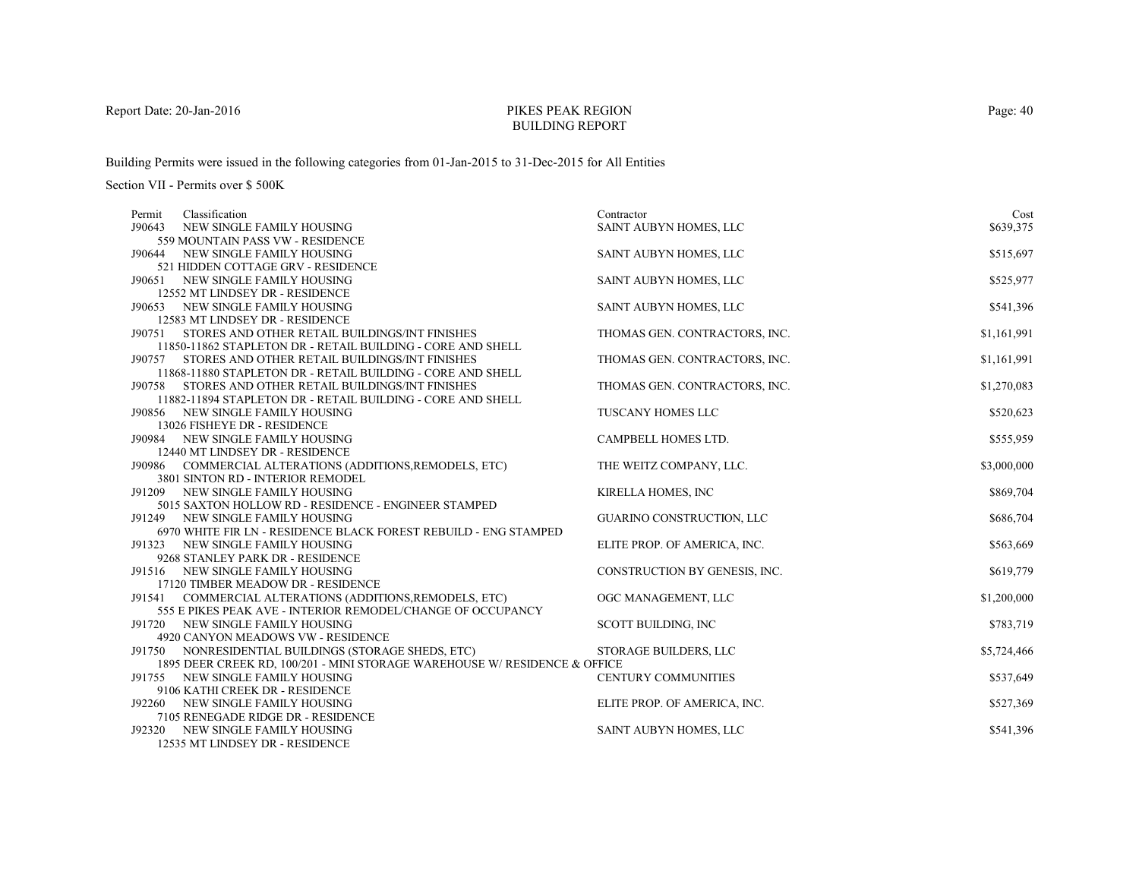# PIKES PEAK REGIONBUILDING REPORT

Building Permits were issued in the following categories from 01-Jan-2015 to 31-Dec-2015 for All Entities

| Classification<br>Permit                                                   | Contractor                    | Cost        |
|----------------------------------------------------------------------------|-------------------------------|-------------|
| J90643<br>NEW SINGLE FAMILY HOUSING                                        | SAINT AUBYN HOMES, LLC        | \$639,375   |
| 559 MOUNTAIN PASS VW - RESIDENCE                                           |                               |             |
| NEW SINGLE FAMILY HOUSING<br>J90644                                        | SAINT AUBYN HOMES, LLC        | \$515,697   |
| 521 HIDDEN COTTAGE GRV - RESIDENCE                                         |                               |             |
| J90651<br>NEW SINGLE FAMILY HOUSING                                        | SAINT AUBYN HOMES, LLC        | \$525,977   |
| 12552 MT LINDSEY DR - RESIDENCE                                            |                               |             |
| J90653<br>NEW SINGLE FAMILY HOUSING                                        | SAINT AUBYN HOMES, LLC        | \$541,396   |
| 12583 MT LINDSEY DR - RESIDENCE                                            |                               |             |
| J90751<br>STORES AND OTHER RETAIL BUILDINGS/INT FINISHES                   | THOMAS GEN. CONTRACTORS, INC. | \$1,161,991 |
| 11850-11862 STAPLETON DR - RETAIL BUILDING - CORE AND SHELL                |                               |             |
| J90757 STORES AND OTHER RETAIL BUILDINGS/INT FINISHES                      | THOMAS GEN. CONTRACTORS, INC. | \$1,161,991 |
| 11868-11880 STAPLETON DR - RETAIL BUILDING - CORE AND SHELL                |                               |             |
| J90758 STORES AND OTHER RETAIL BUILDINGS/INT FINISHES                      | THOMAS GEN. CONTRACTORS, INC. | \$1,270,083 |
| 11882-11894 STAPLETON DR - RETAIL BUILDING - CORE AND SHELL                |                               |             |
| J90856 NEW SINGLE FAMILY HOUSING                                           | TUSCANY HOMES LLC             | \$520,623   |
| 13026 FISHEYE DR - RESIDENCE                                               | CAMPBELL HOMES LTD.           |             |
| J90984 NEW SINGLE FAMILY HOUSING<br>12440 MT LINDSEY DR - RESIDENCE        |                               | \$555,959   |
| J90986 COMMERCIAL ALTERATIONS (ADDITIONS, REMODELS, ETC)                   | THE WEITZ COMPANY, LLC.       | \$3,000,000 |
| 3801 SINTON RD - INTERIOR REMODEL                                          |                               |             |
| NEW SINGLE FAMILY HOUSING<br>J91209                                        | KIRELLA HOMES, INC            | \$869,704   |
| 5015 SAXTON HOLLOW RD - RESIDENCE - ENGINEER STAMPED                       |                               |             |
| J91249 NEW SINGLE FAMILY HOUSING                                           | GUARINO CONSTRUCTION, LLC     | \$686,704   |
| 6970 WHITE FIR LN - RESIDENCE BLACK FOREST REBUILD - ENG STAMPED           |                               |             |
| J91323<br>NEW SINGLE FAMILY HOUSING                                        | ELITE PROP. OF AMERICA, INC.  | \$563,669   |
| 9268 STANLEY PARK DR - RESIDENCE                                           |                               |             |
| J91516 NEW SINGLE FAMILY HOUSING                                           | CONSTRUCTION BY GENESIS, INC. | \$619,779   |
| 17120 TIMBER MEADOW DR - RESIDENCE                                         |                               |             |
| J91541 COMMERCIAL ALTERATIONS (ADDITIONS, REMODELS, ETC)                   | OGC MANAGEMENT, LLC           | \$1,200,000 |
| 555 E PIKES PEAK AVE - INTERIOR REMODEL/CHANGE OF OCCUPANCY                |                               |             |
| J91720 NEW SINGLE FAMILY HOUSING                                           | SCOTT BUILDING, INC           | \$783,719   |
| 4920 CANYON MEADOWS VW - RESIDENCE                                         |                               |             |
| NONRESIDENTIAL BUILDINGS (STORAGE SHEDS, ETC)<br>J91750                    | <b>STORAGE BUILDERS, LLC</b>  | \$5,724,466 |
| 1895 DEER CREEK RD, 100/201 - MINI STORAGE WAREHOUSE W/ RESIDENCE & OFFICE |                               |             |
| J91755 NEW SINGLE FAMILY HOUSING                                           | <b>CENTURY COMMUNITIES</b>    | \$537,649   |
| 9106 KATHI CREEK DR - RESIDENCE                                            |                               |             |
| J92260 NEW SINGLE FAMILY HOUSING                                           | ELITE PROP. OF AMERICA, INC.  | \$527,369   |
| 7105 RENEGADE RIDGE DR - RESIDENCE                                         |                               |             |
| NEW SINGLE FAMILY HOUSING<br>J92320                                        | SAINT AUBYN HOMES, LLC        | \$541,396   |
| 12535 MT LINDSEY DR - RESIDENCE                                            |                               |             |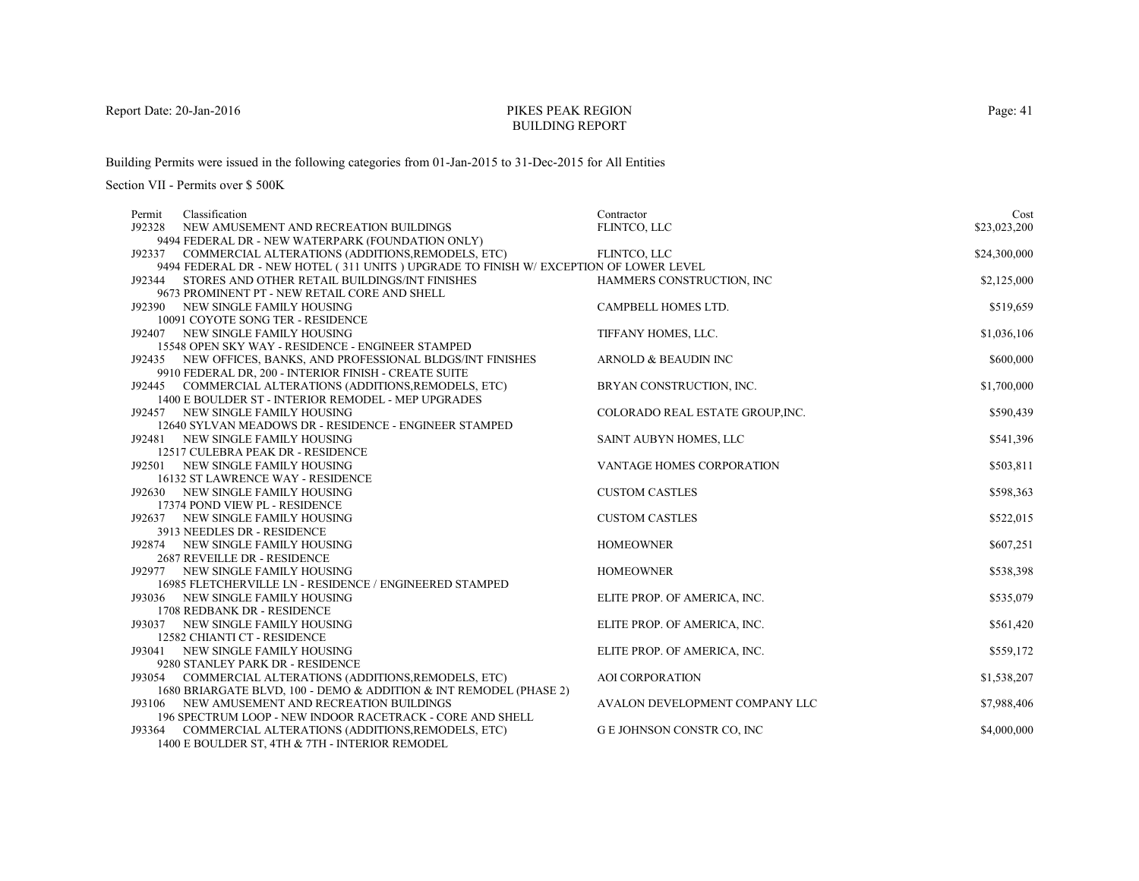# PIKES PEAK REGIONBUILDING REPORT

Building Permits were issued in the following categories from 01-Jan-2015 to 31-Dec-2015 for All Entities

| Classification<br>Permit                                                             | Contractor                       | Cost         |
|--------------------------------------------------------------------------------------|----------------------------------|--------------|
| J92328<br>NEW AMUSEMENT AND RECREATION BUILDINGS                                     | FLINTCO, LLC                     | \$23,023,200 |
| 9494 FEDERAL DR - NEW WATERPARK (FOUNDATION ONLY)                                    |                                  |              |
| COMMERCIAL ALTERATIONS (ADDITIONS, REMODELS, ETC)<br>J92337                          | FLINTCO, LLC                     | \$24,300,000 |
| 9494 FEDERAL DR - NEW HOTEL (311 UNITS) UPGRADE TO FINISH W/EXCEPTION OF LOWER LEVEL |                                  |              |
| J92344 STORES AND OTHER RETAIL BUILDINGS/INT FINISHES                                | HAMMERS CONSTRUCTION, INC.       | \$2,125,000  |
| 9673 PROMINENT PT - NEW RETAIL CORE AND SHELL                                        |                                  |              |
| J92390 NEW SINGLE FAMILY HOUSING                                                     | CAMPBELL HOMES LTD.              | \$519,659    |
| 10091 COYOTE SONG TER - RESIDENCE                                                    |                                  |              |
| NEW SINGLE FAMILY HOUSING<br>J92407                                                  | TIFFANY HOMES, LLC.              | \$1,036,106  |
| 15548 OPEN SKY WAY - RESIDENCE - ENGINEER STAMPED                                    |                                  |              |
| J92435 NEW OFFICES, BANKS, AND PROFESSIONAL BLDGS/INT FINISHES                       | ARNOLD & BEAUDIN INC             | \$600,000    |
| 9910 FEDERAL DR, 200 - INTERIOR FINISH - CREATE SUITE                                |                                  |              |
| J92445 COMMERCIAL ALTERATIONS (ADDITIONS, REMODELS, ETC)                             | BRYAN CONSTRUCTION, INC.         | \$1,700,000  |
| 1400 E BOULDER ST - INTERIOR REMODEL - MEP UPGRADES                                  |                                  |              |
| J92457 NEW SINGLE FAMILY HOUSING                                                     | COLORADO REAL ESTATE GROUP, INC. | \$590,439    |
| 12640 SYLVAN MEADOWS DR - RESIDENCE - ENGINEER STAMPED                               |                                  |              |
| J92481 NEW SINGLE FAMILY HOUSING                                                     | SAINT AUBYN HOMES, LLC           | \$541,396    |
| 12517 CULEBRA PEAK DR - RESIDENCE                                                    |                                  |              |
| J92501 NEW SINGLE FAMILY HOUSING                                                     | <b>VANTAGE HOMES CORPORATION</b> | \$503,811    |
| 16132 ST LAWRENCE WAY - RESIDENCE                                                    |                                  |              |
| J92630 NEW SINGLE FAMILY HOUSING                                                     | <b>CUSTOM CASTLES</b>            | \$598,363    |
| 17374 POND VIEW PL - RESIDENCE                                                       |                                  |              |
| J92637 NEW SINGLE FAMILY HOUSING<br>3913 NEEDLES DR - RESIDENCE                      | <b>CUSTOM CASTLES</b>            | \$522,015    |
| J92874 NEW SINGLE FAMILY HOUSING                                                     | <b>HOMEOWNER</b>                 | \$607,251    |
| <b>2687 REVEILLE DR - RESIDENCE</b>                                                  |                                  |              |
| NEW SINGLE FAMILY HOUSING<br>J92977                                                  | <b>HOMEOWNER</b>                 | \$538,398    |
| 16985 FLETCHERVILLE LN - RESIDENCE / ENGINEERED STAMPED                              |                                  |              |
| J93036 NEW SINGLE FAMILY HOUSING                                                     | ELITE PROP. OF AMERICA, INC.     | \$535,079    |
| 1708 REDBANK DR - RESIDENCE                                                          |                                  |              |
| J93037 NEW SINGLE FAMILY HOUSING                                                     | ELITE PROP. OF AMERICA, INC.     | \$561,420    |
| 12582 CHIANTI CT - RESIDENCE                                                         |                                  |              |
| NEW SINGLE FAMILY HOUSING<br>J93041                                                  | ELITE PROP. OF AMERICA, INC.     | \$559,172    |
| 9280 STANLEY PARK DR - RESIDENCE                                                     |                                  |              |
| J93054 COMMERCIAL ALTERATIONS (ADDITIONS, REMODELS, ETC)                             | <b>AOI CORPORATION</b>           | \$1,538,207  |
| 1680 BRIARGATE BLVD, 100 - DEMO & ADDITION & INT REMODEL (PHASE 2)                   |                                  |              |
| J93106 NEW AMUSEMENT AND RECREATION BUILDINGS                                        | AVALON DEVELOPMENT COMPANY LLC   | \$7,988,406  |
| 196 SPECTRUM LOOP - NEW INDOOR RACETRACK - CORE AND SHELL                            |                                  |              |
| J93364<br>COMMERCIAL ALTERATIONS (ADDITIONS, REMODELS, ETC)                          | G E JOHNSON CONSTR CO, INC       | \$4,000,000  |
| 1400 E BOULDER ST, 4TH & 7TH - INTERIOR REMODEL                                      |                                  |              |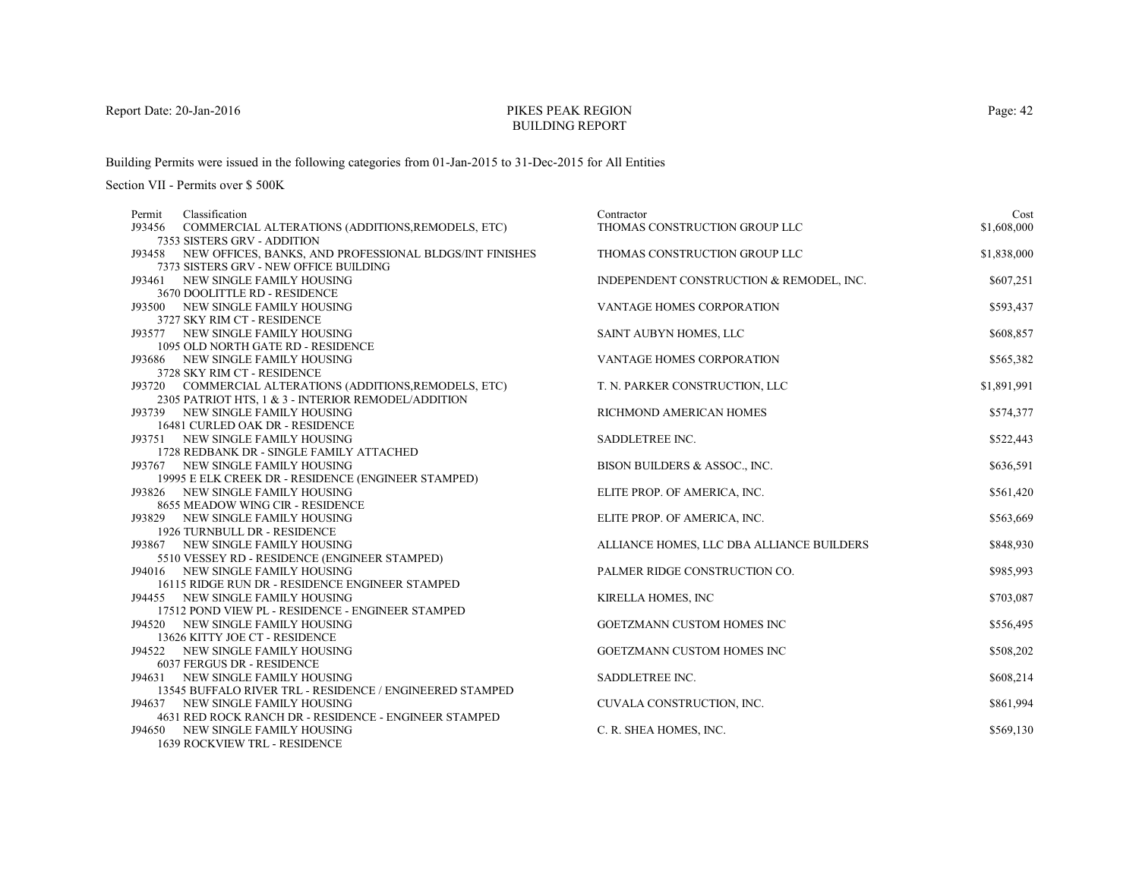# PIKES PEAK REGIONBUILDING REPORT

Building Permits were issued in the following categories from 01-Jan-2015 to 31-Dec-2015 for All Entities

Section VII - Permits over \$ 500K

| Classification<br>Permit                                                     | Contractor                                | Cost        |
|------------------------------------------------------------------------------|-------------------------------------------|-------------|
| J93456<br>COMMERCIAL ALTERATIONS (ADDITIONS, REMODELS, ETC)                  | THOMAS CONSTRUCTION GROUP LLC             | \$1,608,000 |
| 7353 SISTERS GRV - ADDITION                                                  |                                           |             |
| J93458 NEW OFFICES, BANKS, AND PROFESSIONAL BLDGS/INT FINISHES               | THOMAS CONSTRUCTION GROUP LLC             | \$1,838,000 |
| 7373 SISTERS GRV - NEW OFFICE BUILDING                                       |                                           |             |
| J93461 NEW SINGLE FAMILY HOUSING                                             | INDEPENDENT CONSTRUCTION & REMODEL, INC.  | \$607,251   |
| 3670 DOOLITTLE RD - RESIDENCE                                                |                                           |             |
| J93500 NEW SINGLE FAMILY HOUSING                                             | VANTAGE HOMES CORPORATION                 | \$593,437   |
| 3727 SKY RIM CT - RESIDENCE                                                  |                                           |             |
| J93577 NEW SINGLE FAMILY HOUSING                                             | SAINT AUBYN HOMES, LLC                    | \$608,857   |
| 1095 OLD NORTH GATE RD - RESIDENCE                                           |                                           |             |
| J93686 NEW SINGLE FAMILY HOUSING                                             | VANTAGE HOMES CORPORATION                 | \$565,382   |
| 3728 SKY RIM CT - RESIDENCE                                                  |                                           |             |
| J93720 COMMERCIAL ALTERATIONS (ADDITIONS, REMODELS, ETC)                     | T. N. PARKER CONSTRUCTION, LLC            | \$1,891,991 |
| 2305 PATRIOT HTS, 1 & 3 - INTERIOR REMODEL/ADDITION                          |                                           |             |
| J93739 NEW SINGLE FAMILY HOUSING                                             | RICHMOND AMERICAN HOMES                   | \$574,377   |
| 16481 CURLED OAK DR - RESIDENCE                                              |                                           | \$522,443   |
| J93751 NEW SINGLE FAMILY HOUSING                                             | SADDLETREE INC.                           |             |
| 1728 REDBANK DR - SINGLE FAMILY ATTACHED<br>J93767 NEW SINGLE FAMILY HOUSING | BISON BUILDERS & ASSOC., INC.             | \$636,591   |
| 19995 E ELK CREEK DR - RESIDENCE (ENGINEER STAMPED)                          |                                           |             |
| J93826 NEW SINGLE FAMILY HOUSING                                             | ELITE PROP. OF AMERICA, INC.              | \$561,420   |
| 8655 MEADOW WING CIR - RESIDENCE                                             |                                           |             |
| J93829 NEW SINGLE FAMILY HOUSING                                             | ELITE PROP. OF AMERICA, INC.              | \$563,669   |
| 1926 TURNBULL DR - RESIDENCE                                                 |                                           |             |
| J93867 NEW SINGLE FAMILY HOUSING                                             | ALLIANCE HOMES, LLC DBA ALLIANCE BUILDERS | \$848,930   |
| 5510 VESSEY RD - RESIDENCE (ENGINEER STAMPED)                                |                                           |             |
| J94016 NEW SINGLE FAMILY HOUSING                                             | PALMER RIDGE CONSTRUCTION CO.             | \$985,993   |
| 16115 RIDGE RUN DR - RESIDENCE ENGINEER STAMPED                              |                                           |             |
| J94455 NEW SINGLE FAMILY HOUSING                                             | KIRELLA HOMES, INC                        | \$703,087   |
| 17512 POND VIEW PL - RESIDENCE - ENGINEER STAMPED                            |                                           |             |
| J94520 NEW SINGLE FAMILY HOUSING                                             | GOETZMANN CUSTOM HOMES INC                | \$556,495   |
| 13626 KITTY JOE CT - RESIDENCE                                               |                                           |             |
| NEW SINGLE FAMILY HOUSING<br>J94522                                          | <b>GOETZMANN CUSTOM HOMES INC</b>         | \$508,202   |
| 6037 FERGUS DR - RESIDENCE                                                   |                                           |             |
| J94631 NEW SINGLE FAMILY HOUSING                                             | SADDLETREE INC.                           | \$608,214   |
| 13545 BUFFALO RIVER TRL - RESIDENCE / ENGINEERED STAMPED                     |                                           |             |
| J94637 NEW SINGLE FAMILY HOUSING                                             | CUVALA CONSTRUCTION, INC.                 | \$861,994   |
| 4631 RED ROCK RANCH DR - RESIDENCE - ENGINEER STAMPED                        |                                           |             |
| J94650 NEW SINGLE FAMILY HOUSING                                             | C. R. SHEA HOMES, INC.                    | \$569,130   |
| <b>1639 ROCKVIEW TRL - RESIDENCE</b>                                         |                                           |             |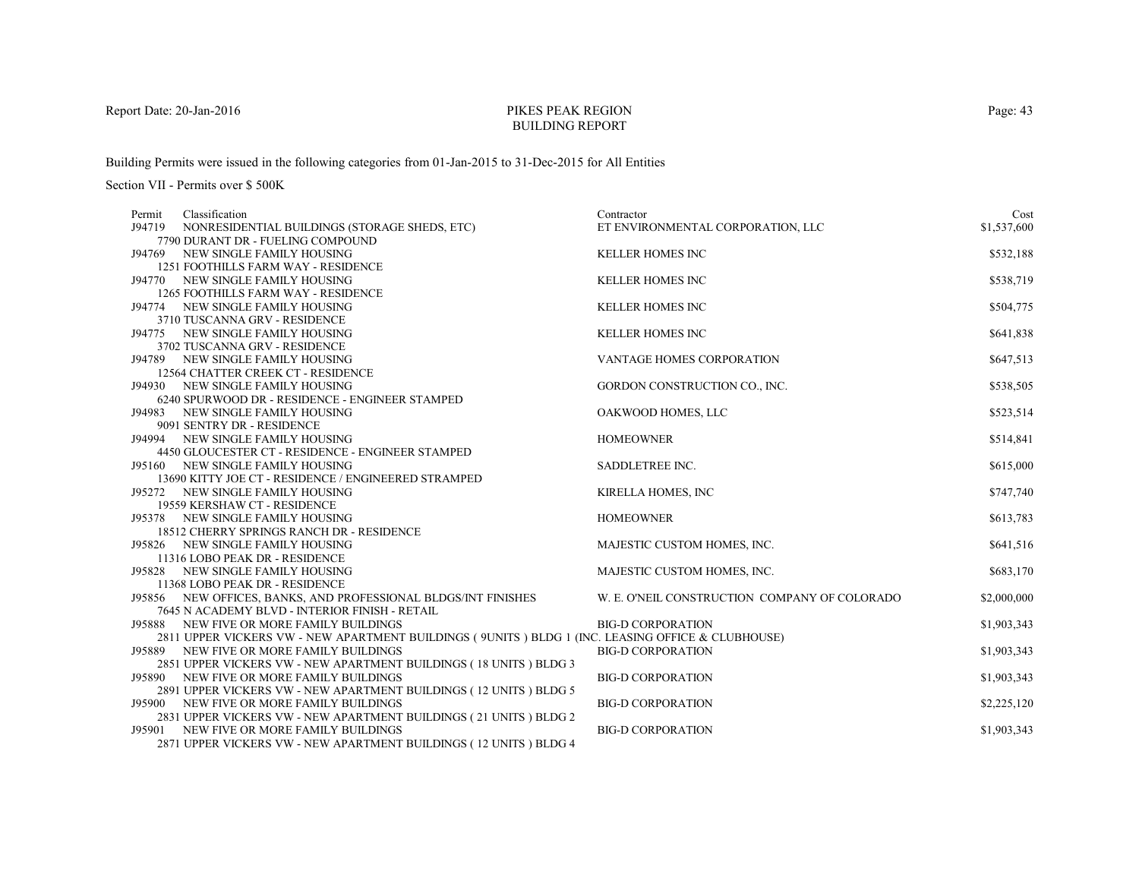# PIKES PEAK REGIONBUILDING REPORT

Building Permits were issued in the following categories from 01-Jan-2015 to 31-Dec-2015 for All Entities

| Classification<br>Permit                                                                          | Contractor                                    | Cost        |
|---------------------------------------------------------------------------------------------------|-----------------------------------------------|-------------|
| J94719 NONRESIDENTIAL BUILDINGS (STORAGE SHEDS, ETC)                                              | ET ENVIRONMENTAL CORPORATION, LLC             | \$1,537,600 |
| 7790 DURANT DR - FUELING COMPOUND                                                                 |                                               |             |
| J94769 NEW SINGLE FAMILY HOUSING                                                                  | <b>KELLER HOMES INC</b>                       | \$532,188   |
| 1251 FOOTHILLS FARM WAY - RESIDENCE                                                               |                                               |             |
| J94770 NEW SINGLE FAMILY HOUSING                                                                  | <b>KELLER HOMES INC</b>                       | \$538,719   |
| <b>1265 FOOTHILLS FARM WAY - RESIDENCE</b>                                                        |                                               |             |
| J94774 NEW SINGLE FAMILY HOUSING                                                                  | <b>KELLER HOMES INC</b>                       | \$504,775   |
| 3710 TUSCANNA GRV - RESIDENCE                                                                     |                                               |             |
| J94775 NEW SINGLE FAMILY HOUSING                                                                  | <b>KELLER HOMES INC</b>                       | \$641,838   |
| 3702 TUSCANNA GRV - RESIDENCE                                                                     |                                               |             |
| J94789 NEW SINGLE FAMILY HOUSING                                                                  | VANTAGE HOMES CORPORATION                     | \$647,513   |
| 12564 CHATTER CREEK CT - RESIDENCE                                                                |                                               |             |
| J94930 NEW SINGLE FAMILY HOUSING                                                                  | GORDON CONSTRUCTION CO., INC.                 | \$538,505   |
| 6240 SPURWOOD DR - RESIDENCE - ENGINEER STAMPED                                                   |                                               |             |
| J94983 NEW SINGLE FAMILY HOUSING                                                                  | OAKWOOD HOMES, LLC                            | \$523,514   |
| 9091 SENTRY DR - RESIDENCE                                                                        |                                               |             |
| J94994 NEW SINGLE FAMILY HOUSING                                                                  | <b>HOMEOWNER</b>                              | \$514,841   |
| 4450 GLOUCESTER CT - RESIDENCE - ENGINEER STAMPED                                                 |                                               |             |
| J95160 NEW SINGLE FAMILY HOUSING                                                                  | SADDLETREE INC.                               | \$615,000   |
| 13690 KITTY JOE CT - RESIDENCE / ENGINEERED STRAMPED                                              |                                               |             |
| J95272 NEW SINGLE FAMILY HOUSING                                                                  | KIRELLA HOMES, INC                            | \$747,740   |
| 19559 KERSHAW CT - RESIDENCE                                                                      |                                               |             |
| J95378 NEW SINGLE FAMILY HOUSING                                                                  | <b>HOMEOWNER</b>                              | \$613,783   |
| 18512 CHERRY SPRINGS RANCH DR - RESIDENCE                                                         |                                               |             |
| J95826 NEW SINGLE FAMILY HOUSING<br>11316 LOBO PEAK DR - RESIDENCE                                | MAJESTIC CUSTOM HOMES, INC.                   | \$641,516   |
| J95828 NEW SINGLE FAMILY HOUSING                                                                  | MAJESTIC CUSTOM HOMES, INC.                   | \$683,170   |
| 11368 LOBO PEAK DR - RESIDENCE                                                                    |                                               |             |
| J95856 NEW OFFICES, BANKS, AND PROFESSIONAL BLDGS/INT FINISHES                                    | W. E. O'NEIL CONSTRUCTION COMPANY OF COLORADO | \$2,000,000 |
| 7645 N ACADEMY BLVD - INTERIOR FINISH - RETAIL                                                    |                                               |             |
| J95888 NEW FIVE OR MORE FAMILY BUILDINGS                                                          | <b>BIG-D CORPORATION</b>                      | \$1,903,343 |
| 2811 UPPER VICKERS VW - NEW APARTMENT BUILDINGS (9UNITS) BLDG 1 (INC. LEASING OFFICE & CLUBHOUSE) |                                               |             |
| J95889 NEW FIVE OR MORE FAMILY BUILDINGS                                                          | <b>BIG-D CORPORATION</b>                      | \$1,903,343 |
| 2851 UPPER VICKERS VW - NEW APARTMENT BUILDINGS (18 UNITS ) BLDG 3                                |                                               |             |
| J95890 NEW FIVE OR MORE FAMILY BUILDINGS                                                          | <b>BIG-D CORPORATION</b>                      | \$1,903,343 |
| 2891 UPPER VICKERS VW - NEW APARTMENT BUILDINGS (12 UNITS) BLDG 5                                 |                                               |             |
| J95900 NEW FIVE OR MORE FAMILY BUILDINGS                                                          | <b>BIG-D CORPORATION</b>                      | \$2,225,120 |
| 2831 UPPER VICKERS VW - NEW APARTMENT BUILDINGS (21 UNITS) BLDG 2                                 |                                               |             |
| J95901 NEW FIVE OR MORE FAMILY BUILDINGS                                                          | <b>BIG-D CORPORATION</b>                      | \$1,903,343 |
| 2871 UPPER VICKERS VW - NEW APARTMENT BUILDINGS (12 UNITS) BLDG 4                                 |                                               |             |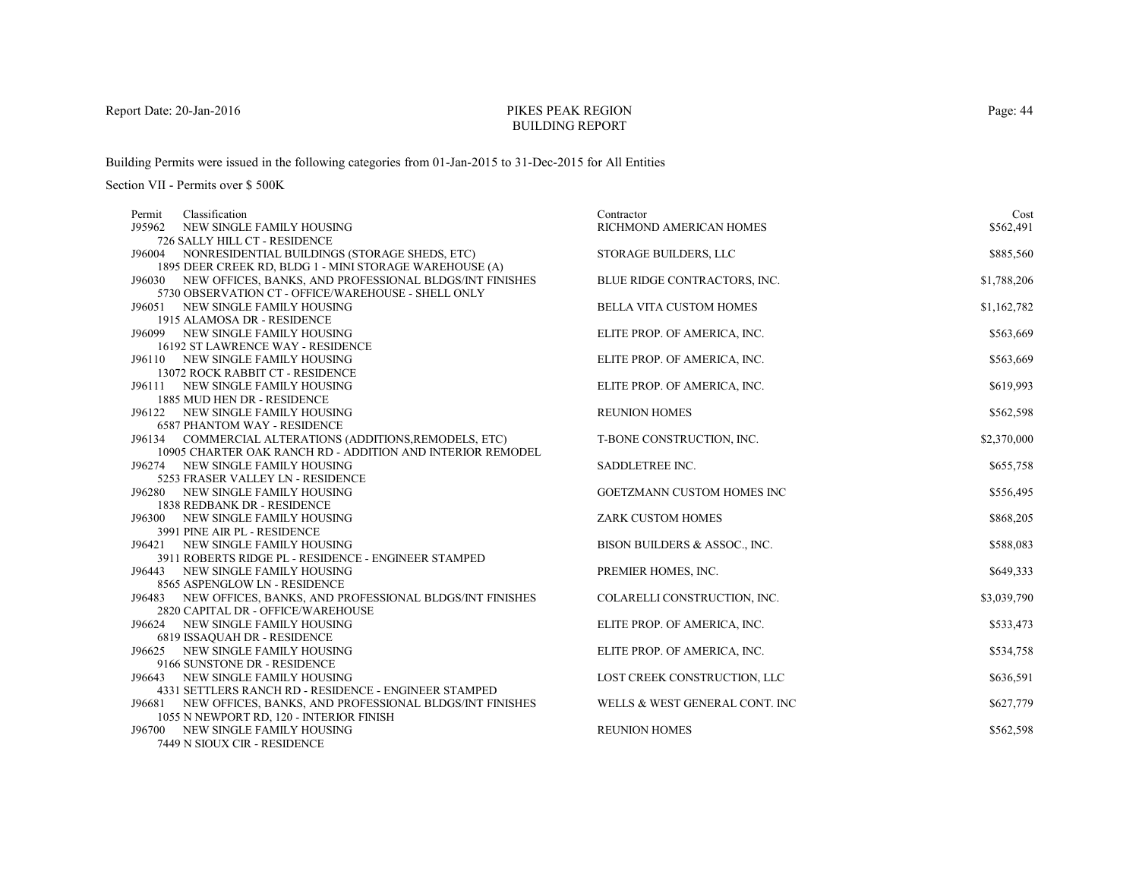# PIKES PEAK REGIONBUILDING REPORT

Building Permits were issued in the following categories from 01-Jan-2015 to 31-Dec-2015 for All Entities

Section VII - Permits over \$ 500K

| Classification<br>Permit                                         | Contractor                        | Cost        |
|------------------------------------------------------------------|-----------------------------------|-------------|
| J95962<br>NEW SINGLE FAMILY HOUSING                              | RICHMOND AMERICAN HOMES           | \$562,491   |
| 726 SALLY HILL CT - RESIDENCE                                    |                                   |             |
| J96004 NONRESIDENTIAL BUILDINGS (STORAGE SHEDS, ETC)             | STORAGE BUILDERS, LLC             | \$885,560   |
| 1895 DEER CREEK RD, BLDG 1 - MINI STORAGE WAREHOUSE (A)          |                                   |             |
| J96030 NEW OFFICES, BANKS, AND PROFESSIONAL BLDGS/INT FINISHES   | BLUE RIDGE CONTRACTORS, INC.      | \$1,788,206 |
| 5730 OBSERVATION CT - OFFICE/WAREHOUSE - SHELL ONLY              |                                   |             |
| J96051 NEW SINGLE FAMILY HOUSING                                 | <b>BELLA VITA CUSTOM HOMES</b>    | \$1,162,782 |
| 1915 ALAMOSA DR - RESIDENCE                                      |                                   |             |
| J96099 NEW SINGLE FAMILY HOUSING                                 | ELITE PROP. OF AMERICA, INC.      | \$563,669   |
| 16192 ST LAWRENCE WAY - RESIDENCE                                |                                   |             |
| J96110 NEW SINGLE FAMILY HOUSING                                 | ELITE PROP. OF AMERICA, INC.      | \$563,669   |
| 13072 ROCK RABBIT CT - RESIDENCE                                 |                                   |             |
| J96111 NEW SINGLE FAMILY HOUSING                                 | ELITE PROP. OF AMERICA, INC.      | \$619,993   |
| 1885 MUD HEN DR - RESIDENCE                                      |                                   |             |
| J96122 NEW SINGLE FAMILY HOUSING                                 | <b>REUNION HOMES</b>              | \$562,598   |
| <b>6587 PHANTOM WAY - RESIDENCE</b>                              |                                   |             |
| J96134 COMMERCIAL ALTERATIONS (ADDITIONS, REMODELS, ETC)         | T-BONE CONSTRUCTION, INC.         | \$2,370,000 |
| 10905 CHARTER OAK RANCH RD - ADDITION AND INTERIOR REMODEL       |                                   |             |
| J96274 NEW SINGLE FAMILY HOUSING                                 | SADDLETREE INC.                   | \$655,758   |
| 5253 FRASER VALLEY LN - RESIDENCE                                |                                   |             |
| J96280 NEW SINGLE FAMILY HOUSING                                 | <b>GOETZMANN CUSTOM HOMES INC</b> | \$556,495   |
| 1838 REDBANK DR - RESIDENCE                                      |                                   |             |
| J96300 NEW SINGLE FAMILY HOUSING                                 | ZARK CUSTOM HOMES                 | \$868,205   |
| 3991 PINE AIR PL - RESIDENCE                                     |                                   |             |
| NEW SINGLE FAMILY HOUSING<br>J96421                              | BISON BUILDERS & ASSOC., INC.     | \$588,083   |
| 3911 ROBERTS RIDGE PL - RESIDENCE - ENGINEER STAMPED             |                                   |             |
| J96443 NEW SINGLE FAMILY HOUSING                                 | PREMIER HOMES, INC.               | \$649,333   |
| 8565 ASPENGLOW LN - RESIDENCE                                    |                                   |             |
| J96483 NEW OFFICES, BANKS, AND PROFESSIONAL BLDGS/INT FINISHES   | COLARELLI CONSTRUCTION, INC.      | \$3,039,790 |
| 2820 CAPITAL DR - OFFICE/WAREHOUSE                               |                                   |             |
| J96624 NEW SINGLE FAMILY HOUSING                                 | ELITE PROP. OF AMERICA, INC.      | \$533,473   |
| 6819 ISSAQUAH DR - RESIDENCE                                     |                                   |             |
| J96625 NEW SINGLE FAMILY HOUSING                                 | ELITE PROP. OF AMERICA, INC.      | \$534,758   |
| 9166 SUNSTONE DR - RESIDENCE                                     |                                   |             |
| J96643 NEW SINGLE FAMILY HOUSING                                 | LOST CREEK CONSTRUCTION, LLC      | \$636,591   |
| 4331 SETTLERS RANCH RD - RESIDENCE - ENGINEER STAMPED            |                                   |             |
| J96681 NEW OFFICES, BANKS, AND PROFESSIONAL BLDGS/INT FINISHES   | WELLS & WEST GENERAL CONT. INC    | \$627,779   |
| 1055 N NEWPORT RD, 120 - INTERIOR FINISH                         |                                   |             |
| J96700 NEW SINGLE FAMILY HOUSING<br>$7440$ M CIOUV CID DECIDEMON | <b>REUNION HOMES</b>              | \$562,598   |
|                                                                  |                                   |             |

7449 N SIOUX CIR - RESIDENCE